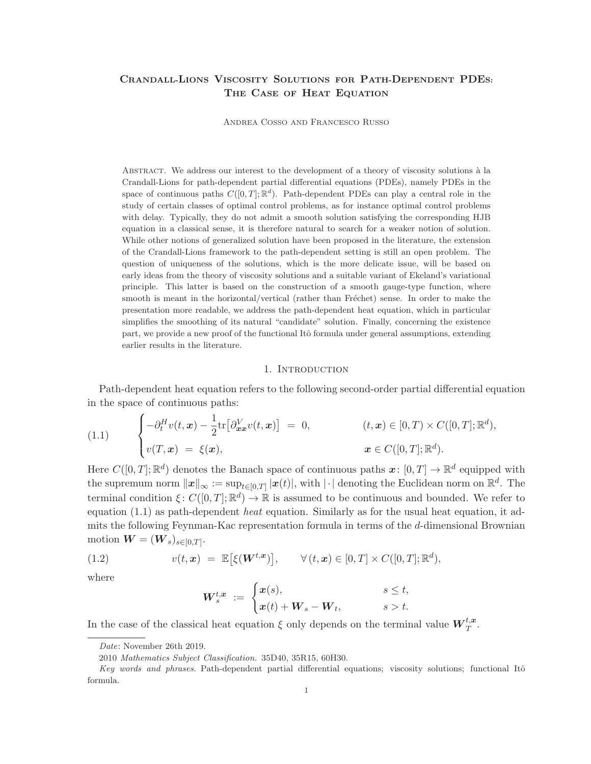# CRANDALL-LIONS VISCOSITY SOLUTIONS FOR PATH-DEPENDENT PDES: THE CASE OF HEAT EQUATION

ANDREA COSSO AND FRANCESCO RUSSO

ABSTRACT. We address our interest to the development of a theory of viscosity solutions à la Crandall-Lions for path-dependent partial differential equations (PDEs), namely PDEs in the space of continuous paths  $C([0,T];\mathbb{R}^d)$ . Path-dependent PDEs can play a central role in the study of certain classes of optimal control problems, as for instance optimal control problems with delay. Typically, they do not admit a smooth solution satisfying the corresponding HJB equation in a classical sense, it is therefore natural to search for a weaker notion of solution. While other notions of generalized solution have been proposed in the literature, the extension of the Crandall-Lions framework to the path-dependent setting is still an open problem. The question of uniqueness of the solutions, which is the more delicate issue, will be based on early ideas from the theory of viscosity solutions and a suitable variant of Ekeland's variational principle. This latter is based on the construction of a smooth gauge-type function, where smooth is meant in the horizontal/vertical (rather than Fréchet) sense. In order to make the presentation more readable, we address the path-dependent heat equation, which in particular simplifies the smoothing of its natural "candidate" solution. Finally, concerning the existence part, we provide a new proof of the functional Itô formula under general assumptions, extending earlier results in the literature.

#### 1. INTRODUCTION

Path-dependent heat equation refers to the following second-order partial differential equation in the space of continuous paths:

(1.1) 
$$
\begin{cases}\n-\partial_t^H v(t, x) - \frac{1}{2} \text{tr}\big[\partial_{xx}^V v(t, x)\big] = 0, & (t, x) \in [0, T) \times C([0, T]; \mathbb{R}^d), \\
v(T, x) = \xi(x), & x \in C([0, T]; \mathbb{R}^d).\n\end{cases}
$$

Here  $C([0,T];\mathbb{R}^d)$  denotes the Banach space of continuous paths  $\boldsymbol{x} \colon [0,T] \to \mathbb{R}^d$  equipped with the supremum norm  $||x||_{\infty} := \sup_{t \in [0,T]} |x(t)|$ , with  $|\cdot|$  denoting the Euclidean norm on  $\mathbb{R}^d$ . The terminal condition  $\xi: C([0,T]; \mathbb{R}^d) \to \mathbb{R}$  is assumed to be continuous and bounded. We refer to equation (1.1) as path-dependent *heat* equation. Similarly as for the usual heat equation, it admits the following Feynman-Kac representation formula in terms of the d-dimensional Brownian motion  $\boldsymbol{W} = (\boldsymbol{W}_s)_{s \in [0,T]}.$ 

(1.2) 
$$
v(t, \mathbf{x}) = \mathbb{E}[\xi(\mathbf{W}^{t, \mathbf{x}})], \forall (t, \mathbf{x}) \in [0, T] \times C([0, T]; \mathbb{R}^d),
$$

where

$$
\boldsymbol{W}_s^{t,\boldsymbol{x}} \ := \ \begin{cases} \boldsymbol{x}(s), & s \leq t, \\ \boldsymbol{x}(t) + \boldsymbol{W}_s - \boldsymbol{W}_t, & s > t. \end{cases}
$$

In the case of the classical heat equation  $\xi$  only depends on the terminal value  $\mathbf{W}_T^{t,\boldsymbol{x}}$ .

Date: November 26th 2019.

<sup>2010</sup> Mathematics Subject Classification. 35D40, 35R15, 60H30.

Key words and phrases. Path-dependent partial differential equations; viscosity solutions; functional Itô formula.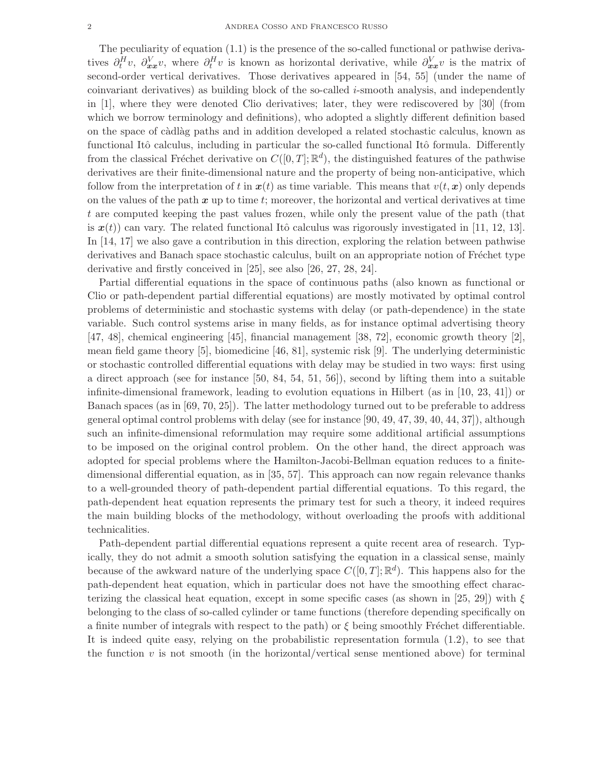The peculiarity of equation (1.1) is the presence of the so-called functional or pathwise derivatives  $\partial_t^H v$ ,  $\partial_{xx}^V v$ , where  $\partial_t^H v$  is known as horizontal derivative, while  $\partial_{xx}^V v$  is the matrix of second-order vertical derivatives. Those derivatives appeared in [54, 55] (under the name of coinvariant derivatives) as building block of the so-called i-smooth analysis, and independently in [1], where they were denoted Clio derivatives; later, they were rediscovered by [30] (from which we borrow terminology and definitions), who adopted a slightly different definition based on the space of c`adl`ag paths and in addition developed a related stochastic calculus, known as functional Itô calculus, including in particular the so-called functional Itô formula. Differently from the classical Fréchet derivative on  $C([0,T];\mathbb{R}^d)$ , the distinguished features of the pathwise derivatives are their finite-dimensional nature and the property of being non-anticipative, which follow from the interpretation of t in  $x(t)$  as time variable. This means that  $v(t, x)$  only depends on the values of the path  $x$  up to time t; moreover, the horizontal and vertical derivatives at time t are computed keeping the past values frozen, while only the present value of the path (that is  $x(t)$  can vary. The related functional Itô calculus was rigorously investigated in [11, 12, 13]. In [14, 17] we also gave a contribution in this direction, exploring the relation between pathwise derivatives and Banach space stochastic calculus, built on an appropriate notion of Fréchet type derivative and firstly conceived in [25], see also [26, 27, 28, 24].

Partial differential equations in the space of continuous paths (also known as functional or Clio or path-dependent partial differential equations) are mostly motivated by optimal control problems of deterministic and stochastic systems with delay (or path-dependence) in the state variable. Such control systems arise in many fields, as for instance optimal advertising theory [47, 48], chemical engineering [45], financial management [38, 72], economic growth theory [2], mean field game theory [5], biomedicine [46, 81], systemic risk [9]. The underlying deterministic or stochastic controlled differential equations with delay may be studied in two ways: first using a direct approach (see for instance  $[50, 84, 54, 51, 56]$ ), second by lifting them into a suitable infinite-dimensional framework, leading to evolution equations in Hilbert (as in [10, 23, 41]) or Banach spaces (as in [69, 70, 25]). The latter methodology turned out to be preferable to address general optimal control problems with delay (see for instance [90, 49, 47, 39, 40, 44, 37]), although such an infinite-dimensional reformulation may require some additional artificial assumptions to be imposed on the original control problem. On the other hand, the direct approach was adopted for special problems where the Hamilton-Jacobi-Bellman equation reduces to a finitedimensional differential equation, as in [35, 57]. This approach can now regain relevance thanks to a well-grounded theory of path-dependent partial differential equations. To this regard, the path-dependent heat equation represents the primary test for such a theory, it indeed requires the main building blocks of the methodology, without overloading the proofs with additional technicalities.

Path-dependent partial differential equations represent a quite recent area of research. Typically, they do not admit a smooth solution satisfying the equation in a classical sense, mainly because of the awkward nature of the underlying space  $C([0,T];\mathbb{R}^d)$ . This happens also for the path-dependent heat equation, which in particular does not have the smoothing effect characterizing the classical heat equation, except in some specific cases (as shown in [25, 29]) with  $\xi$ belonging to the class of so-called cylinder or tame functions (therefore depending specifically on a finite number of integrals with respect to the path) or  $\xi$  being smoothly Fréchet differentiable. It is indeed quite easy, relying on the probabilistic representation formula (1.2), to see that the function  $v$  is not smooth (in the horizontal/vertical sense mentioned above) for terminal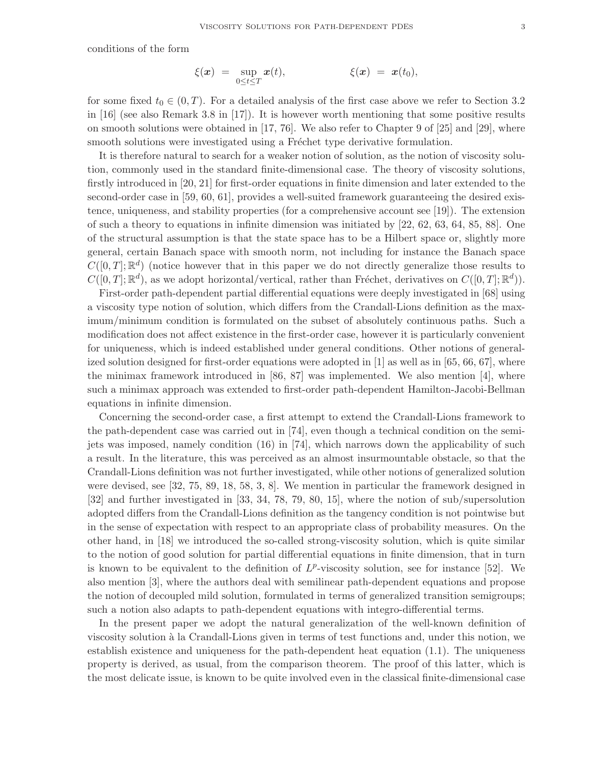conditions of the form

$$
\xi(\boldsymbol{x}) = \sup_{0 \leq t \leq T} \boldsymbol{x}(t), \qquad \xi(\boldsymbol{x}) = \boldsymbol{x}(t_0),
$$

for some fixed  $t_0 \in (0, T)$ . For a detailed analysis of the first case above we refer to Section 3.2 in [16] (see also Remark 3.8 in [17]). It is however worth mentioning that some positive results on smooth solutions were obtained in [17, 76]. We also refer to Chapter 9 of [25] and [29], where smooth solutions were investigated using a Fréchet type derivative formulation.

It is therefore natural to search for a weaker notion of solution, as the notion of viscosity solution, commonly used in the standard finite-dimensional case. The theory of viscosity solutions, firstly introduced in [20, 21] for first-order equations in finite dimension and later extended to the second-order case in [59, 60, 61], provides a well-suited framework guaranteeing the desired existence, uniqueness, and stability properties (for a comprehensive account see [19]). The extension of such a theory to equations in infinite dimension was initiated by [22, 62, 63, 64, 85, 88]. One of the structural assumption is that the state space has to be a Hilbert space or, slightly more general, certain Banach space with smooth norm, not including for instance the Banach space  $C([0,T];\mathbb{R}^d)$  (notice however that in this paper we do not directly generalize those results to  $C([0,T];\mathbb{R}^d)$ , as we adopt horizontal/vertical, rather than Fréchet, derivatives on  $C([0,T];\mathbb{R}^d)$ ).

First-order path-dependent partial differential equations were deeply investigated in [68] using a viscosity type notion of solution, which differs from the Crandall-Lions definition as the maximum/minimum condition is formulated on the subset of absolutely continuous paths. Such a modification does not affect existence in the first-order case, however it is particularly convenient for uniqueness, which is indeed established under general conditions. Other notions of generalized solution designed for first-order equations were adopted in [1] as well as in [65, 66, 67], where the minimax framework introduced in [86, 87] was implemented. We also mention [4], where such a minimax approach was extended to first-order path-dependent Hamilton-Jacobi-Bellman equations in infinite dimension.

Concerning the second-order case, a first attempt to extend the Crandall-Lions framework to the path-dependent case was carried out in [74], even though a technical condition on the semijets was imposed, namely condition (16) in [74], which narrows down the applicability of such a result. In the literature, this was perceived as an almost insurmountable obstacle, so that the Crandall-Lions definition was not further investigated, while other notions of generalized solution were devised, see [32, 75, 89, 18, 58, 3, 8]. We mention in particular the framework designed in [32] and further investigated in [33, 34, 78, 79, 80, 15], where the notion of sub/supersolution adopted differs from the Crandall-Lions definition as the tangency condition is not pointwise but in the sense of expectation with respect to an appropriate class of probability measures. On the other hand, in [18] we introduced the so-called strong-viscosity solution, which is quite similar to the notion of good solution for partial differential equations in finite dimension, that in turn is known to be equivalent to the definition of  $L^p$ -viscosity solution, see for instance [52]. We also mention [3], where the authors deal with semilinear path-dependent equations and propose the notion of decoupled mild solution, formulated in terms of generalized transition semigroups; such a notion also adapts to path-dependent equations with integro-differential terms.

In the present paper we adopt the natural generalization of the well-known definition of viscosity solution `a la Crandall-Lions given in terms of test functions and, under this notion, we establish existence and uniqueness for the path-dependent heat equation (1.1). The uniqueness property is derived, as usual, from the comparison theorem. The proof of this latter, which is the most delicate issue, is known to be quite involved even in the classical finite-dimensional case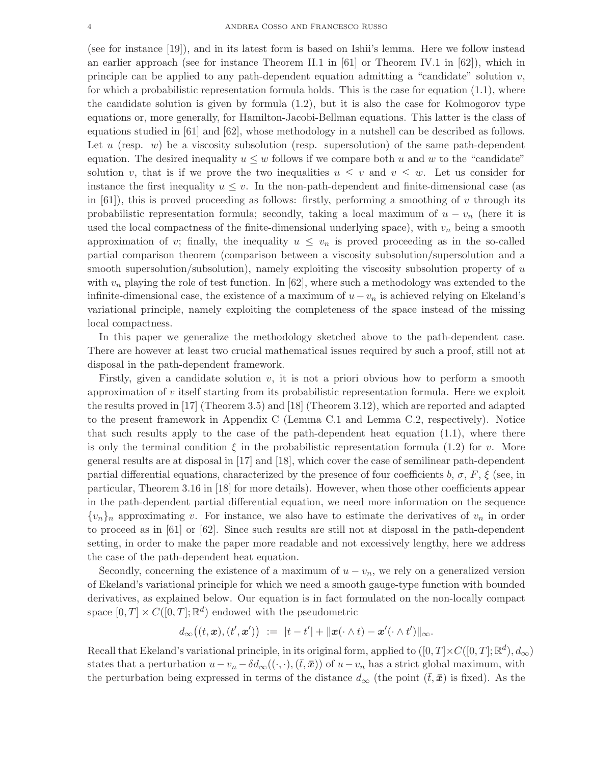(see for instance [19]), and in its latest form is based on Ishii's lemma. Here we follow instead an earlier approach (see for instance Theorem II.1 in [61] or Theorem IV.1 in [62]), which in principle can be applied to any path-dependent equation admitting a "candidate" solution  $v$ , for which a probabilistic representation formula holds. This is the case for equation  $(1.1)$ , where the candidate solution is given by formula (1.2), but it is also the case for Kolmogorov type equations or, more generally, for Hamilton-Jacobi-Bellman equations. This latter is the class of equations studied in [61] and [62], whose methodology in a nutshell can be described as follows. Let u (resp.  $w$ ) be a viscosity subsolution (resp. supersolution) of the same path-dependent equation. The desired inequality  $u \leq w$  follows if we compare both u and w to the "candidate" solution v, that is if we prove the two inequalities  $u \leq v$  and  $v \leq w$ . Let us consider for instance the first inequality  $u \leq v$ . In the non-path-dependent and finite-dimensional case (as in  $[61]$ , this is proved proceeding as follows: firstly, performing a smoothing of v through its probabilistic representation formula; secondly, taking a local maximum of  $u - v_n$  (here it is used the local compactness of the finite-dimensional underlying space), with  $v_n$  being a smooth approximation of v; finally, the inequality  $u \leq v_n$  is proved proceeding as in the so-called partial comparison theorem (comparison between a viscosity subsolution/supersolution and a smooth supersolution/subsolution), namely exploiting the viscosity subsolution property of  $u$ with  $v_n$  playing the role of test function. In [62], where such a methodology was extended to the infinite-dimensional case, the existence of a maximum of  $u - v_n$  is achieved relying on Ekeland's variational principle, namely exploiting the completeness of the space instead of the missing local compactness.

In this paper we generalize the methodology sketched above to the path-dependent case. There are however at least two crucial mathematical issues required by such a proof, still not at disposal in the path-dependent framework.

Firstly, given a candidate solution  $v$ , it is not a priori obvious how to perform a smooth approximation of  $v$  itself starting from its probabilistic representation formula. Here we exploit the results proved in [17] (Theorem 3.5) and [18] (Theorem 3.12), which are reported and adapted to the present framework in Appendix C (Lemma C.1 and Lemma C.2, respectively). Notice that such results apply to the case of the path-dependent heat equation  $(1.1)$ , where there is only the terminal condition  $\xi$  in the probabilistic representation formula (1.2) for v. More general results are at disposal in [17] and [18], which cover the case of semilinear path-dependent partial differential equations, characterized by the presence of four coefficients b,  $\sigma$ , F,  $\xi$  (see, in particular, Theorem 3.16 in [18] for more details). However, when those other coefficients appear in the path-dependent partial differential equation, we need more information on the sequence  $\{v_n\}_n$  approximating v. For instance, we also have to estimate the derivatives of  $v_n$  in order to proceed as in [61] or [62]. Since such results are still not at disposal in the path-dependent setting, in order to make the paper more readable and not excessively lengthy, here we address the case of the path-dependent heat equation.

Secondly, concerning the existence of a maximum of  $u - v_n$ , we rely on a generalized version of Ekeland's variational principle for which we need a smooth gauge-type function with bounded derivatives, as explained below. Our equation is in fact formulated on the non-locally compact space  $[0, T] \times C([0, T]; \mathbb{R}^d)$  endowed with the pseudometric

$$
d_{\infty}((t, \boldsymbol{x}), (t', \boldsymbol{x}')) \ := \ |t - t'| + ||\boldsymbol{x}(\cdot \wedge t) - \boldsymbol{x}'(\cdot \wedge t')||_{\infty}.
$$

Recall that Ekeland's variational principle, in its original form, applied to  $([0, T] \times C([0, T]; \mathbb{R}^d), d_{\infty})$ states that a perturbation  $u-v_n - \delta d_{\infty}((\cdot,\cdot),(\bar{t},\bar{x}))$  of  $u-v_n$  has a strict global maximum, with the perturbation being expressed in terms of the distance  $d_{\infty}$  (the point  $(\bar{t}, \bar{x})$  is fixed). As the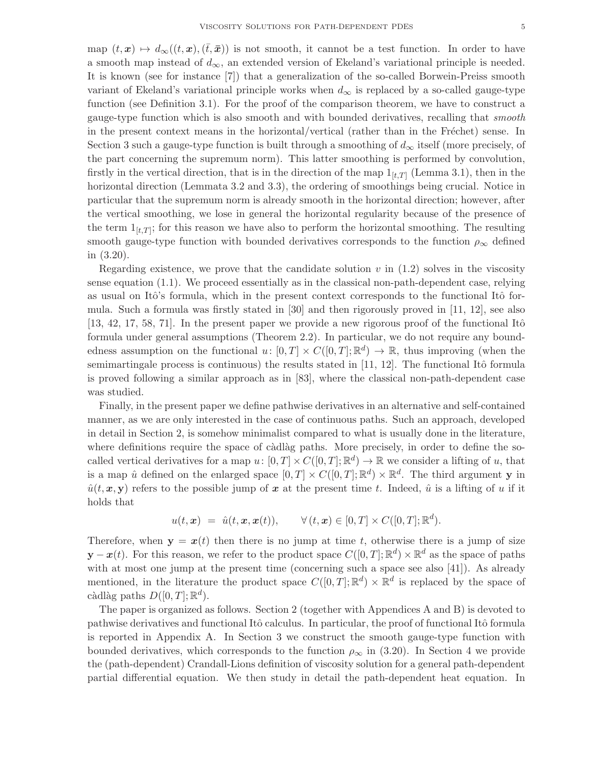map  $(t, x) \mapsto d_{\infty}((t, x), (\bar{t}, \bar{x}))$  is not smooth, it cannot be a test function. In order to have a smooth map instead of  $d_{\infty}$ , an extended version of Ekeland's variational principle is needed. It is known (see for instance [7]) that a generalization of the so-called Borwein-Preiss smooth variant of Ekeland's variational principle works when  $d_{\infty}$  is replaced by a so-called gauge-type function (see Definition 3.1). For the proof of the comparison theorem, we have to construct a gauge-type function which is also smooth and with bounded derivatives, recalling that *smooth* in the present context means in the horizontal/vertical (rather than in the Fréchet) sense. In Section 3 such a gauge-type function is built through a smoothing of  $d_{\infty}$  itself (more precisely, of the part concerning the supremum norm). This latter smoothing is performed by convolution, firstly in the vertical direction, that is in the direction of the map  $1_{[t,T]}$  (Lemma 3.1), then in the horizontal direction (Lemmata 3.2 and 3.3), the ordering of smoothings being crucial. Notice in particular that the supremum norm is already smooth in the horizontal direction; however, after the vertical smoothing, we lose in general the horizontal regularity because of the presence of the term  $1_{[t,T]}$ ; for this reason we have also to perform the horizontal smoothing. The resulting smooth gauge-type function with bounded derivatives corresponds to the function  $\rho_{\infty}$  defined in (3.20).

Regarding existence, we prove that the candidate solution v in  $(1.2)$  solves in the viscosity sense equation  $(1.1)$ . We proceed essentially as in the classical non-path-dependent case, relying as usual on Itô's formula, which in the present context corresponds to the functional Itô formula. Such a formula was firstly stated in [30] and then rigorously proved in [11, 12], see also  $[13, 42, 17, 58, 71]$ . In the present paper we provide a new rigorous proof of the functional Itô formula under general assumptions (Theorem 2.2). In particular, we do not require any boundedness assumption on the functional  $u: [0, T] \times C([0, T]; \mathbb{R}^d) \to \mathbb{R}$ , thus improving (when the semimartingale process is continuous) the results stated in  $[11, 12]$ . The functional Itô formula is proved following a similar approach as in [83], where the classical non-path-dependent case was studied.

Finally, in the present paper we define pathwise derivatives in an alternative and self-contained manner, as we are only interested in the case of continuous paths. Such an approach, developed in detail in Section 2, is somehow minimalist compared to what is usually done in the literature, where definitions require the space of càdlàg paths. More precisely, in order to define the socalled vertical derivatives for a map  $u: [0, T] \times C([0, T]; \mathbb{R}^d) \to \mathbb{R}$  we consider a lifting of u, that is a map  $\hat{u}$  defined on the enlarged space  $[0,T] \times C([0,T]; \mathbb{R}^d) \times \mathbb{R}^d$ . The third argument **y** in  $\hat{u}(t, x, y)$  refers to the possible jump of x at the present time t. Indeed,  $\hat{u}$  is a lifting of u if it holds that

$$
u(t, \mathbf{x}) = \hat{u}(t, \mathbf{x}, \mathbf{x}(t)), \qquad \forall (t, \mathbf{x}) \in [0, T] \times C([0, T]; \mathbb{R}^d).
$$

Therefore, when  $y = x(t)$  then there is no jump at time t, otherwise there is a jump of size  $\mathbf{y} - \mathbf{x}(t)$ . For this reason, we refer to the product space  $C([0,T];\mathbb{R}^d) \times \mathbb{R}^d$  as the space of paths with at most one jump at the present time (concerning such a space see also [41]). As already mentioned, in the literature the product space  $C([0,T];\mathbb{R}^d) \times \mathbb{R}^d$  is replaced by the space of càdlàg paths  $D([0, T]; \mathbb{R}^d)$ .

The paper is organized as follows. Section 2 (together with Appendices A and B) is devoted to pathwise derivatives and functional Itô calculus. In particular, the proof of functional Itô formula is reported in Appendix A. In Section 3 we construct the smooth gauge-type function with bounded derivatives, which corresponds to the function  $\rho_{\infty}$  in (3.20). In Section 4 we provide the (path-dependent) Crandall-Lions definition of viscosity solution for a general path-dependent partial differential equation. We then study in detail the path-dependent heat equation. In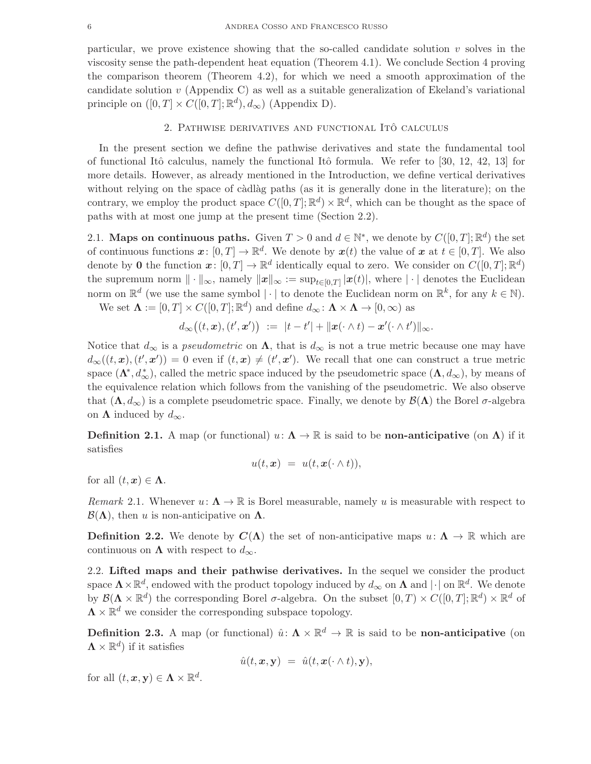particular, we prove existence showing that the so-called candidate solution  $v$  solves in the viscosity sense the path-dependent heat equation (Theorem 4.1). We conclude Section 4 proving the comparison theorem (Theorem 4.2), for which we need a smooth approximation of the candidate solution  $v$  (Appendix C) as well as a suitable generalization of Ekeland's variational principle on  $([0, T] \times C([0, T]; \mathbb{R}^d), d_{\infty})$  (Appendix D).

## 2. Pathwise derivatives and functional Ito calculus ˆ

In the present section we define the pathwise derivatives and state the fundamental tool of functional Itô calculus, namely the functional Itô formula. We refer to [30, 12, 42, 13] for more details. However, as already mentioned in the Introduction, we define vertical derivatives without relying on the space of càdlàg paths (as it is generally done in the literature); on the contrary, we employ the product space  $C([0,T];\mathbb{R}^d) \times \mathbb{R}^d$ , which can be thought as the space of paths with at most one jump at the present time (Section 2.2).

2.1. Maps on continuous paths. Given  $T > 0$  and  $d \in \mathbb{N}^*$ , we denote by  $C([0, T]; \mathbb{R}^d)$  the set of continuous functions  $x: [0, T] \to \mathbb{R}^d$ . We denote by  $x(t)$  the value of  $x$  at  $t \in [0, T]$ . We also denote by 0 the function  $x: [0, T] \to \mathbb{R}^d$  identically equal to zero. We consider on  $C([0, T]; \mathbb{R}^d)$ the supremum norm  $\|\cdot\|_{\infty}$ , namely  $\|\boldsymbol{x}\|_{\infty} := \sup_{t\in[0,T]} |\boldsymbol{x}(t)|$ , where  $|\cdot|$  denotes the Euclidean norm on  $\mathbb{R}^d$  (we use the same symbol  $|\cdot|$  to denote the Euclidean norm on  $\mathbb{R}^k$ , for any  $k \in \mathbb{N}$ ).

We set  $\mathbf{\Lambda} := [0, T] \times C([0, T]; \mathbb{R}^d)$  and define  $d_{\infty} : \mathbf{\Lambda} \times \mathbf{\Lambda} \to [0, \infty)$  as

$$
d_\infty\big((t,\boldsymbol{x}),(t',\boldsymbol{x}')\big) \ := \ |t-t'| + \|\boldsymbol{x}(\cdot\wedge t)-\boldsymbol{x}'(\cdot\wedge t')\|_\infty.
$$

Notice that  $d_{\infty}$  is a *pseudometric* on  $\Lambda$ , that is  $d_{\infty}$  is not a true metric because one may have  $d_{\infty}((t, x), (t', x')) = 0$  even if  $(t, x) \neq (t', x')$ . We recall that one can construct a true metric space  $(\mathbf{\Lambda}^*, d_{\infty}^*)$ , called the metric space induced by the pseudometric space  $(\mathbf{\Lambda}, d_{\infty})$ , by means of the equivalence relation which follows from the vanishing of the pseudometric. We also observe that  $(\Lambda, d_{\infty})$  is a complete pseudometric space. Finally, we denote by  $\mathcal{B}(\Lambda)$  the Borel  $\sigma$ -algebra on  $\Lambda$  induced by  $d_{\infty}$ .

**Definition 2.1.** A map (or functional)  $u: \Lambda \to \mathbb{R}$  is said to be **non-anticipative** (on  $\Lambda$ ) if it satisfies

$$
u(t,\boldsymbol{x}) = u(t,\boldsymbol{x}(\cdot \wedge t)),
$$

for all  $(t, x) \in \Lambda$ .

*Remark* 2.1. Whenever  $u: \Lambda \to \mathbb{R}$  is Borel measurable, namely u is measurable with respect to  $\mathcal{B}(\Lambda)$ , then u is non-anticipative on  $\Lambda$ .

**Definition 2.2.** We denote by  $C(\Lambda)$  the set of non-anticipative maps  $u: \Lambda \to \mathbb{R}$  which are continuous on  $\Lambda$  with respect to  $d_{\infty}$ .

2.2. Lifted maps and their pathwise derivatives. In the sequel we consider the product space  $\Lambda \times \mathbb{R}^d$ , endowed with the product topology induced by  $d_{\infty}$  on  $\Lambda$  and  $|\cdot|$  on  $\mathbb{R}^d$ . We denote by  $\mathcal{B}(\Lambda \times \mathbb{R}^d)$  the corresponding Borel  $\sigma$ -algebra. On the subset  $[0,T) \times C([0,T]; \mathbb{R}^d) \times \mathbb{R}^d$  of  $\mathbf{\Lambda}\times\mathbb{R}^d$  we consider the corresponding subspace topology.

**Definition 2.3.** A map (or functional)  $\hat{u}: \Lambda \times \mathbb{R}^d \to \mathbb{R}$  is said to be **non-anticipative** (on  $\mathbf{\Lambda}\times\mathbb{R}^{d}$ ) if it satisfies

$$
\hat{u}(t, \boldsymbol{x}, \mathbf{y}) = \hat{u}(t, \boldsymbol{x}(\cdot \wedge t), \mathbf{y}),
$$

for all  $(t, x, y) \in \Lambda \times \mathbb{R}^d$ .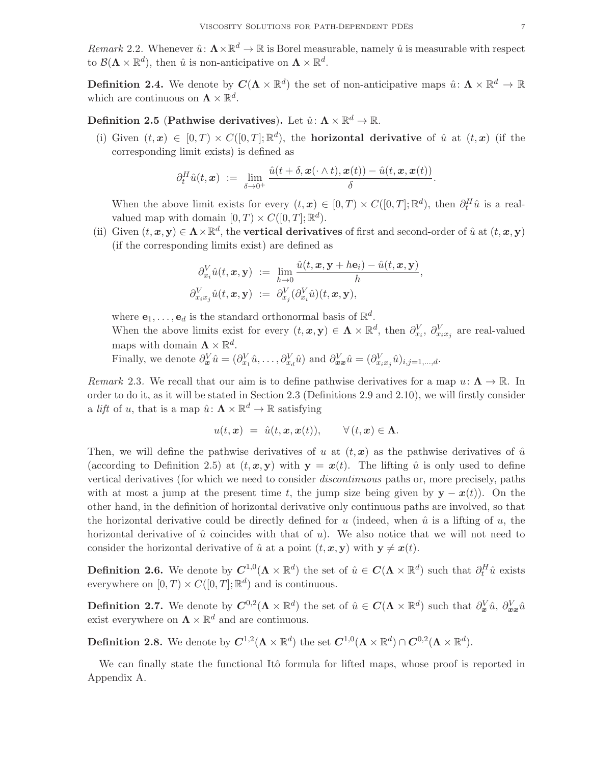*Remark* 2.2. Whenever  $\hat{u}: \Lambda \times \mathbb{R}^d \to \mathbb{R}$  is Borel measurable, namely  $\hat{u}$  is measurable with respect to  $\mathcal{B}(\mathbf{\Lambda}\times\mathbb{R}^d)$ , then  $\hat{u}$  is non-anticipative on  $\mathbf{\Lambda}\times\mathbb{R}^d$ .

**Definition 2.4.** We denote by  $C(\Lambda \times \mathbb{R}^d)$  the set of non-anticipative maps  $\hat{u} \colon \Lambda \times \mathbb{R}^d \to \mathbb{R}$ which are continuous on  $\mathbf{\Lambda} \times \mathbb{R}^d$ .

# Definition 2.5 (Pathwise derivatives). Let  $\hat{u} \colon \mathbf{\Lambda} \times \mathbb{R}^d \to \mathbb{R}$ .

(i) Given  $(t, x) \in [0, T] \times C([0, T]; \mathbb{R}^d)$ , the **horizontal derivative** of  $\hat{u}$  at  $(t, x)$  (if the corresponding limit exists) is defined as

$$
\partial_t^H \hat{u}(t,\boldsymbol{x}) \ := \ \lim_{\delta \to 0^+} \frac{\hat{u}(t+\delta,\boldsymbol{x}(\cdot \wedge t),\boldsymbol{x}(t)) - \hat{u}(t,\boldsymbol{x},\boldsymbol{x}(t))}{\delta}.
$$

When the above limit exists for every  $(t, x) \in [0, T) \times C([0, T]; \mathbb{R}^d)$ , then  $\partial_t^H \hat{u}$  is a realvalued map with domain  $[0, T) \times C([0, T]; \mathbb{R}^d)$ .

(ii) Given  $(t, x, y) \in \Lambda \times \mathbb{R}^d$ , the **vertical derivatives** of first and second-order of  $\hat{u}$  at  $(t, x, y)$ (if the corresponding limits exist) are defined as

$$
\begin{array}{rcl} \partial^V_{x_i}\hat{u}(t,\bm{x},\bm{y}) &:=& \lim\limits_{h\rightarrow 0}\dfrac{\hat{u}(t,\bm{x},\bm{y}+h\bm{e}_i)-\hat{u}(t,\bm{x},\bm{y})}{h},\\ \partial^V_{x_ix_j}\hat{u}(t,\bm{x},\bm{y}) &:=& \partial^V_{x_j}(\partial^V_{x_i}\hat{u})(t,\bm{x},\bm{y}), \end{array}
$$

where  $\mathbf{e}_1, \ldots, \mathbf{e}_d$  is the standard orthonormal basis of  $\mathbb{R}^d$ .

When the above limits exist for every  $(t, x, y) \in \Lambda \times \mathbb{R}^d$ , then  $\partial_{x_i}^V$ ,  $\partial_{x_i x_j}^V$  are real-valued maps with domain  $\Lambda \times \mathbb{R}^d$ .

Finally, we denote  $\partial_{\bm{x}}^V \hat{u} = (\partial_{x_1}^V \hat{u}, \dots, \partial_{x_d}^V \hat{u})$  and  $\partial_{\bm{x}\bm{x}}^V \hat{u} = (\partial_{x_i x_j}^V \hat{u})_{i,j=1,\dots,d}$ .

*Remark* 2.3. We recall that our aim is to define pathwise derivatives for a map  $u: \Lambda \to \mathbb{R}$ . In order to do it, as it will be stated in Section 2.3 (Definitions 2.9 and 2.10), we will firstly consider a *lift* of u, that is a map  $\hat{u} \colon \mathbf{\Lambda} \times \mathbb{R}^d \to \mathbb{R}$  satisfying

$$
u(t, x) = \hat{u}(t, x, x(t)), \qquad \forall (t, x) \in \Lambda.
$$

Then, we will define the pathwise derivatives of u at  $(t, x)$  as the pathwise derivatives of  $\hat{u}$ (according to Definition 2.5) at  $(t, x, y)$  with  $y = x(t)$ . The lifting  $\hat{u}$  is only used to define vertical derivatives (for which we need to consider *discontinuous* paths or, more precisely, paths with at most a jump at the present time t, the jump size being given by  $y - x(t)$ ). On the other hand, in the definition of horizontal derivative only continuous paths are involved, so that the horizontal derivative could be directly defined for u (indeed, when  $\hat{u}$  is a lifting of u, the horizontal derivative of  $\hat{u}$  coincides with that of u). We also notice that we will not need to consider the horizontal derivative of  $\hat{u}$  at a point  $(t, x, y)$  with  $y \neq x(t)$ .

**Definition 2.6.** We denote by  $C^{1,0}(\Lambda \times \mathbb{R}^d)$  the set of  $\hat{u} \in C(\Lambda \times \mathbb{R}^d)$  such that  $\partial_t^H \hat{u}$  exists everywhere on  $[0, T) \times C([0, T]; \mathbb{R}^d)$  and is continuous.

**Definition 2.7.** We denote by  $C^{0,2}(\Lambda \times \mathbb{R}^d)$  the set of  $\hat{u} \in C(\Lambda \times \mathbb{R}^d)$  such that  $\partial_x^V \hat{u}$ ,  $\partial_{xx}^V \hat{u}$ exist everywhere on  $\mathbf{\Lambda} \times \mathbb{R}^d$  and are continuous.

**Definition 2.8.** We denote by  $C^{1,2}(\Lambda \times \mathbb{R}^d)$  the set  $C^{1,0}(\Lambda \times \mathbb{R}^d) \cap C^{0,2}(\Lambda \times \mathbb{R}^d)$ .

We can finally state the functional Itô formula for lifted maps, whose proof is reported in Appendix A.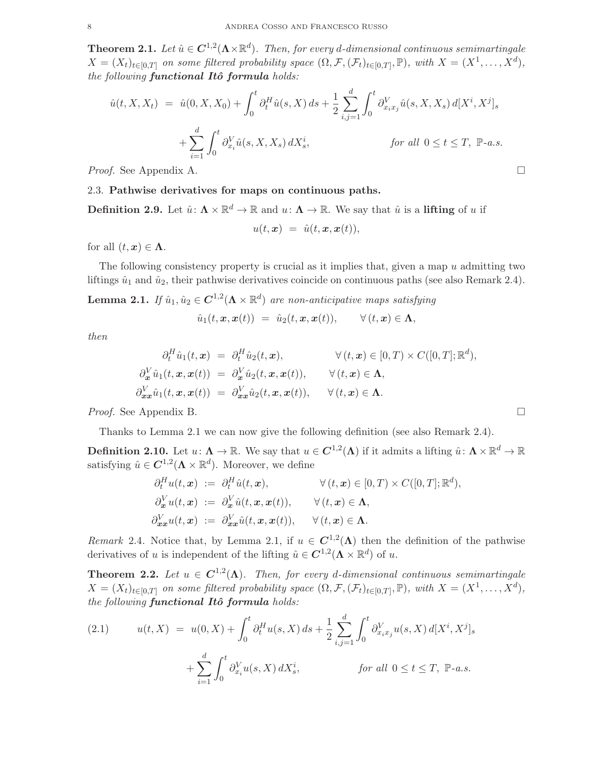**Theorem 2.1.** Let  $\hat{u} \in C^{1,2}(\Lambda \times \mathbb{R}^d)$ . Then, for every d-dimensional continuous semimartingale  $X = (X_t)_{t \in [0,T]}$  *on some filtered probability space*  $(\Omega, \mathcal{F}, (\mathcal{F}_t)_{t \in [0,T]}, \mathbb{P})$ *, with*  $X = (X^1, \ldots, X^d)$ *, the following functional Itô formula holds:* 

$$
\hat{u}(t, X, X_t) = \hat{u}(0, X, X_0) + \int_0^t \partial_t^H \hat{u}(s, X) ds + \frac{1}{2} \sum_{i,j=1}^d \int_0^t \partial_{x_i x_j}^V \hat{u}(s, X, X_s) d[X^i, X^j]_s
$$
  
+ 
$$
\sum_{i=1}^d \int_0^t \partial_{x_i}^V \hat{u}(s, X, X_s) dX_s^i,
$$
 for all  $0 \le t \le T$ , P-a.s.

*Proof.* See Appendix A. □

#### 2.3. Pathwise derivatives for maps on continuous paths.

**Definition 2.9.** Let  $\hat{u} \colon \mathbf{\Lambda} \times \mathbb{R}^d \to \mathbb{R}$  and  $u \colon \mathbf{\Lambda} \to \mathbb{R}$ . We say that  $\hat{u}$  is a **lifting** of u if

 $u(t, x) = \hat{u}(t, x, x(t)),$ 

for all  $(t, x) \in \Lambda$ .

The following consistency property is crucial as it implies that, given a map u admitting two liftings  $\hat{u}_1$  and  $\hat{u}_2$ , their pathwise derivatives coincide on continuous paths (see also Remark 2.4).

**Lemma 2.1.** If  $\hat{u}_1, \hat{u}_2 \in C^{1,2}(\Lambda \times \mathbb{R}^d)$  are non-anticipative maps satisfying

$$
\hat{u}_1(t, \boldsymbol{x}, \boldsymbol{x}(t)) = \hat{u}_2(t, \boldsymbol{x}, \boldsymbol{x}(t)), \qquad \forall (t, \boldsymbol{x}) \in \Lambda,
$$

*then*

$$
\partial_t^H \hat{u}_1(t, \mathbf{x}) = \partial_t^H \hat{u}_2(t, \mathbf{x}), \qquad \forall (t, \mathbf{x}) \in [0, T) \times C([0, T]; \mathbb{R}^d),
$$
  
\n
$$
\partial_{\mathbf{x}}^V \hat{u}_1(t, \mathbf{x}, \mathbf{x}(t)) = \partial_{\mathbf{x}}^V \hat{u}_2(t, \mathbf{x}, \mathbf{x}(t)), \qquad \forall (t, \mathbf{x}) \in \Lambda,
$$
  
\n
$$
\partial_{\mathbf{x}}^V \hat{u}_1(t, \mathbf{x}, \mathbf{x}(t)) = \partial_{\mathbf{x}}^V \hat{u}_2(t, \mathbf{x}, \mathbf{x}(t)), \qquad \forall (t, \mathbf{x}) \in \Lambda.
$$

*Proof.* See Appendix B.

Thanks to Lemma 2.1 we can now give the following definition (see also Remark 2.4).

**Definition 2.10.** Let  $u \colon \Lambda \to \mathbb{R}$ . We say that  $u \in C^{1,2}(\Lambda)$  if it admits a lifting  $\hat{u} \colon \Lambda \times \mathbb{R}^d \to \mathbb{R}$ satisfying  $\hat{u} \in C^{1,2}(\Lambda \times \mathbb{R}^d)$ . Moreover, we define

$$
\partial_t^H u(t, \mathbf{x}) := \partial_t^H \hat{u}(t, \mathbf{x}), \qquad \forall (t, \mathbf{x}) \in [0, T) \times C([0, T]; \mathbb{R}^d),
$$
  
\n
$$
\partial_{\mathbf{x}}^V u(t, \mathbf{x}) := \partial_{\mathbf{x}}^V \hat{u}(t, \mathbf{x}, \mathbf{x}(t)), \qquad \forall (t, \mathbf{x}) \in \Lambda,
$$
  
\n
$$
\partial_{\mathbf{x}}^V u(t, \mathbf{x}) := \partial_{\mathbf{x}}^V \hat{u}(t, \mathbf{x}, \mathbf{x}(t)), \qquad \forall (t, \mathbf{x}) \in \Lambda.
$$

*Remark* 2.4. Notice that, by Lemma 2.1, if  $u \in C^{1,2}(\Lambda)$  then the definition of the pathwise derivatives of u is independent of the lifting  $\hat{u} \in \mathbf{C}^{1,2}(\mathbf{\Lambda} \times \mathbb{R}^d)$  of u.

**Theorem 2.2.** Let  $u \in C^{1,2}(\Lambda)$ . Then, for every d-dimensional continuous semimartingale  $X = (X_t)_{t \in [0,T]}$  *on some filtered probability space*  $(\Omega, \mathcal{F}, (\mathcal{F}_t)_{t \in [0,T]}, \mathbb{P})$ *, with*  $X = (X^1, \ldots, X^d)$ *, the following functional Itô formula holds:* 

(2.1) 
$$
u(t, X) = u(0, X) + \int_0^t \partial_t^H u(s, X) ds + \frac{1}{2} \sum_{i,j=1}^d \int_0^t \partial_{x_i x_j}^V u(s, X) d[X^i, X^j]_s + \sum_{i=1}^d \int_0^t \partial_{x_i}^V u(s, X) dX^i_s, \qquad \text{for all } 0 \le t \le T, \ \mathbb{P}\text{-}a.s.
$$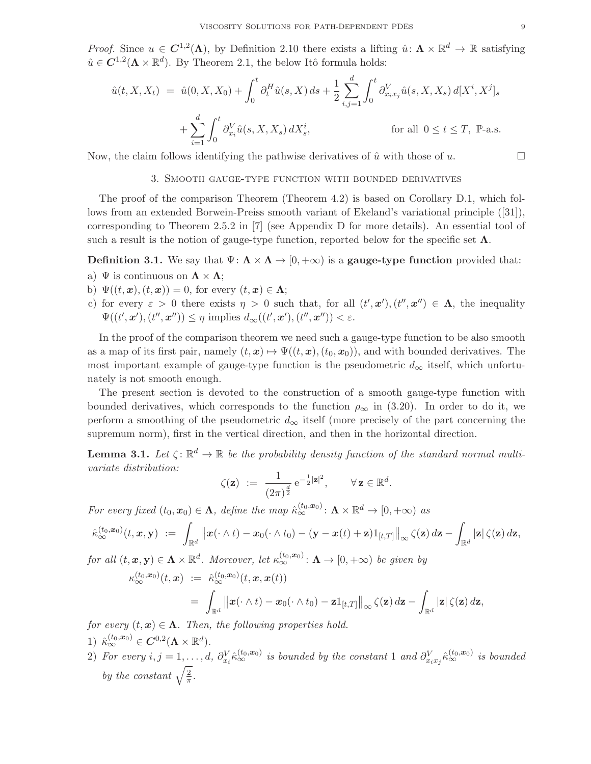*Proof.* Since  $u \in C^{1,2}(\Lambda)$ , by Definition 2.10 there exists a lifting  $\hat{u} \colon \Lambda \times \mathbb{R}^d \to \mathbb{R}$  satisfying  $\hat{u} \in \mathbf{C}^{1,2}(\Lambda \times \mathbb{R}^d)$ . By Theorem 2.1, the below Itô formula holds:

$$
\hat{u}(t, X, X_t) = \hat{u}(0, X, X_0) + \int_0^t \partial_t^H \hat{u}(s, X) ds + \frac{1}{2} \sum_{i,j=1}^d \int_0^t \partial_{x_i x_j}^V \hat{u}(s, X, X_s) d[X^i, X^j]_s
$$
  
+ 
$$
\sum_{i=1}^d \int_0^t \partial_{x_i}^V \hat{u}(s, X, X_s) dX_s^i,
$$
 for all  $0 \le t \le T$ , P-a.s.

Now, the claim follows identifying the pathwise derivatives of  $\hat{u}$  with those of u.

#### 3. Smooth gauge-type function with bounded derivatives

The proof of the comparison Theorem (Theorem 4.2) is based on Corollary D.1, which follows from an extended Borwein-Preiss smooth variant of Ekeland's variational principle ([31]), corresponding to Theorem 2.5.2 in [7] (see Appendix D for more details). An essential tool of such a result is the notion of gauge-type function, reported below for the specific set  $\Lambda$ .

## **Definition 3.1.** We say that  $\Psi: \Lambda \times \Lambda \to [0, +\infty)$  is a **gauge-type function** provided that:

- a)  $\Psi$  is continuous on  $\Lambda \times \Lambda$ ;
- b)  $\Psi((t, x), (t, x)) = 0$ , for every  $(t, x) \in \Lambda$ ;
- c) for every  $\varepsilon > 0$  there exists  $\eta > 0$  such that, for all  $(t', x'), (t'', x'') \in \Lambda$ , the inequality  $\Psi((t', \mathbf{x}'), (t'', \mathbf{x}'')) \leq \eta$  implies  $d_{\infty}((t', \mathbf{x}'), (t'', \mathbf{x}'')) < \varepsilon$ .

In the proof of the comparison theorem we need such a gauge-type function to be also smooth as a map of its first pair, namely  $(t, x) \mapsto \Psi((t, x), (t_0, x_0))$ , and with bounded derivatives. The most important example of gauge-type function is the pseudometric  $d_{\infty}$  itself, which unfortunately is not smooth enough.

The present section is devoted to the construction of a smooth gauge-type function with bounded derivatives, which corresponds to the function  $\rho_{\infty}$  in (3.20). In order to do it, we perform a smoothing of the pseudometric  $d_{\infty}$  itself (more precisely of the part concerning the supremum norm), first in the vertical direction, and then in the horizontal direction.

**Lemma 3.1.** Let  $\zeta: \mathbb{R}^d \to \mathbb{R}$  be the probability density function of the standard normal multi*variate distribution:*

$$
\zeta(\mathbf{z}) \ := \ \frac{1}{(2\pi)^{\frac{d}{2}}} \,\mathrm{e}^{-\frac{1}{2}|\mathbf{z}|^2}, \qquad \forall \, \mathbf{z} \in \mathbb{R}^d.
$$

*For every fixed*  $(t_0, x_0) \in \Lambda$ , *define the map*  $\hat{\kappa}_{\infty}^{(t_0, x_0)}$ :  $\Lambda \times \mathbb{R}^d \to [0, +\infty)$  *as* 

$$
\hat{\kappa}_{\infty}^{(t_0,\boldsymbol{x}_0)}(t,\boldsymbol{x},\boldsymbol{y})\ :=\ \int_{\mathbb{R}^d} \big\|\boldsymbol{x}(\cdot\wedge t)-\boldsymbol{x}_0(\cdot\wedge t_0)-(\boldsymbol{y}-\boldsymbol{x}(t)+\boldsymbol{z})1_{[t,T]}\big\|_\infty\,\zeta(\boldsymbol{z})\,d\boldsymbol{z}-\int_{\mathbb{R}^d}|\boldsymbol{z}|\,\zeta(\boldsymbol{z})\,d\boldsymbol{z},
$$

 $for \ all \ (t, x, y) \in \Lambda \times \mathbb{R}^d$ . Moreover, let  $\kappa_{\infty}^{(t_0, x_0)}$ :  $\Lambda \to [0, +\infty)$  be given by

$$
\kappa_{\infty}^{(t_0,\mathbf{x}_0)}(t,\mathbf{x}) := \hat{\kappa}_{\infty}^{(t_0,\mathbf{x}_0)}(t,\mathbf{x},\mathbf{x}(t))
$$
  
= 
$$
\int_{\mathbb{R}^d} ||\mathbf{x}(\cdot \wedge t) - \mathbf{x}_0(\cdot \wedge t_0) - \mathbf{z}_1[t,T]||_{\infty} \zeta(\mathbf{z}) d\mathbf{z} - \int_{\mathbb{R}^d} |\mathbf{z}| \zeta(\mathbf{z}) d\mathbf{z},
$$

*for every*  $(t, x) \in \Lambda$ . *Then, the following properties hold.* 

- 1)  $\hat{\kappa}_{\infty}^{(t_0, x_0)} \in \mathbf{C}^{0,2}(\mathbf{\Lambda} \times \mathbb{R}^d).$
- $(2)$  *For every*  $i, j = 1, \ldots, d$ ,  $\partial_{x_i}^V \hat{\kappa}_{\infty}^{(t_0, x_0)}$  is bounded by the constant 1 and  $\partial_{x_i x_j}^V \hat{\kappa}_{\infty}^{(t_0, x_0)}$  is bounded *by the constant*  $\sqrt{\frac{2}{\pi}}$  $\frac{2}{\pi}$ .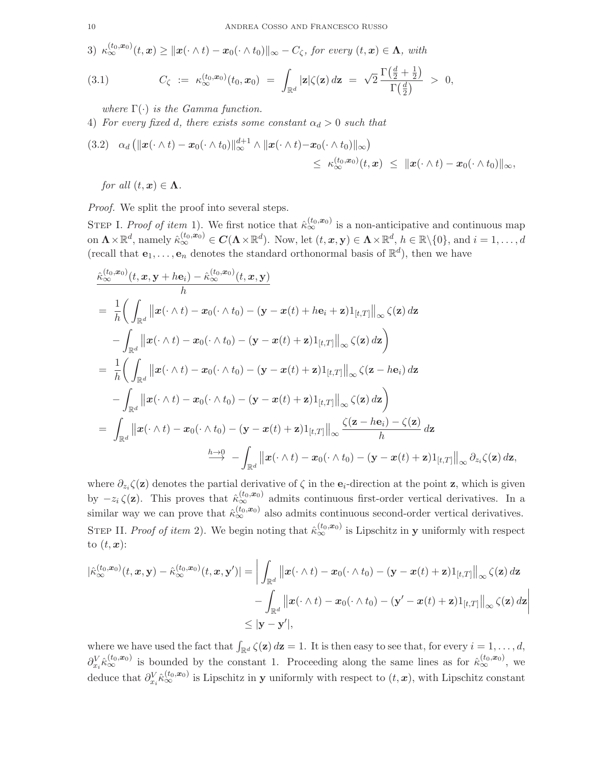3)  $\kappa_{\infty}^{(t_0,x_0)}(t,x) \geq ||x(\cdot \wedge t) - x_0(\cdot \wedge t_0)||_{\infty} - C_{\zeta}$ , for every  $(t,x) \in \Lambda$ , with

(3.1) 
$$
C_{\zeta} := \kappa_{\infty}^{(t_0, \mathbf{x}_0)}(t_0, \mathbf{x}_0) = \int_{\mathbb{R}^d} |\mathbf{z}| \zeta(\mathbf{z}) d\mathbf{z} = \sqrt{2} \frac{\Gamma(\frac{d}{2} + \frac{1}{2})}{\Gamma(\frac{d}{2})} > 0,
$$

*where* Γ(·) *is the Gamma function.*

4) *For every fixed d, there exists some constant*  $\alpha_d > 0$  *such that* 

$$
(3.2) \quad \alpha_d \left( \|\boldsymbol{x}(\cdot \wedge t) - \boldsymbol{x}_0(\cdot \wedge t_0)\|_{\infty}^{d+1} \wedge \|\boldsymbol{x}(\cdot \wedge t) - \boldsymbol{x}_0(\cdot \wedge t_0)\|_{\infty} \right) \leq \kappa_{\infty}^{(t_0, \boldsymbol{x}_0)}(t, \boldsymbol{x}) \ \leq \ \|\boldsymbol{x}(\cdot \wedge t) - \boldsymbol{x}_0(\cdot \wedge t_0)\|_{\infty},
$$

*for all*  $(t, x) \in \Lambda$ *.* 

*Proof.* We split the proof into several steps.

STEP I. *Proof of item* 1). We first notice that  $\hat{\kappa}_{\infty}^{(t_0,x_0)}$  is a non-anticipative and continuous map  $\text{on } \Lambda \times \mathbb{R}^d \text{, namely } \hat{\kappa}_{\infty}^{(t_0, \bm{x}_0)} \in \bm{C}(\Lambda \times \mathbb{R}^d).$  Now, let  $(t, \bm{x}, \mathbf{y}) \in \Lambda \times \mathbb{R}^d, h \in \mathbb{R} \setminus \{0\} \text{, and } i = 1, \ldots, d$ (recall that  $e_1, \ldots, e_n$  denotes the standard orthonormal basis of  $\mathbb{R}^d$ ), then we have

$$
\frac{\hat{\kappa}_{\infty}^{(t_0,x_0)}(t,x,y+he_i)-\hat{\kappa}_{\infty}^{(t_0,x_0)}(t,x,y)}{h}
$$
\n
$$
=\frac{1}{h}\bigg(\int_{\mathbb{R}^d}||x(\cdot\wedge t)-x_0(\cdot\wedge t_0)-(y-x(t)+he_i+z)1_{[t,T]}\|_{\infty}\zeta(\mathbf{z}) d\mathbf{z}
$$
\n
$$
-\int_{\mathbb{R}^d}||x(\cdot\wedge t)-x_0(\cdot\wedge t_0)-(y-x(t)+\mathbf{z})1_{[t,T]}\|_{\infty}\zeta(\mathbf{z}) d\mathbf{z}\bigg)
$$
\n
$$
=\frac{1}{h}\bigg(\int_{\mathbb{R}^d}||x(\cdot\wedge t)-x_0(\cdot\wedge t_0)-(y-x(t)+\mathbf{z})1_{[t,T]}\|_{\infty}\zeta(\mathbf{z}-he_i) d\mathbf{z}
$$
\n
$$
-\int_{\mathbb{R}^d}||x(\cdot\wedge t)-x_0(\cdot\wedge t_0)-(y-x(t)+\mathbf{z})1_{[t,T]}\|_{\infty}\zeta(\mathbf{z}) d\mathbf{z}\bigg)
$$
\n
$$
=\int_{\mathbb{R}^d}||x(\cdot\wedge t)-x_0(\cdot\wedge t_0)-(y-x(t)+\mathbf{z})1_{[t,T]}\|_{\infty}\frac{\zeta(\mathbf{z}-he_i)-\zeta(\mathbf{z})}{h} d\mathbf{z}
$$
\n
$$
\xrightarrow{h\to 0} -\int_{\mathbb{R}^d}||x(\cdot\wedge t)-x_0(\cdot\wedge t_0)-(y-x(t)+\mathbf{z})1_{[t,T]}\|_{\infty}\partial_{z_i}\zeta(\mathbf{z}) d\mathbf{z},
$$

where  $\partial_{z_i}\zeta(z)$  denotes the partial derivative of  $\zeta$  in the  $e_i$ -direction at the point z, which is given by  $-z_i \zeta(\mathbf{z})$ . This proves that  $\hat{\kappa}_{\infty}^{(t_0,x_0)}$  admits continuous first-order vertical derivatives. In a similar way we can prove that  $\hat{\kappa}_{\infty}^{(t_0,x_0)}$  also admits continuous second-order vertical derivatives. STEP II. *Proof of item* 2). We begin noting that  $\hat{\kappa}_{\infty}^{(t_0,x_0)}$  is Lipschitz in **y** uniformly with respect to  $(t, x)$ :

$$
\begin{aligned} |\hat{\kappa}_{\infty}^{(t_0, \mathbf{x}_0)}(t, \mathbf{x}, \mathbf{y}) - \hat{\kappa}_{\infty}^{(t_0, \mathbf{x}_0)}(t, \mathbf{x}, \mathbf{y}')| &= \bigg| \int_{\mathbb{R}^d} ||\mathbf{x}(\cdot \wedge t) - \mathbf{x}_0(\cdot \wedge t_0) - (\mathbf{y} - \mathbf{x}(t) + \mathbf{z}) \mathbf{1}_{[t, T]} ||_{\infty} \zeta(\mathbf{z}) d\mathbf{z} \\ &- \int_{\mathbb{R}^d} ||\mathbf{x}(\cdot \wedge t) - \mathbf{x}_0(\cdot \wedge t_0) - (\mathbf{y}' - \mathbf{x}(t) + \mathbf{z}) \mathbf{1}_{[t, T]} ||_{\infty} \zeta(\mathbf{z}) d\mathbf{z} \bigg| \\ &\leq |\mathbf{y} - \mathbf{y}'|, \end{aligned}
$$

where we have used the fact that  $\int_{\mathbb{R}^d} \zeta(\mathbf{z}) d\mathbf{z} = 1$ . It is then easy to see that, for every  $i = 1, \ldots, d$ ,  $\partial_{x_i}^V \hat{\kappa}_{\infty}^{(t_0,x_0)}$  is bounded by the constant 1. Proceeding along the same lines as for  $\hat{\kappa}_{\infty}^{(t_0,x_0)}$ , we deduce that  $\partial_{x_i}^V \hat{\kappa}_{\infty}^{(t_0,x_0)}$  is Lipschitz in y uniformly with respect to  $(t,x)$ , with Lipschitz constant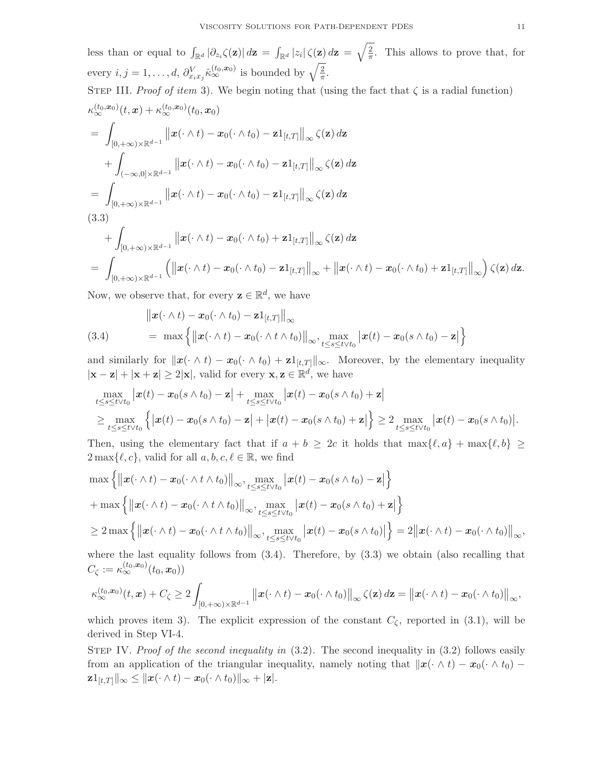less than or equal to  $\int_{\mathbb{R}^d} |\partial_{z_i}\zeta(\mathbf{z})| d\mathbf{z} = \int_{\mathbb{R}^d} |z_i|\zeta(\mathbf{z}) d\mathbf{z} = \sqrt{\frac{2}{\pi}}$  $\frac{2}{\pi}$ . This allows to prove that, for every  $i, j = 1, ..., d, \partial_{x_i x_j}^V \hat{\kappa}_{\infty}^{(t_0, x_0)}$  is bounded by  $\sqrt{\frac{2}{\pi}}$  $\frac{2}{\pi}$ .

STEP III. *Proof of item 3*).

\nWe begin noting that (using the fact that 
$$
\zeta
$$
 is a radial function)

\n
$$
\kappa_{\infty}^{(t_0, x_0)}(t, x) + \kappa_{\infty}^{(t_0, x_0)}(t_0, x_0)
$$
\n
$$
= \int_{[0, +\infty)\times \mathbb{R}^{d-1}} ||x(\cdot \wedge t) - x_0(\cdot \wedge t_0) - z1_{[t, T]}||_{\infty} \zeta(\mathbf{z}) d\mathbf{z}
$$
\n
$$
+ \int_{(-\infty, 0] \times \mathbb{R}^{d-1}} ||x(\cdot \wedge t) - x_0(\cdot \wedge t_0) - z1_{[t, T]}||_{\infty} \zeta(\mathbf{z}) d\mathbf{z}
$$
\n
$$
= \int_{[0, +\infty)\times \mathbb{R}^{d-1}} ||x(\cdot \wedge t) - x_0(\cdot \wedge t_0) - z1_{[t, T]}||_{\infty} \zeta(\mathbf{z}) d\mathbf{z}
$$
\n(3.3)

\n
$$
+ \int_{-\infty}^{+\infty} ||x(\cdot \wedge t) - x_0(\cdot \wedge t_0) + z1_{[t, T]}|| \zeta(\mathbf{z}) d\mathbf{z}
$$

$$
+\int_{[0,+\infty)\times\mathbb{R}^{d-1}}\left\|\boldsymbol{x}(\cdot\wedge t)-\boldsymbol{x}_0(\cdot\wedge t_0)+\mathbf{z}\mathbb{1}_{[t,T]}\right\|_{\infty}\zeta(\mathbf{z})\,d\mathbf{z}
$$
\n
$$
=\int_{[0,+\infty)\times\mathbb{R}^{d-1}}\left(\left\|\boldsymbol{x}(\cdot\wedge t)-\boldsymbol{x}_0(\cdot\wedge t_0)-\mathbf{z}\mathbb{1}_{[t,T]}\right\|_{\infty}+\left\|\boldsymbol{x}(\cdot\wedge t)-\boldsymbol{x}_0(\cdot\wedge t_0)+\mathbf{z}\mathbb{1}_{[t,T]}\right\|_{\infty}\right)\zeta(\mathbf{z})\,d\mathbf{z}.
$$

Now, we observe that, for every  $\mathbf{z} \in \mathbb{R}^d$ , we have

(3.4) 
$$
\|x(\cdot \wedge t) - x_0(\cdot \wedge t_0) - \mathbf{z} \mathbf{1}_{[t,T]}\|_{\infty} \n= \max \left\{\left\|\mathbf{x}(\cdot \wedge t) - \mathbf{x}_0(\cdot \wedge t \wedge t_0)\right\|_{\infty}, \max_{t \leq s \leq t \vee t_0} |\mathbf{x}(t) - \mathbf{x}_0(s \wedge t_0) - \mathbf{z}|\right\}
$$

and similarly for  $\|\boldsymbol{x}(\cdot \wedge t) - \boldsymbol{x}_0(\cdot \wedge t_0) + \mathbf{z} \mathbb{1}_{[t,T]}\|_{\infty}$ . Moreover, by the elementary inequality  $|\mathbf{x} - \mathbf{z}| + |\mathbf{x} + \mathbf{z}| \ge 2|\mathbf{x}|$ , valid for every  $\mathbf{x}, \mathbf{z} \in \mathbb{R}^d$ , we have

$$
\max_{t \leq s \leq t \vee t_0} |\bm{x}(t) - \bm{x}_0(s \wedge t_0) - \bm{z}| + \max_{t \leq s \leq t \vee t_0} |\bm{x}(t) - \bm{x}_0(s \wedge t_0) + \bm{z}|
$$
\n
$$
\geq \max_{t \leq s \leq t \vee t_0} {\left\{ |\bm{x}(t) - \bm{x}_0(s \wedge t_0) - \bm{z}| + |\bm{x}(t) - \bm{x}_0(s \wedge t_0) + \bm{z}| \right\}} \geq 2 \max_{t \leq s \leq t \vee t_0} |\bm{x}(t) - \bm{x}_0(s \wedge t_0)|.
$$

Then, using the elementary fact that if  $a + b \geq 2c$  it holds that  $\max\{\ell, a\} + \max\{\ell, b\} \geq$  $2 \max\{\ell, c\}$ , valid for all  $a, b, c, \ell \in \mathbb{R}$ , we find

$$
\max \left\{ \left\| \boldsymbol{x}(\cdot \wedge t) - \boldsymbol{x}_0(\cdot \wedge t \wedge t_0) \right\|_{\infty}, \max_{t \le s \le t \vee t_0} \left| \boldsymbol{x}(t) - \boldsymbol{x}_0(s \wedge t_0) - \boldsymbol{z} \right| \right\} \n+ \max \left\{ \left\| \boldsymbol{x}(\cdot \wedge t) - \boldsymbol{x}_0(\cdot \wedge t \wedge t_0) \right\|_{\infty}, \max_{t \le s \le t \vee t_0} \left| \boldsymbol{x}(t) - \boldsymbol{x}_0(s \wedge t_0) + \boldsymbol{z} \right| \right\} \n\ge 2 \max \left\{ \left\| \boldsymbol{x}(\cdot \wedge t) - \boldsymbol{x}_0(\cdot \wedge t \wedge t_0) \right\|_{\infty}, \max_{t \le s \le t \vee t_0} \left| \boldsymbol{x}(t) - \boldsymbol{x}_0(s \wedge t_0) \right| \right\} = 2 \left\| \boldsymbol{x}(\cdot \wedge t) - \boldsymbol{x}_0(\cdot \wedge t_0) \right\|_{\infty},
$$
\nwhere the last equality follows from (3.4). Therefore, by (3.3) we obtain (also recalling that

follows from  $(3.4)$ . Therefore, by  $(3.3)$  we obtain (also rec  $C_\zeta:=\kappa_\infty^{(t_0,\bm{x}_0)}(t_0,\bm{x}_0))$ 

$$
\kappa_{\infty}^{(t_0,\boldsymbol{x}_0)}(t,\boldsymbol{x})+C_{\zeta}\geq 2\int_{[0,+\infty)\times\mathbb{R}^{d-1}}\left\|\boldsymbol{x}(\cdot\wedge t)-\boldsymbol{x}_0(\cdot\wedge t_0)\right\|_{\infty}\zeta(\boldsymbol{z}) d\boldsymbol{z}=\left\|\boldsymbol{x}(\cdot\wedge t)-\boldsymbol{x}_0(\cdot\wedge t_0)\right\|_{\infty},
$$

which proves item 3). The explicit expression of the constant  $C_{\zeta}$ , reported in (3.1), will be derived in Step VI-4.

STEP IV. *Proof of the second inequality in*  $(3.2)$ . The second inequality in  $(3.2)$  follows easily from an application of the triangular inequality, namely noting that  $\|\boldsymbol{x}(\cdot \wedge t) - \boldsymbol{x}_0(\cdot \wedge t_0) \mathbf{z}1_{[t,T]}\Vert_{\infty}\leq \Vert\boldsymbol{x}(\cdot\wedge t)-\boldsymbol{x}_0(\cdot\wedge t_0)\Vert_{\infty}+|\mathbf{z}|.$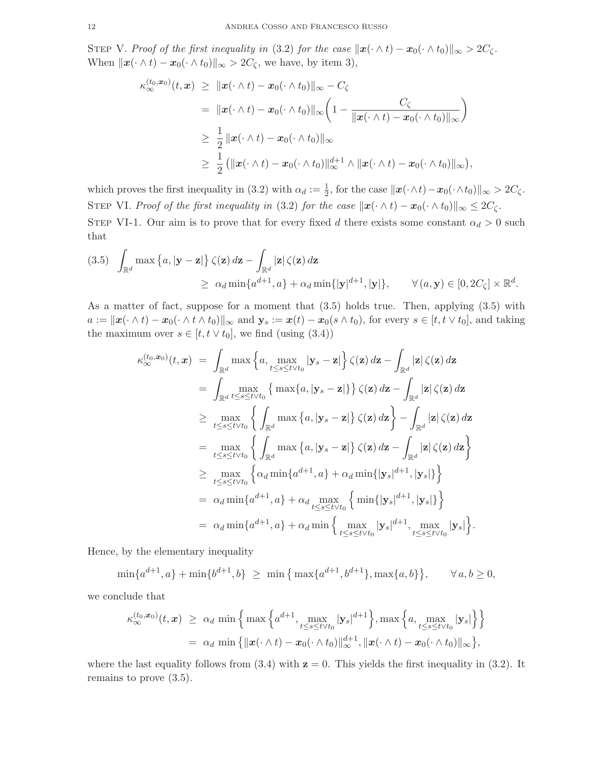STEP V. Proof of the first inequality in (3.2) for the case  $\|\mathbf{x}(\cdot \wedge t) - \mathbf{x}_0(\cdot \wedge t_0)\|_{\infty} > 2C_{\zeta}$ . When  $\|\boldsymbol{x}(\cdot \wedge t) - \boldsymbol{x}_0(\cdot \wedge t_0)\|_{\infty} > 2C_{\zeta}$ , we have, by item 3),

$$
\kappa_{\infty}^{(t_0, \mathbf{x}_0)}(t, \mathbf{x}) \geq \|\mathbf{x}(\cdot \wedge t) - \mathbf{x}_0(\cdot \wedge t_0)\|_{\infty} - C_{\zeta}
$$
\n
$$
= \|\mathbf{x}(\cdot \wedge t) - \mathbf{x}_0(\cdot \wedge t_0)\|_{\infty} \left(1 - \frac{C_{\zeta}}{\|\mathbf{x}(\cdot \wedge t) - \mathbf{x}_0(\cdot \wedge t_0)\|_{\infty}}\right)
$$
\n
$$
\geq \frac{1}{2} \|\mathbf{x}(\cdot \wedge t) - \mathbf{x}_0(\cdot \wedge t_0)\|_{\infty}
$$
\n
$$
\geq \frac{1}{2} (\|\mathbf{x}(\cdot \wedge t) - \mathbf{x}_0(\cdot \wedge t_0)\|_{\infty}^{d+1} \wedge \|\mathbf{x}(\cdot \wedge t) - \mathbf{x}_0(\cdot \wedge t_0)\|_{\infty})
$$

which proves the first inequality in (3.2) with  $\alpha_d := \frac{1}{2}$ , for the case  $\|\boldsymbol{x}(\cdot \wedge t) - \boldsymbol{x}_0(\cdot \wedge t_0)\|_{\infty} > 2C_{\zeta}$ . STEP VI. *Proof of the first inequality in* (3.2) *for the case*  $\|\mathbf{x}(\cdot \wedge t) - \mathbf{x}_0(\cdot \wedge t_0)\|_{\infty} \leq 2C_{\zeta}$ *.* 

,

STEP VI-1. Our aim is to prove that for every fixed d there exists some constant  $\alpha_d > 0$  such that

$$
(3.5) \quad \int_{\mathbb{R}^d} \max \left\{ a, |\mathbf{y} - \mathbf{z}| \right\} \zeta(\mathbf{z}) d\mathbf{z} - \int_{\mathbb{R}^d} |\mathbf{z}| \zeta(\mathbf{z}) d\mathbf{z} \ge \alpha_d \min \{ a^{d+1}, a \} + \alpha_d \min \{ |\mathbf{y}|^{d+1}, |\mathbf{y}| \}, \qquad \forall (a, \mathbf{y}) \in [0, 2C_{\zeta}] \times \mathbb{R}^d.
$$

As a matter of fact, suppose for a moment that (3.5) holds true. Then, applying (3.5) with  $a := ||x(\cdot \wedge t) - x_0(\cdot \wedge t \wedge t_0)||_{\infty}$  and  $\mathbf{y}_s := x(t) - x_0(s \wedge t_0)$ , for every  $s \in [t, t \vee t_0]$ , and taking the maximum over  $s \in [t, t \vee t_0]$ , we find (using (3.4))

$$
\kappa_{\infty}^{(t_0, \mathbf{x}_0)}(t, \mathbf{x}) = \int_{\mathbb{R}^d} \max \left\{ a, \max_{t \leq s \leq t \vee t_0} |\mathbf{y}_s - \mathbf{z}| \right\} \zeta(\mathbf{z}) d\mathbf{z} - \int_{\mathbb{R}^d} |\mathbf{z}| \zeta(\mathbf{z}) d\mathbf{z} \n= \int_{\mathbb{R}^d} \max_{t \leq s \leq t \vee t_0} \left\{ \max \{ a, |\mathbf{y}_s - \mathbf{z}| \} \right\} \zeta(\mathbf{z}) d\mathbf{z} - \int_{\mathbb{R}^d} |\mathbf{z}| \zeta(\mathbf{z}) d\mathbf{z} \n\geq \max_{t \leq s \leq t \vee t_0} \left\{ \int_{\mathbb{R}^d} \max \{ a, |\mathbf{y}_s - \mathbf{z}| \} \zeta(\mathbf{z}) d\mathbf{z} \right\} - \int_{\mathbb{R}^d} |\mathbf{z}| \zeta(\mathbf{z}) d\mathbf{z} \n= \max_{t \leq s \leq t \vee t_0} \left\{ \int_{\mathbb{R}^d} \max \{ a, |\mathbf{y}_s - \mathbf{z}| \} \zeta(\mathbf{z}) d\mathbf{z} - \int_{\mathbb{R}^d} |\mathbf{z}| \zeta(\mathbf{z}) d\mathbf{z} \right\} \n\geq \max_{t \leq s \leq t \vee t_0} \left\{ \alpha_d \min \{ a^{d+1}, a \} + \alpha_d \min \{ |\mathbf{y}_s|^{d+1}, |\mathbf{y}_s| \} \right\} \n= \alpha_d \min \{ a^{d+1}, a \} + \alpha_d \min \left\{ \max_{t \leq s \leq t \vee t_0} |\mathbf{y}_s|^{d+1}, \max_{t \leq s \leq t \vee t_0} |\mathbf{y}_s| \right\}.
$$

Hence, by the elementary inequality

 $\min\{a^{d+1},a\} + \min\{b^{d+1},b\} \geq \min\{\max\{a^{d+1},b^{d+1}\},\max\{a,b\}\}, \quad \forall a,b \geq 0,$ 

we conclude that

$$
\kappa_{\infty}^{(t_0,\boldsymbol{x}_0)}(t,\boldsymbol{x}) \geq \alpha_d \min \left\{ \max \left\{ a^{d+1}, \max_{t \leq s \leq t \vee t_0} |\mathbf{y}_s|^{d+1} \right\}, \max \left\{ a, \max_{t \leq s \leq t \vee t_0} |\mathbf{y}_s| \right\} \right\}
$$

$$
= \alpha_d \min \left\{ ||\boldsymbol{x}(\cdot \wedge t) - \boldsymbol{x}_0(\cdot \wedge t_0)||_{\infty}^{d+1}, ||\boldsymbol{x}(\cdot \wedge t) - \boldsymbol{x}_0(\cdot \wedge t_0)||_{\infty} \right\},
$$

where the last equality follows from  $(3.4)$  with  $z = 0$ . This yields the first inequality in  $(3.2)$ . It remains to prove (3.5).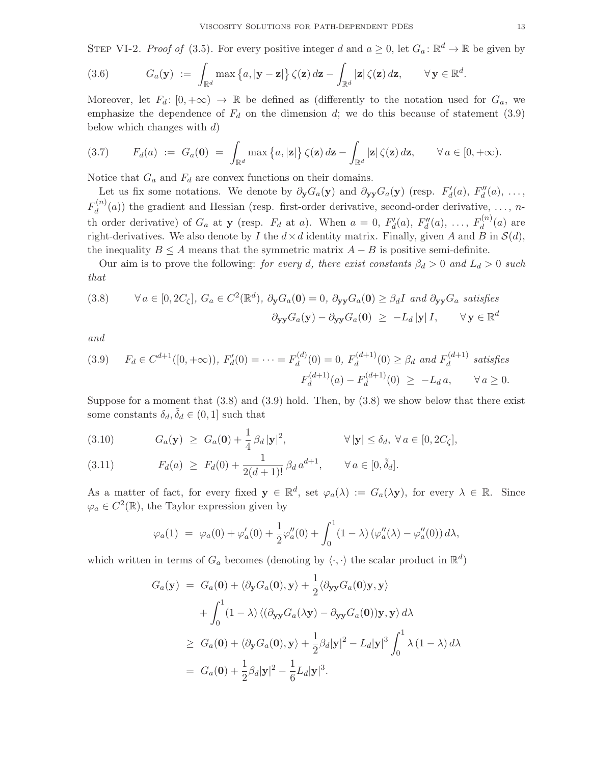STEP VI-2. *Proof of* (3.5). For every positive integer d and  $a \ge 0$ , let  $G_a: \mathbb{R}^d \to \mathbb{R}$  be given by

(3.6) 
$$
G_a(\mathbf{y}) := \int_{\mathbb{R}^d} \max \left\{ a, |\mathbf{y} - \mathbf{z}| \right\} \zeta(\mathbf{z}) d\mathbf{z} - \int_{\mathbb{R}^d} |\mathbf{z}| \zeta(\mathbf{z}) d\mathbf{z}, \qquad \forall \mathbf{y} \in \mathbb{R}^d.
$$

Moreover, let  $F_d: [0, +\infty) \to \mathbb{R}$  be defined as (differently to the notation used for  $G_a$ , we emphasize the dependence of  $F_d$  on the dimension d; we do this because of statement (3.9) below which changes with  $d$ )

$$
(3.7) \tFd(a) := Ga(0) = \int_{\mathbb{R}^d} \max\left\{a, |\mathbf{z}|\right\} \zeta(\mathbf{z}) d\mathbf{z} - \int_{\mathbb{R}^d} |\mathbf{z}| \zeta(\mathbf{z}) d\mathbf{z}, \quad \forall a \in [0, +\infty).
$$

Notice that  $G_a$  and  $F_d$  are convex functions on their domains.

Let us fix some notations. We denote by  $\partial_y G_a(y)$  and  $\partial_{yy} G_a(y)$  (resp.  $F'_d(a), F''_d(a), \ldots$ ,  $F_d^{(n)}$  $d_d^{(n)}(a)$  the gradient and Hessian (resp. first-order derivative, second-order derivative, ..., nth order derivative) of  $G_a$  at y (resp.  $F_d$  at a). When  $a = 0, F'_d(a), F''_d(a), \ldots, F_d^{(n)}$  $d^{(n)}(a)$  are right-derivatives. We also denote by I the  $d \times d$  identity matrix. Finally, given A and B in  $\mathcal{S}(d)$ , the inequality  $B \leq A$  means that the symmetric matrix  $A - B$  is positive semi-definite.

Our aim is to prove the following: *for every* d, there exist constants  $\beta_d > 0$  and  $L_d > 0$  such *that*

(3.8) 
$$
\forall a \in [0, 2C_{\zeta}], G_a \in C^2(\mathbb{R}^d), \ \partial_{\mathbf{y}}G_a(\mathbf{0}) = 0, \ \partial_{\mathbf{y}\mathbf{y}}G_a(\mathbf{0}) \ge \beta_d I \ \text{and} \ \partial_{\mathbf{y}\mathbf{y}}G_a \ \text{satisfies}
$$

$$
\partial_{\mathbf{y}\mathbf{y}}G_a(\mathbf{y}) - \partial_{\mathbf{y}\mathbf{y}}G_a(\mathbf{0}) \ge -L_d |\mathbf{y}| I, \qquad \forall \ \mathbf{y} \in \mathbb{R}^d
$$

*and*

$$
(3.9) \quad F_d \in C^{d+1}([0, +\infty)), \ F'_d(0) = \dots = F_d^{(d)}(0) = 0, \ F_d^{(d+1)}(0) \ge \beta_d \ \text{and} \ F_d^{(d+1)} \ \text{satisfies}
$$
\n
$$
F_d^{(d+1)}(a) - F_d^{(d+1)}(0) \ge -L_d a, \qquad \forall a \ge 0.
$$

Suppose for a moment that  $(3.8)$  and  $(3.9)$  hold. Then, by  $(3.8)$  we show below that there exist some constants  $\delta_d, \tilde{\delta}_d \in (0, 1]$  such that

(3.10) 
$$
G_a(\mathbf{y}) \geq G_a(\mathbf{0}) + \frac{1}{4} \beta_d |\mathbf{y}|^2, \qquad \forall |\mathbf{y}| \leq \delta_d, \ \forall a \in [0, 2C_{\zeta}],
$$

(3.11) 
$$
F_d(a) \geq F_d(0) + \frac{1}{2(d+1)!} \beta_d a^{d+1}, \qquad \forall a \in [0, \tilde{\delta}_d].
$$

As a matter of fact, for every fixed  $y \in \mathbb{R}^d$ , set  $\varphi_a(\lambda) := G_a(\lambda y)$ , for every  $\lambda \in \mathbb{R}$ . Since  $\varphi_a \in C^2(\mathbb{R})$ , the Taylor expression given by

$$
\varphi_a(1) = \varphi_a(0) + \varphi'_a(0) + \frac{1}{2}\varphi''_a(0) + \int_0^1 (1 - \lambda) (\varphi''_a(\lambda) - \varphi''_a(0)) d\lambda,
$$

which written in terms of  $G_a$  becomes (denoting by  $\langle \cdot, \cdot \rangle$  the scalar product in  $\mathbb{R}^d$ )

$$
G_a(\mathbf{y}) = G_a(\mathbf{0}) + \langle \partial_{\mathbf{y}} G_a(\mathbf{0}), \mathbf{y} \rangle + \frac{1}{2} \langle \partial_{\mathbf{y} \mathbf{y}} G_a(\mathbf{0}) \mathbf{y}, \mathbf{y} \rangle + \int_0^1 (1 - \lambda) \langle (\partial_{\mathbf{y} \mathbf{y}} G_a(\lambda \mathbf{y}) - \partial_{\mathbf{y} \mathbf{y}} G_a(\mathbf{0})) \mathbf{y}, \mathbf{y} \rangle d\lambda \ge G_a(\mathbf{0}) + \langle \partial_{\mathbf{y}} G_a(\mathbf{0}), \mathbf{y} \rangle + \frac{1}{2} \beta_d |\mathbf{y}|^2 - L_d |\mathbf{y}|^3 \int_0^1 \lambda (1 - \lambda) d\lambda = G_a(\mathbf{0}) + \frac{1}{2} \beta_d |\mathbf{y}|^2 - \frac{1}{6} L_d |\mathbf{y}|^3.
$$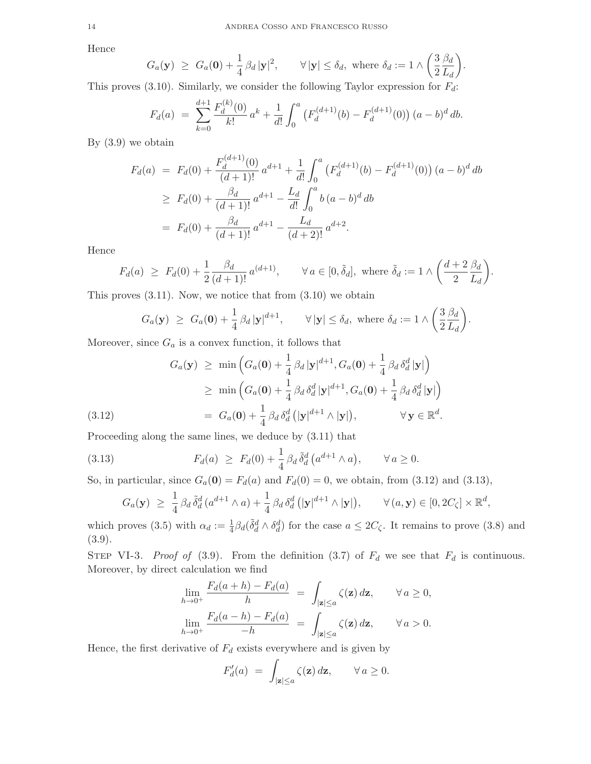Hence

$$
G_a(\mathbf{y}) \geq G_a(\mathbf{0}) + \frac{1}{4} \beta_d |\mathbf{y}|^2, \qquad \forall |\mathbf{y}| \leq \delta_d, \text{ where } \delta_d := 1 \wedge \left(\frac{3}{2} \frac{\beta_d}{L_d}\right).
$$

This proves  $(3.10)$ . Similarly, we consider the following Taylor expression for  $F_d$ :

$$
F_d(a) = \sum_{k=0}^{d+1} \frac{F_d^{(k)}(0)}{k!} a^k + \frac{1}{d!} \int_0^a \left( F_d^{(d+1)}(b) - F_d^{(d+1)}(0) \right) (a-b)^d \, db.
$$

By  $(3.9)$  we obtain

$$
F_d(a) = F_d(0) + \frac{F_d^{(d+1)}(0)}{(d+1)!} a^{d+1} + \frac{1}{d!} \int_0^a \left( F_d^{(d+1)}(b) - F_d^{(d+1)}(0) \right) (a-b)^d \, db
$$
  
\n
$$
\geq F_d(0) + \frac{\beta_d}{(d+1)!} a^{d+1} - \frac{L_d}{d!} \int_0^a b (a-b)^d \, db
$$
  
\n
$$
= F_d(0) + \frac{\beta_d}{(d+1)!} a^{d+1} - \frac{L_d}{(d+2)!} a^{d+2}.
$$

Hence

$$
F_d(a) \ge F_d(0) + \frac{1}{2} \frac{\beta_d}{(d+1)!} a^{(d+1)}, \qquad \forall a \in [0, \tilde{\delta}_d], \text{ where } \tilde{\delta}_d := 1 \wedge \left(\frac{d+2}{2} \frac{\beta_d}{L_d}\right).
$$

This proves  $(3.11)$ . Now, we notice that from  $(3.10)$  we obtain

$$
G_a(\mathbf{y}) \geq G_a(\mathbf{0}) + \frac{1}{4} \beta_d |\mathbf{y}|^{d+1}, \qquad \forall |\mathbf{y}| \leq \delta_d, \text{ where } \delta_d := 1 \wedge \left(\frac{3}{2} \frac{\beta_d}{L_d}\right).
$$

Moreover, since  $G_a$  is a convex function, it follows that

(3.12)  
\n
$$
G_a(\mathbf{y}) \ge \min \left( G_a(\mathbf{0}) + \frac{1}{4} \beta_d |\mathbf{y}|^{d+1}, G_a(\mathbf{0}) + \frac{1}{4} \beta_d \delta_d^d |\mathbf{y}| \right)
$$
\n
$$
\ge \min \left( G_a(\mathbf{0}) + \frac{1}{4} \beta_d \delta_d^d |\mathbf{y}|^{d+1}, G_a(\mathbf{0}) + \frac{1}{4} \beta_d \delta_d^d |\mathbf{y}| \right)
$$
\n
$$
= G_a(\mathbf{0}) + \frac{1}{4} \beta_d \delta_d^d (|\mathbf{y}|^{d+1} \wedge |\mathbf{y}|), \qquad \forall \mathbf{y} \in \mathbb{R}^d.
$$

Proceeding along the same lines, we deduce by (3.11) that

(3.13) 
$$
F_d(a) \geq F_d(0) + \frac{1}{4} \beta_d \tilde{\delta}_d^d \left( a^{d+1} \wedge a \right), \qquad \forall a \geq 0.
$$

So, in particular, since  $G_a(0) = F_d(a)$  and  $F_d(0) = 0$ , we obtain, from (3.12) and (3.13),

$$
G_a(\mathbf{y}) \geq \frac{1}{4} \beta_d \,\tilde{\delta}_d^d \,(a^{d+1} \wedge a) + \frac{1}{4} \beta_d \,\delta_d^d \,(|\mathbf{y}|^{d+1} \wedge |\mathbf{y}|), \qquad \forall \,(a,\mathbf{y}) \in [0,2C_\zeta] \times \mathbb{R}^d,
$$

which proves (3.5) with  $\alpha_d := \frac{1}{4} \beta_d(\tilde{\delta}_d^d \wedge \delta_d^d)$  for the case  $a \leq 2C_{\zeta}$ . It remains to prove (3.8) and (3.9).

STEP VI-3. *Proof of* (3.9). From the definition (3.7) of  $F_d$  we see that  $F_d$  is continuous. Moreover, by direct calculation we find

$$
\lim_{h \to 0^+} \frac{F_d(a+h) - F_d(a)}{h} = \int_{|\mathbf{z}| \le a} \zeta(\mathbf{z}) d\mathbf{z}, \qquad \forall a \ge 0,
$$

$$
\lim_{h \to 0^+} \frac{F_d(a-h) - F_d(a)}{-h} = \int_{|\mathbf{z}| \le a} \zeta(\mathbf{z}) d\mathbf{z}, \qquad \forall a > 0.
$$

Hence, the first derivative of  $F_d$  exists everywhere and is given by

$$
F'_d(a) = \int_{|\mathbf{z}| \le a} \zeta(\mathbf{z}) d\mathbf{z}, \qquad \forall a \ge 0.
$$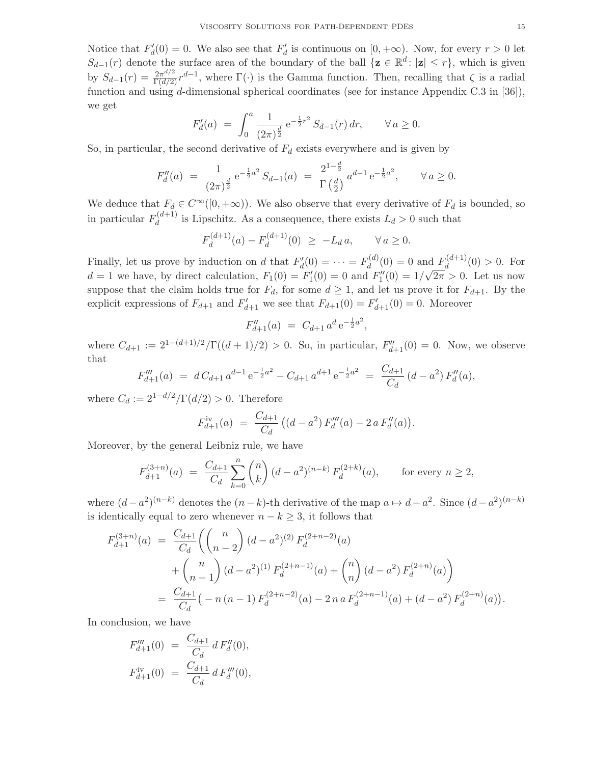Notice that  $F'_d(0) = 0$ . We also see that  $F'_d$  is continuous on  $[0, +\infty)$ . Now, for every  $r > 0$  let  $S_{d-1}(r)$  denote the surface area of the boundary of the ball  $\{z \in \mathbb{R}^d : |z| \leq r\}$ , which is given by  $S_{d-1}(r) = \frac{2\pi^{d/2}}{\Gamma(d/2)} r^{d-1}$ , where  $\Gamma(\cdot)$  is the Gamma function. Then, recalling that  $\zeta$  is a radial function and using d-dimensional spherical coordinates (see for instance Appendix C.3 in [36]), we get

$$
F'_d(a) = \int_0^a \frac{1}{(2\pi)^{\frac{d}{2}}} e^{-\frac{1}{2}r^2} S_{d-1}(r) dr, \qquad \forall a \ge 0.
$$

So, in particular, the second derivative of  $F_d$  exists everywhere and is given by

$$
F''_d(a) = \frac{1}{(2\pi)^{\frac{d}{2}}} e^{-\frac{1}{2}a^2} S_{d-1}(a) = \frac{2^{1-\frac{d}{2}}}{\Gamma(\frac{d}{2})} a^{d-1} e^{-\frac{1}{2}a^2}, \quad \forall a \ge 0.
$$

We deduce that  $F_d \in C^{\infty}([0, +\infty))$ . We also observe that every derivative of  $F_d$  is bounded, so in particular  $F_d^{(d+1)}$  $\frac{d}{d}$  is Lipschitz. As a consequence, there exists  $L_d > 0$  such that

$$
F_d^{(d+1)}(a) - F_d^{(d+1)}(0) \ge -L_d a, \qquad \forall a \ge 0.
$$

Finally, let us prove by induction on d that  $F'_d(0) = \cdots = F_d^{(d)}$  $d_d^{(d)}(0) = 0$  and  $F_d^{(d+1)}$  $\binom{d^{(u+1)}}{d}(0) > 0$ . For  $d = 1$  we have, by direct calculation,  $F_1(0) = F'_1(0) = 0$  and  $F''_1(0) = 1/\sqrt{2\pi} > 0$ . Let us now suppose that the claim holds true for  $F_d$ , for some  $d \geq 1$ , and let us prove it for  $F_{d+1}$ . By the explicit expressions of  $F_{d+1}$  and  $F'_{d+1}$  we see that  $F_{d+1}(0) = F'_{d+1}(0) = 0$ . Moreover

$$
F''_{d+1}(a) = C_{d+1} a^d e^{-\frac{1}{2}a^2},
$$

where  $C_{d+1} := 2^{1-(d+1)/2}/\Gamma((d+1)/2) > 0$ . So, in particular,  $F''_{d+1}(0) = 0$ . Now, we observe that

$$
F'''_{d+1}(a) = dC_{d+1}a^{d-1}e^{-\frac{1}{2}a^2} - C_{d+1}a^{d+1}e^{-\frac{1}{2}a^2} = \frac{C_{d+1}}{C_d}(d-a^2)F''_d(a),
$$

where  $C_d := 2^{1-d/2}/\Gamma(d/2) > 0$ . Therefore

$$
F_{d+1}^{\text{iv}}(a) = \frac{C_{d+1}}{C_d} \left( (d-a^2) F_d'''(a) - 2 a F_d''(a) \right).
$$

Moreover, by the general Leibniz rule, we have

$$
F_{d+1}^{(3+n)}(a) = \frac{C_{d+1}}{C_d} \sum_{k=0}^{n} {n \choose k} (d-a^2)^{(n-k)} F_d^{(2+k)}(a), \qquad \text{for every } n \ge 2,
$$

where  $(d-a^2)^{(n-k)}$  denotes the  $(n-k)$ -th derivative of the map  $a \mapsto d-a^2$ . Since  $(d-a^2)^{(n-k)}$ is identically equal to zero whenever  $n - k \geq 3$ , it follows that

$$
F_{d+1}^{(3+n)}(a) = \frac{C_{d+1}}{C_d} \left( {n \choose n-2} (d-a^2)^{(2)} F_d^{(2+n-2)}(a) + {n \choose n-1} (d-a^2)^{(1)} F_d^{(2+n-1)}(a) + {n \choose n} (d-a^2) F_d^{(2+n)}(a) \right)
$$
  
= 
$$
\frac{C_{d+1}}{C_d} \left( -n (n-1) F_d^{(2+n-2)}(a) - 2 n a F_d^{(2+n-1)}(a) + (d-a^2) F_d^{(2+n)}(a) \right).
$$

In conclusion, we have

$$
F_{d+1}'''(0) = \frac{C_{d+1}}{C_d} d F_d''(0),
$$
  

$$
F_{d+1}^{\text{iv}}(0) = \frac{C_{d+1}}{C_d} d F_d'''(0),
$$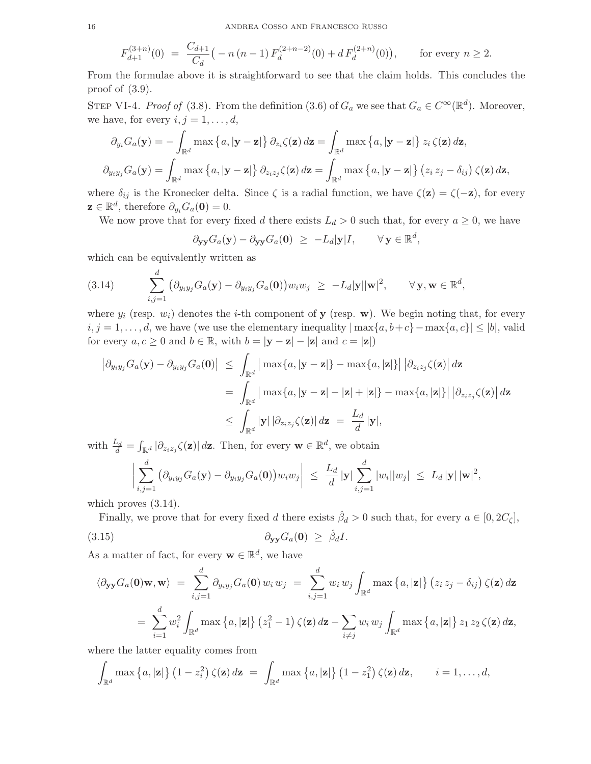$$
F_{d+1}^{(3+n)}(0) = \frac{C_{d+1}}{C_d} \big( -n(n-1) \, F_d^{(2+n-2)}(0) + d \, F_d^{(2+n)}(0) \big), \qquad \text{for every } n \ge 2.
$$

From the formulae above it is straightforward to see that the claim holds. This concludes the proof of (3.9).

STEP VI-4. *Proof of* (3.8). From the definition (3.6) of  $G_a$  we see that  $G_a \in C^{\infty}(\mathbb{R}^d)$ . Moreover, we have, for every  $i, j = 1, \ldots, d$ ,

$$
\partial_{y_i} G_a(\mathbf{y}) = -\int_{\mathbb{R}^d} \max \left\{ a, |\mathbf{y} - \mathbf{z}| \right\} \partial_{z_i} \zeta(\mathbf{z}) d\mathbf{z} = \int_{\mathbb{R}^d} \max \left\{ a, |\mathbf{y} - \mathbf{z}| \right\} z_i \zeta(\mathbf{z}) d\mathbf{z},
$$
  

$$
\partial_{y_i y_j} G_a(\mathbf{y}) = \int_{\mathbb{R}^d} \max \left\{ a, |\mathbf{y} - \mathbf{z}| \right\} \partial_{z_i z_j} \zeta(\mathbf{z}) d\mathbf{z} = \int_{\mathbb{R}^d} \max \left\{ a, |\mathbf{y} - \mathbf{z}| \right\} (z_i z_j - \delta_{ij}) \zeta(\mathbf{z}) d\mathbf{z},
$$

where  $\delta_{ij}$  is the Kronecker delta. Since  $\zeta$  is a radial function, we have  $\zeta(\mathbf{z}) = \zeta(-\mathbf{z})$ , for every  $\mathbf{z} \in \mathbb{R}^d$ , therefore  $\partial_{y_i} G_a(\mathbf{0}) = 0$ .

We now prove that for every fixed d there exists  $L_d > 0$  such that, for every  $a \geq 0$ , we have

$$
\partial_{\mathbf{y}\mathbf{y}} G_a(\mathbf{y}) - \partial_{\mathbf{y}\mathbf{y}} G_a(\mathbf{0}) \ge -L_d |\mathbf{y}| I, \qquad \forall \mathbf{y} \in \mathbb{R}^d,
$$

which can be equivalently written as

(3.14) 
$$
\sum_{i,j=1}^d \left( \partial_{y_i y_j} G_a(\mathbf{y}) - \partial_{y_i y_j} G_a(\mathbf{0}) \right) w_i w_j \ge -L_d |\mathbf{y}| |\mathbf{w}|^2, \qquad \forall \mathbf{y}, \mathbf{w} \in \mathbb{R}^d,
$$

where  $y_i$  (resp.  $w_i$ ) denotes the *i*-th component of **y** (resp. **w**). We begin noting that, for every  $i, j = 1, \ldots, d$ , we have (we use the elementary inequality  $|\max\{a, b+c\} - \max\{a, c\}| \leq |b|$ , valid for every  $a, c \geq 0$  and  $b \in \mathbb{R}$ , with  $b = |\mathbf{y} - \mathbf{z}| - |\mathbf{z}|$  and  $c = |\mathbf{z}|$ )

$$
\begin{aligned}\n\left|\partial_{y_i y_j} G_a(\mathbf{y}) - \partial_{y_i y_j} G_a(\mathbf{0})\right| &\leq \int_{\mathbb{R}^d} \left|\max\{a, |\mathbf{y} - \mathbf{z}|\} - \max\{a, |\mathbf{z}|\} \right| \left|\partial_{z_i z_j} \zeta(\mathbf{z})\right| d\mathbf{z} \\
&= \int_{\mathbb{R}^d} \left|\max\{a, |\mathbf{y} - \mathbf{z}| - |\mathbf{z}| + |\mathbf{z}|\} - \max\{a, |\mathbf{z}|\} \right| \left|\partial_{z_i z_j} \zeta(\mathbf{z})\right| d\mathbf{z} \\
&\leq \int_{\mathbb{R}^d} |\mathbf{y}| \left|\partial_{z_i z_j} \zeta(\mathbf{z})\right| d\mathbf{z} = \frac{L_d}{d} |\mathbf{y}|,\n\end{aligned}
$$

with  $\frac{L_d}{d} = \int_{\mathbb{R}^d} |\partial_{z_i z_j} \zeta(\mathbf{z})| d\mathbf{z}$ . Then, for every  $\mathbf{w} \in \mathbb{R}^d$ , we obtain

$$
\bigg|\sum_{i,j=1}^d \big(\partial_{y_i y_j} G_a(\mathbf{y}) - \partial_{y_i y_j} G_a(\mathbf{0})\big) w_i w_j\bigg| \ \leq \ \frac{L_d}{d} |\mathbf{y}| \sum_{i,j=1}^d |w_i| |w_j| \ \leq \ L_d |\mathbf{y}| \, |\mathbf{w}|^2,
$$

which proves  $(3.14)$ .

Finally, we prove that for every fixed d there exists  $\hat{\beta}_d > 0$  such that, for every  $a \in [0, 2C_{\zeta}],$ 

$$
\partial_{\mathbf{y}\mathbf{y}}G_a(\mathbf{0}) \geq \hat{\beta}_d I.
$$

As a matter of fact, for every  $\mathbf{w} \in \mathbb{R}^d$ , we have

$$
\langle \partial_{\mathbf{y}\mathbf{y}} G_a(\mathbf{0}) \mathbf{w}, \mathbf{w} \rangle = \sum_{i,j=1}^d \partial_{y_i y_j} G_a(\mathbf{0}) w_i w_j = \sum_{i,j=1}^d w_i w_j \int_{\mathbb{R}^d} \max \left\{ a, |\mathbf{z}| \right\} (z_i z_j - \delta_{ij}) \zeta(\mathbf{z}) d\mathbf{z}
$$

$$
= \sum_{i=1}^d w_i^2 \int_{\mathbb{R}^d} \max \left\{ a, |\mathbf{z}| \right\} (z_1^2 - 1) \zeta(\mathbf{z}) d\mathbf{z} - \sum_{i \neq j} w_i w_j \int_{\mathbb{R}^d} \max \left\{ a, |\mathbf{z}| \right\} z_1 z_2 \zeta(\mathbf{z}) d\mathbf{z},
$$

where the latter equality comes from

$$
\int_{\mathbb{R}^d} \max\left\{a, |\mathbf{z}|\right\} (1-z_i^2) \zeta(\mathbf{z}) d\mathbf{z} = \int_{\mathbb{R}^d} \max\left\{a, |\mathbf{z}|\right\} (1-z_1^2) \zeta(\mathbf{z}) d\mathbf{z}, \qquad i=1,\ldots,d,
$$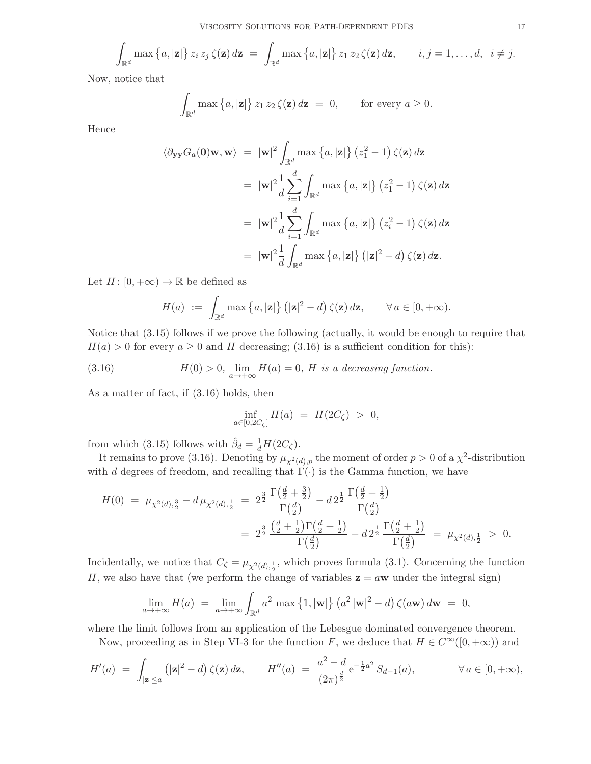$$
\int_{\mathbb{R}^d} \max\left\{a, |\mathbf{z}|\right\} z_i z_j \zeta(\mathbf{z}) d\mathbf{z} = \int_{\mathbb{R}^d} \max\left\{a, |\mathbf{z}|\right\} z_1 z_2 \zeta(\mathbf{z}) d\mathbf{z}, \qquad i, j = 1, \ldots, d, \quad i \neq j.
$$

Now, notice that

$$
\int_{\mathbb{R}^d} \max\left\{a, |\mathbf{z}|\right\} z_1 z_2 \zeta(\mathbf{z}) d\mathbf{z} = 0, \quad \text{for every } a \ge 0.
$$

Hence

$$
\langle \partial_{\mathbf{y}\mathbf{y}} G_a(\mathbf{0}) \mathbf{w}, \mathbf{w} \rangle = |\mathbf{w}|^2 \int_{\mathbb{R}^d} \max \left\{ a, |\mathbf{z}| \right\} (z_1^2 - 1) \zeta(\mathbf{z}) d\mathbf{z}
$$
  
\n
$$
= |\mathbf{w}|^2 \frac{1}{d} \sum_{i=1}^d \int_{\mathbb{R}^d} \max \left\{ a, |\mathbf{z}| \right\} (z_1^2 - 1) \zeta(\mathbf{z}) d\mathbf{z}
$$
  
\n
$$
= |\mathbf{w}|^2 \frac{1}{d} \sum_{i=1}^d \int_{\mathbb{R}^d} \max \left\{ a, |\mathbf{z}| \right\} (z_i^2 - 1) \zeta(\mathbf{z}) d\mathbf{z}
$$
  
\n
$$
= |\mathbf{w}|^2 \frac{1}{d} \int_{\mathbb{R}^d} \max \left\{ a, |\mathbf{z}| \right\} (|\mathbf{z}|^2 - d) \zeta(\mathbf{z}) d\mathbf{z}.
$$

Let  $H: [0, +\infty) \to \mathbb{R}$  be defined as

$$
H(a) := \int_{\mathbb{R}^d} \max\left\{a, |\mathbf{z}|\right\} (|\mathbf{z}|^2 - d) \zeta(\mathbf{z}) d\mathbf{z}, \qquad \forall \, a \in [0, +\infty).
$$

Notice that (3.15) follows if we prove the following (actually, it would be enough to require that  $H(a) > 0$  for every  $a \ge 0$  and H decreasing; (3.16) is a sufficient condition for this):

(3.16) 
$$
H(0) > 0, \lim_{a \to +\infty} H(a) = 0, H \text{ is a decreasing function.}
$$

As a matter of fact, if (3.16) holds, then

$$
\inf_{a \in [0, 2C_{\zeta}]} H(a) = H(2C_{\zeta}) > 0,
$$

from which (3.15) follows with  $\hat{\beta}_d = \frac{1}{d}H(2C_{\zeta})$ .

It remains to prove (3.16). Denoting by  $\mu_{\chi^2(d),p}$  the moment of order  $p > 0$  of a  $\chi^2$ -distribution with d degrees of freedom, and recalling that  $\Gamma(\cdot)$  is the Gamma function, we have

$$
H(0) = \mu_{\chi^2(d),\frac{3}{2}} - d\mu_{\chi^2(d),\frac{1}{2}} = 2^{\frac{3}{2}} \frac{\Gamma(\frac{d}{2} + \frac{3}{2})}{\Gamma(\frac{d}{2})} - d2^{\frac{1}{2}} \frac{\Gamma(\frac{d}{2} + \frac{1}{2})}{\Gamma(\frac{d}{2})}
$$
  
= 
$$
2^{\frac{3}{2}} \frac{(\frac{d}{2} + \frac{1}{2})\Gamma(\frac{d}{2} + \frac{1}{2})}{\Gamma(\frac{d}{2})} - d2^{\frac{1}{2}} \frac{\Gamma(\frac{d}{2} + \frac{1}{2})}{\Gamma(\frac{d}{2})} = \mu_{\chi^2(d),\frac{1}{2}} > 0.
$$

Incidentally, we notice that  $C_{\zeta} = \mu_{\chi^2(d), \frac{1}{2}}$ , which proves formula (3.1). Concerning the function H, we also have that (we perform the change of variables  $z = aw$  under the integral sign)

$$
\lim_{a \to +\infty} H(a) = \lim_{a \to +\infty} \int_{\mathbb{R}^d} a^2 \max\left\{1, |\mathbf{w}|\right\} (a^2 |\mathbf{w}|^2 - d) \zeta(a\mathbf{w}) d\mathbf{w} = 0,
$$

where the limit follows from an application of the Lebesgue dominated convergence theorem.

Now, proceeding as in Step VI-3 for the function F, we deduce that  $H \in C^{\infty}([0, +\infty))$  and

$$
H'(a) = \int_{|\mathbf{z}| \le a} (|\mathbf{z}|^2 - d) \zeta(\mathbf{z}) d\mathbf{z}, \qquad H''(a) = \frac{a^2 - d}{(2\pi)^{\frac{d}{2}}} e^{-\frac{1}{2}a^2} S_{d-1}(a), \qquad \forall a \in [0, +\infty),
$$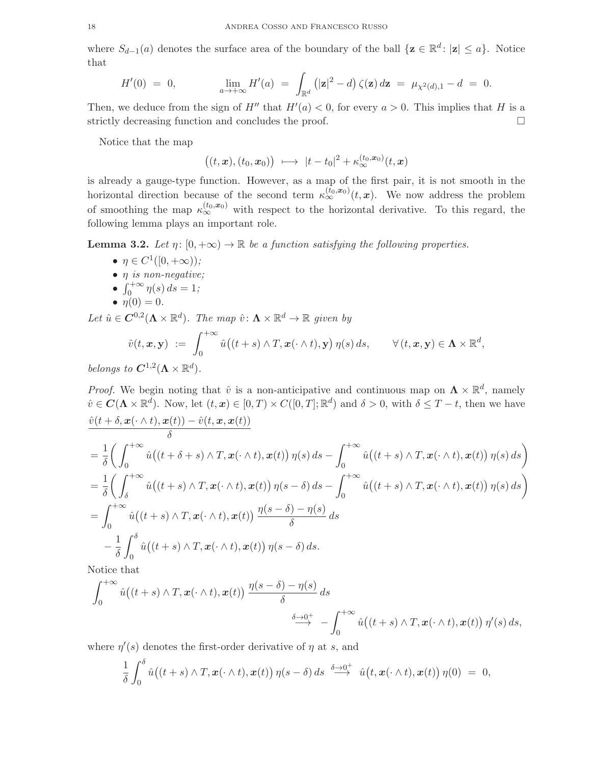where  $S_{d-1}(a)$  denotes the surface area of the boundary of the ball  $\{z \in \mathbb{R}^d : |z| \leq a\}$ . Notice that

$$
H'(0) = 0, \qquad \lim_{a \to +\infty} H'(a) = \int_{\mathbb{R}^d} (|\mathbf{z}|^2 - d) \zeta(\mathbf{z}) d\mathbf{z} = \mu_{\chi^2(d),1} - d = 0.
$$

Then, we deduce from the sign of  $H''$  that  $H'(a) < 0$ , for every  $a > 0$ . This implies that H is a strictly decreasing function and concludes the proof.

Notice that the map

$$
\big((t,\boldsymbol{x}),(t_0,\boldsymbol{x}_0)\big) \ \longmapsto \ |t-t_0|^2 + \kappa^{(t_0,\boldsymbol{x}_0)}_{\infty}(t,\boldsymbol{x})
$$

is already a gauge-type function. However, as a map of the first pair, it is not smooth in the horizontal direction because of the second term  $\kappa_{\infty}^{(\tilde{t}_0, \boldsymbol{x}_0)}(t, \boldsymbol{x})$ . We now address the problem of smoothing the map  $\kappa_{\infty}^{(t_0,x_0)}$  with respect to the horizontal derivative. To this regard, the following lemma plays an important role.

**Lemma 3.2.** *Let*  $\eta$ :  $[0, +\infty) \to \mathbb{R}$  *be a function satisfying the following properties.* 

- $\eta \in C^1([0, +\infty))$ ;
- η *is non-negative;*
- $\int_0^{+\infty} \eta(s) ds = 1;$
- $\eta(0) = 0$ .

Let  $\hat{u} \in \mathbf{C}^{0,2}(\mathbf{\Lambda}\times\mathbb{R}^d)$ . The map  $\hat{v}: \mathbf{\Lambda}\times\mathbb{R}^d \to \mathbb{R}$  given by

$$
\hat{v}(t, \boldsymbol{x}, \mathbf{y}) := \int_0^{+\infty} \hat{u} \big( (t + s) \wedge T, \boldsymbol{x}(\cdot \wedge t), \mathbf{y} \big) \, \eta(s) \, ds, \qquad \forall \, (t, \boldsymbol{x}, \mathbf{y}) \in \boldsymbol{\Lambda} \times \mathbb{R}^d,
$$

*belongs to*  $C^{1,2}(\Lambda \times \mathbb{R}^d)$ *.* 

*Proof.* We begin noting that  $\hat{v}$  is a non-anticipative and continuous map on  $\Lambda \times \mathbb{R}^d$ , namely  $\hat{v} \in \mathbf{C}(\mathbf{\Lambda} \times \mathbb{R}^d)$ . Now, let  $(t, x) \in [0, T] \times C([0, T]; \mathbb{R}^d)$  and  $\delta > 0$ , with  $\delta \leq T - t$ , then we have  $\hat{v}(t + \delta, \boldsymbol{x}(\cdot \wedge t), \boldsymbol{x}(t)) - \hat{v}(t, \boldsymbol{x}, \boldsymbol{x}(t))$ 

$$
\delta = \frac{1}{\delta} \left( \int_0^{+\infty} \hat{u} \left( (t + \delta + s) \wedge T, \mathbf{x}(\cdot \wedge t), \mathbf{x}(t) \right) \eta(s) \, ds - \int_0^{+\infty} \hat{u} \left( (t + s) \wedge T, \mathbf{x}(\cdot \wedge t), \mathbf{x}(t) \right) \eta(s) \, ds \right)
$$
\n
$$
= \frac{1}{\delta} \left( \int_{\delta}^{+\infty} \hat{u} \left( (t + s) \wedge T, \mathbf{x}(\cdot \wedge t), \mathbf{x}(t) \right) \eta(s - \delta) \, ds - \int_0^{+\infty} \hat{u} \left( (t + s) \wedge T, \mathbf{x}(\cdot \wedge t), \mathbf{x}(t) \right) \eta(s) \, ds \right)
$$
\n
$$
= \int_0^{+\infty} \hat{u} \left( (t + s) \wedge T, \mathbf{x}(\cdot \wedge t), \mathbf{x}(t) \right) \frac{\eta(s - \delta) - \eta(s)}{\delta} \, ds
$$
\n
$$
- \frac{1}{\delta} \int_0^{\delta} \hat{u} \left( (t + s) \wedge T, \mathbf{x}(\cdot \wedge t), \mathbf{x}(t) \right) \eta(s - \delta) \, ds.
$$

Notice that

$$
\int_0^{+\infty} \hat{u}((t+s)\wedge T, \mathbf{x}(\cdot \wedge t), \mathbf{x}(t)) \frac{\eta(s-\delta)-\eta(s)}{\delta} ds
$$
  

$$
\xrightarrow{\delta \to 0^+} - \int_0^{+\infty} \hat{u}((t+s)\wedge T, \mathbf{x}(\cdot \wedge t), \mathbf{x}(t)) \eta'(s) ds,
$$

where  $\eta'(s)$  denotes the first-order derivative of  $\eta$  at s, and

$$
\frac{1}{\delta} \int_0^\delta \hat{u} \big( (t+s) \wedge T, \mathbf{x}(\cdot \wedge t), \mathbf{x}(t) \big) \, \eta(s-\delta) \, ds \, \stackrel{\delta \to 0^+}{\longrightarrow} \, \hat{u} \big( t, \mathbf{x}(\cdot \wedge t), \mathbf{x}(t) \big) \, \eta(0) \ = \ 0,
$$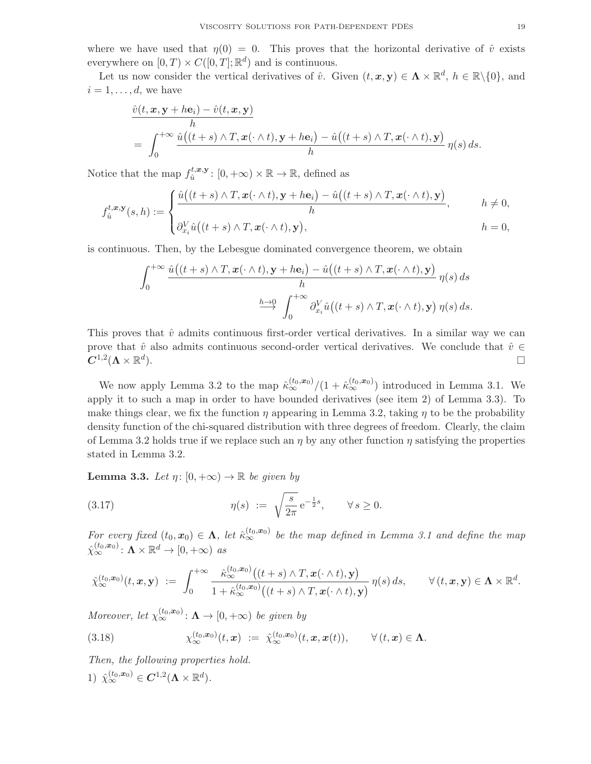where we have used that  $\eta(0) = 0$ . This proves that the horizontal derivative of  $\hat{v}$  exists everywhere on  $[0, T) \times C([0, T]; \mathbb{R}^d)$  and is continuous.

Let us now consider the vertical derivatives of  $\hat{v}$ . Given  $(t, x, y) \in \Lambda \times \mathbb{R}^d$ ,  $h \in \mathbb{R} \setminus \{0\}$ , and  $i = 1, \ldots, d$ , we have

$$
\frac{\hat{v}(t, \mathbf{x}, \mathbf{y} + h\mathbf{e}_i) - \hat{v}(t, \mathbf{x}, \mathbf{y})}{h}
$$
\n
$$
= \int_0^{+\infty} \frac{\hat{u}((t+s) \wedge T, \mathbf{x}(\cdot \wedge t), \mathbf{y} + h\mathbf{e}_i) - \hat{u}((t+s) \wedge T, \mathbf{x}(\cdot \wedge t), \mathbf{y})}{h} \eta(s) ds.
$$

Notice that the map  $f_{\hat{u}}^{t,\mathbf{x},\mathbf{y}}$  $u_i^{t,x,y}$ :  $[0, +\infty) \times \mathbb{R} \to \mathbb{R}$ , defined as

$$
f_{\hat{u}}^{t,\boldsymbol{x},\mathbf{y}}(s,h) := \begin{cases} \frac{\hat{u}((t+s)\wedge T,\boldsymbol{x}(\cdot\wedge t),\mathbf{y}+h\mathbf{e}_i)-\hat{u}((t+s)\wedge T,\boldsymbol{x}(\cdot\wedge t),\mathbf{y})}{h}, & h \neq 0, \\ \partial_{x_i}^V \hat{u}((t+s)\wedge T,\boldsymbol{x}(\cdot\wedge t),\mathbf{y}), & h = 0, \end{cases}
$$

is continuous. Then, by the Lebesgue dominated convergence theorem, we obtain

$$
\int_0^{+\infty} \frac{\hat{u}((t+s)\wedge T, \mathbf{x}(\cdot \wedge t), \mathbf{y} + h\mathbf{e}_i) - \hat{u}((t+s)\wedge T, \mathbf{x}(\cdot \wedge t), \mathbf{y})}{h} \eta(s) ds
$$

$$
\xrightarrow{h\to 0} \int_0^{+\infty} \partial_{x_i}^V \hat{u}((t+s)\wedge T, \mathbf{x}(\cdot \wedge t), \mathbf{y}) \eta(s) ds.
$$

This proves that  $\hat{v}$  admits continuous first-order vertical derivatives. In a similar way we can prove that  $\hat{v}$  also admits continuous second-order vertical derivatives. We conclude that  $\hat{v} \in C^{1,2}(\Lambda \times \mathbb{R}^d)$ .  $\boldsymbol{C}^{1,2}(\boldsymbol{\Lambda}\times \mathbb{R}^d$ ).

We now apply Lemma 3.2 to the map  $\hat{\kappa}_{\infty}^{(t_0,x_0)}/(1+\hat{\kappa}_{\infty}^{(t_0,x_0)})$  introduced in Lemma 3.1. We apply it to such a map in order to have bounded derivatives (see item 2) of Lemma 3.3). To make things clear, we fix the function  $\eta$  appearing in Lemma 3.2, taking  $\eta$  to be the probability density function of the chi-squared distribution with three degrees of freedom. Clearly, the claim of Lemma 3.2 holds true if we replace such an  $\eta$  by any other function  $\eta$  satisfying the properties stated in Lemma 3.2.

**Lemma 3.3.** *Let*  $\eta$ :  $[0, +\infty) \to \mathbb{R}$  *be given by* 

(3.17) 
$$
\eta(s) := \sqrt{\frac{s}{2\pi}} e^{-\frac{1}{2}s}, \quad \forall s \ge 0.
$$

*For every fixed*  $(t_0, x_0) \in \Lambda$ , let  $\hat{\kappa}_{\infty}^{(t_0, x_0)}$  be the map defined in Lemma 3.1 and define the map  $\hat{\chi}_{\infty}^{(t_0, \boldsymbol{x}_0)}$ :  $\Lambda \times \mathbb{R}^d \to [0, +\infty)$  as

$$
\hat{\chi}_{\infty}^{(t_0,\mathbf{x}_0)}(t,\mathbf{x},\mathbf{y}) \ := \ \int_0^{+\infty} \frac{\hat{\kappa}_{\infty}^{(t_0,\mathbf{x}_0)}\big((t+s)\wedge T, \mathbf{x}(\cdot \wedge t),\mathbf{y}\big)}{1+\hat{\kappa}_{\infty}^{(t_0,\mathbf{x}_0)}\big((t+s)\wedge T, \mathbf{x}(\cdot \wedge t),\mathbf{y}\big)}\, \eta(s)\,ds, \qquad \forall\, (t,\mathbf{x},\mathbf{y}) \in \Lambda \times \mathbb{R}^d.
$$

*Moreover, let*  $\chi_{\infty}^{(t_0, x_0)}$ :  $\Lambda \to [0, +\infty)$  *be given by* 

(3.18) 
$$
\chi_{\infty}^{(t_0,\boldsymbol{x}_0)}(t,\boldsymbol{x}) := \hat{\chi}_{\infty}^{(t_0,\boldsymbol{x}_0)}(t,\boldsymbol{x},\boldsymbol{x}(t)), \qquad \forall (t,\boldsymbol{x}) \in \Lambda.
$$

*Then, the following properties hold.* 1)  $\hat{\chi}_{\infty}^{(t_0, x_0)} \in \mathbf{C}^{1,2}(\mathbf{\Lambda} \times \mathbb{R}^d).$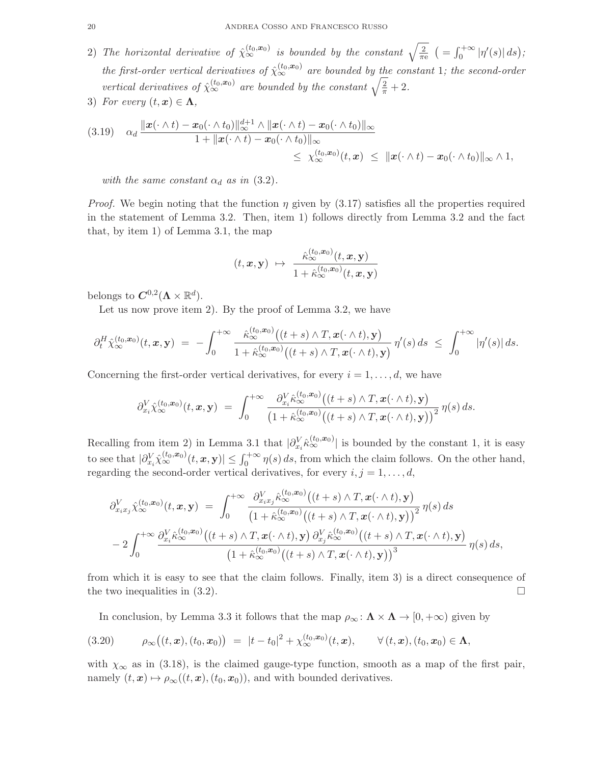- 2) The horizontal derivative of  $\hat{\chi}_{\infty}^{(t_0, x_0)}$  is bounded by the constant  $\sqrt{\frac{2}{\pi}}$  $\frac{2}{\pi e}$   $\left( = \int_0^{+\infty} |\eta'(s)| ds \right);$ *the first-order vertical derivatives of*  $\hat{\chi}_{\infty}^{(t_0, x_0)}$  are bounded by the constant 1; the second-order *vertical derivatives of*  $\hat{\chi}_{\infty}^{(t_0, x_0)}$  *are bounded by the constant*  $\sqrt{\frac{2}{\pi}} + 2$ *.*
- 3) *For every*  $(t, x) \in \Lambda$ ,

$$
(3.19) \quad \alpha_d \frac{\|\boldsymbol{x}(\cdot \wedge t) - \boldsymbol{x}_0(\cdot \wedge t_0)\|_{\infty}^{d+1} \wedge \|\boldsymbol{x}(\cdot \wedge t) - \boldsymbol{x}_0(\cdot \wedge t_0)\|_{\infty}}{1 + \|\boldsymbol{x}(\cdot \wedge t) - \boldsymbol{x}_0(\cdot \wedge t_0)\|_{\infty}} \leq \chi_{\infty}^{(t_0, \boldsymbol{x}_0)}(t, \boldsymbol{x}) \leq \|\boldsymbol{x}(\cdot \wedge t) - \boldsymbol{x}_0(\cdot \wedge t_0)\|_{\infty} \wedge 1,
$$

*with the same constant*  $\alpha_d$  *as in* (3.2).

*Proof.* We begin noting that the function  $\eta$  given by (3.17) satisfies all the properties required in the statement of Lemma 3.2. Then, item 1) follows directly from Lemma 3.2 and the fact that, by item 1) of Lemma 3.1, the map

$$
(t, \boldsymbol{x}, \mathbf{y}) \ \mapsto \ \frac{\hat{\kappa}_{\infty}^{(t_0, \boldsymbol{x}_0)}(t, \boldsymbol{x}, \mathbf{y})}{1 + \hat{\kappa}_{\infty}^{(t_0, \boldsymbol{x}_0)}(t, \boldsymbol{x}, \mathbf{y})}
$$

belongs to  $\mathbf{C}^{0,2}(\mathbf{\Lambda}\times\mathbb{R}^d)$ .

Let us now prove item 2). By the proof of Lemma 3.2, we have

$$
\partial_t^H \hat{\chi}_{\infty}^{(t_0,\mathbf{x}_0)}(t,\mathbf{x},\mathbf{y})\;=\; -\int_0^{+\infty} \frac{\hat{\kappa}_{\infty}^{(t_0,\mathbf{x}_0)}\big((t+s)\wedge T,\mathbf{x}(\cdot\wedge t),\mathbf{y}\big)}{1+\hat{\kappa}_{\infty}^{(t_0,\mathbf{x}_0)}\big((t+s)\wedge T,\mathbf{x}(\cdot\wedge t),\mathbf{y}\big)}\,\eta'(s)\,ds\;\leq\;\int_0^{+\infty}|\eta'(s)|\,ds.
$$

Concerning the first-order vertical derivatives, for every  $i = 1, \ldots, d$ , we have

$$
\partial_{x_i}^V \hat{\chi}_{\infty}^{(t_0,\mathbf{x}_0)}(t,\mathbf{x},\mathbf{y}) = \int_0^{+\infty} \frac{\partial_{x_i}^V \hat{\kappa}_{\infty}^{(t_0,\mathbf{x}_0)}\big((t+s)\wedge T,\mathbf{x}(\cdot\wedge t),\mathbf{y}\big)}{\big(1+\hat{\kappa}_{\infty}^{(t_0,\mathbf{x}_0)}\big((t+s)\wedge T,\mathbf{x}(\cdot\wedge t),\mathbf{y}\big)\big)^2}\,\eta(s)\,ds.
$$

Recalling from item 2) in Lemma 3.1 that  $|\partial_{x_i}^V \hat{\kappa}_{\infty}^{(t_0,x_0)}|$  is bounded by the constant 1, it is easy to see that  $|\partial_{x_i}^V \hat{\chi}_{\infty}^{(t_0,x_0)}(t,x,\mathbf{y})| \leq \int_0^{+\infty} \eta(s) ds$ , from which the claim follows. On the other hand, regarding the second-order vertical derivatives, for every  $i, j = 1, \ldots, d$ ,

$$
\partial_{x_ix_j}^V \hat{\chi}_{\infty}^{(t_0,\mathbf{x}_0)}(t,\mathbf{x},\mathbf{y}) = \int_0^{+\infty} \frac{\partial_{x_ix_j}^V \hat{\kappa}_{\infty}^{(t_0,\mathbf{x}_0)} \big( (t+s) \wedge T, \mathbf{x}(\cdot \wedge t), \mathbf{y} \big)}{\big( 1 + \hat{\kappa}_{\infty}^{(t_0,\mathbf{x}_0)} \big( (t+s) \wedge T, \mathbf{x}(\cdot \wedge t), \mathbf{y} \big) \big)^2} \eta(s) ds
$$
  
- 2 \int\_0^{+\infty} \frac{\partial\_{x\_i}^V \hat{\kappa}\_{\infty}^{(t\_0,\mathbf{x}\_0)} \big( (t+s) \wedge T, \mathbf{x}(\cdot \wedge t), \mathbf{y} \big) \partial\_{x\_j}^V \hat{\kappa}\_{\infty}^{(t\_0,\mathbf{x}\_0)} \big( (t+s) \wedge T, \mathbf{x}(\cdot \wedge t), \mathbf{y} \big)}{\big( 1 + \hat{\kappa}\_{\infty}^{(t\_0,\mathbf{x}\_0)} \big( (t+s) \wedge T, \mathbf{x}(\cdot \wedge t), \mathbf{y} \big) \big)^3} \eta(s) ds,

from which it is easy to see that the claim follows. Finally, item 3) is a direct consequence of the two inequalities in  $(3.2)$ .

In conclusion, by Lemma 3.3 it follows that the map  $\rho_{\infty} : \mathbf{\Lambda} \times \mathbf{\Lambda} \to [0, +\infty)$  given by

$$
(3.20) \qquad \rho_{\infty}((t,\mathbf{x}),(t_0,\mathbf{x}_0)) = |t-t_0|^2 + \chi_{\infty}^{(t_0,\mathbf{x}_0)}(t,\mathbf{x}), \qquad \forall (t,\mathbf{x}),(t_0,\mathbf{x}_0) \in \Lambda,
$$

with  $\chi_{\infty}$  as in (3.18), is the claimed gauge-type function, smooth as a map of the first pair, namely  $(t, x) \mapsto \rho_{\infty}((t, x), (t_0, x_0))$ , and with bounded derivatives.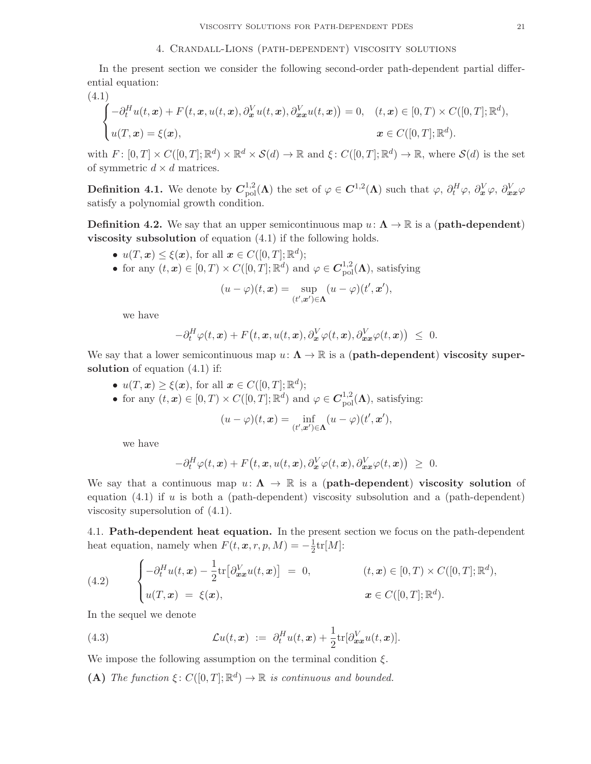In the present section we consider the following second-order path-dependent partial differential equation:

(4.1)  
\n
$$
\begin{cases}\n-\partial_t^H u(t, \mathbf{x}) + F(t, \mathbf{x}, u(t, \mathbf{x}), \partial_{\mathbf{x}}^V u(t, \mathbf{x}), \partial_{\mathbf{x}\mathbf{x}}^V u(t, \mathbf{x})) = 0, & (t, \mathbf{x}) \in [0, T) \times C([0, T]; \mathbb{R}^d), \\
u(T, \mathbf{x}) = \xi(\mathbf{x}), & \mathbf{x} \in C([0, T]; \mathbb{R}^d).\n\end{cases}
$$

with  $F: [0, T] \times C([0, T]; \mathbb{R}^d) \times \mathbb{R}^d \times S(d) \to \mathbb{R}$  and  $\xi: C([0, T]; \mathbb{R}^d) \to \mathbb{R}$ , where  $S(d)$  is the set of symmetric  $d \times d$  matrices.

**Definition 4.1.** We denote by  $C_{\text{pol}}^{1,2}(\Lambda)$  the set of  $\varphi \in C^{1,2}(\Lambda)$  such that  $\varphi$ ,  $\partial_t^H \varphi$ ,  $\partial_x^V \varphi$ ,  $\partial_{xx}^V \varphi$ satisfy a polynomial growth condition.

**Definition 4.2.** We say that an upper semicontinuous map  $u: \Lambda \to \mathbb{R}$  is a (**path-dependent**) viscosity subsolution of equation (4.1) if the following holds.

- $u(T, x) \leq \xi(x)$ , for all  $x \in C([0, T]; \mathbb{R}^d)$ ;
- for any  $(t, x) \in [0, T) \times C([0, T]; \mathbb{R}^d)$  and  $\varphi \in C^{1, 2}_{\text{pol}}(\Lambda)$ , satisfying

$$
(u - \varphi)(t, \mathbf{x}) = \sup_{(t', \mathbf{x}') \in \Lambda} (u - \varphi)(t', \mathbf{x}'),
$$

we have

$$
-\partial_t^H \varphi(t, \boldsymbol{x}) + F(t, \boldsymbol{x}, u(t, \boldsymbol{x}), \partial_{\boldsymbol{x}}^V \varphi(t, \boldsymbol{x}), \partial_{\boldsymbol{x}\boldsymbol{x}}^V \varphi(t, \boldsymbol{x})) \leq 0.
$$

We say that a lower semicontinuous map  $u: \Lambda \to \mathbb{R}$  is a (**path-dependent**) **viscosity super**solution of equation  $(4.1)$  if:

- $u(T, x) \ge \xi(x)$ , for all  $x \in C([0, T]; \mathbb{R}^d)$ ;
- for any  $(t, x) \in [0, T) \times C([0, T]; \mathbb{R}^d)$  and  $\varphi \in C^{1, 2}_{\text{pol}}(\Lambda)$ , satisfying:

$$
(u - \varphi)(t, \mathbf{x}) = \inf_{(t', \mathbf{x}') \in \Lambda} (u - \varphi)(t', \mathbf{x}'),
$$

we have

$$
-\partial_t^H \varphi(t,\boldsymbol{x}) + F\big(t,\boldsymbol{x},u(t,\boldsymbol{x}),\partial_{\boldsymbol{x}}^V \varphi(t,\boldsymbol{x}),\partial_{\boldsymbol{x}\boldsymbol{x}}^V \varphi(t,\boldsymbol{x})\big) \,\,\geq\,\,0.
$$

We say that a continuous map  $u: \Lambda \to \mathbb{R}$  is a (path-dependent) viscosity solution of equation  $(4.1)$  if u is both a (path-dependent) viscosity subsolution and a (path-dependent) viscosity supersolution of (4.1).

4.1. Path-dependent heat equation. In the present section we focus on the path-dependent heat equation, namely when  $F(t, x, r, p, M) = -\frac{1}{2}$  $\frac{1}{2}$ tr $[M]$ :

(4.2) 
$$
\begin{cases}\n-\partial_t^H u(t,\mathbf{x}) - \frac{1}{2} \text{tr}\big[\partial_{\mathbf{x}\mathbf{x}}^V u(t,\mathbf{x})\big] = 0, & (t,\mathbf{x}) \in [0,T) \times C([0,T]; \mathbb{R}^d), \\
u(T,\mathbf{x}) = \xi(\mathbf{x}), & \mathbf{x} \in C([0,T]; \mathbb{R}^d).\n\end{cases}
$$

In the sequel we denote

(4.3) 
$$
\mathcal{L}u(t,\boldsymbol{x}) := \partial_t^H u(t,\boldsymbol{x}) + \frac{1}{2} \text{tr}[\partial_{\boldsymbol{x}\boldsymbol{x}}^V u(t,\boldsymbol{x})].
$$

We impose the following assumption on the terminal condition  $\xi$ .

(A) *The function*  $\xi: C([0,T]; \mathbb{R}^d) \to \mathbb{R}$  *is continuous and bounded.*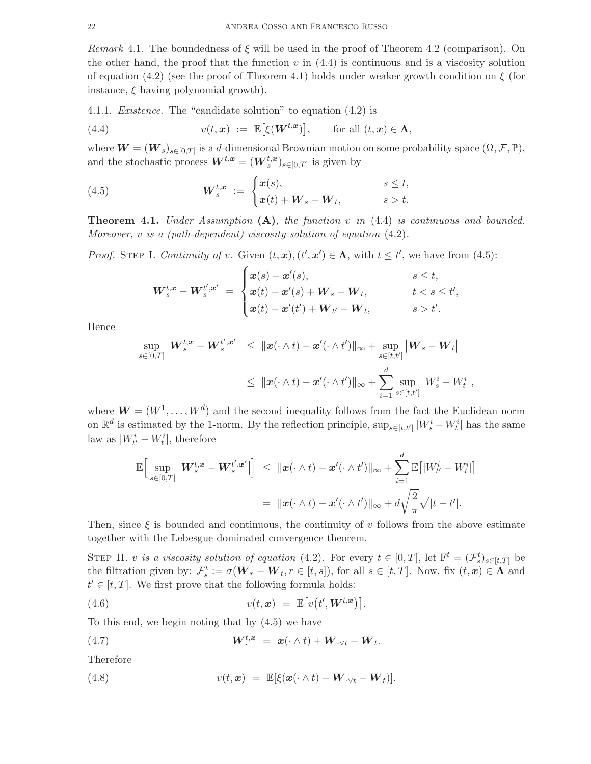*Remark* 4.1. The boundedness of  $\xi$  will be used in the proof of Theorem 4.2 (comparison). On the other hand, the proof that the function  $v$  in  $(4.4)$  is continuous and is a viscosity solution of equation (4.2) (see the proof of Theorem 4.1) holds under weaker growth condition on  $\xi$  (for instance,  $\xi$  having polynomial growth).

4.1.1. *Existence.* The "candidate solution" to equation (4.2) is

(4.4) 
$$
v(t, x) := \mathbb{E}[\xi(\mathbf{W}^{t, x})], \quad \text{for all } (t, x) \in \Lambda,
$$

where  $\boldsymbol{W} = (\boldsymbol{W}_s)_{s \in [0,T]}$  is a d-dimensional Brownian motion on some probability space  $(\Omega, \mathcal{F}, \mathbb{P}),$ and the stochastic process  $\boldsymbol{W}^{t,\boldsymbol{x}} = (\boldsymbol{W}_s^{t,\boldsymbol{x}})_{s \in [0,T]}$  is given by

(4.5) 
$$
\mathbf{W}_{s}^{t,\boldsymbol{x}} := \begin{cases} \boldsymbol{x}(s), & s \leq t, \\ \boldsymbol{x}(t) + \boldsymbol{W}_{s} - \boldsymbol{W}_{t}, & s > t. \end{cases}
$$

Theorem 4.1. *Under Assumption* (A)*, the function* v *in* (4.4) *is continuous and bounded. Moreover,* v *is a (path-dependent) viscosity solution of equation* (4.2)*.*

*Proof.* STEP I. *Continuity of v.* Given  $(t, x), (t', x') \in \Lambda$ , with  $t \leq t'$ , we have from (4.5):

$$
\boldsymbol{W}_s^{t,\boldsymbol{x}} - \boldsymbol{W}_s^{t',\boldsymbol{x}'} \ = \begin{cases} \boldsymbol{x}(s) - \boldsymbol{x}'(s), & s \leq t, \\ \boldsymbol{x}(t) - \boldsymbol{x}'(s) + \boldsymbol{W}_s - \boldsymbol{W}_t, & t < s \leq t', \\ \boldsymbol{x}(t) - \boldsymbol{x}'(t') + \boldsymbol{W}_{t'} - \boldsymbol{W}_t, & s > t'. \end{cases}
$$

Hence

$$
\sup_{s\in[0,T]} \left| \boldsymbol{W}_s^{t,\boldsymbol{x}} - \boldsymbol{W}_s^{t',\boldsymbol{x}'} \right| \leq \ \|\boldsymbol{x}(\cdot\wedge t) - \boldsymbol{x}'(\cdot\wedge t')\|_{\infty} + \sup_{s\in[t,t']} \left| \boldsymbol{W}_s - \boldsymbol{W}_t \right|
$$
  

$$
\leq \ \|\boldsymbol{x}(\cdot\wedge t) - \boldsymbol{x}'(\cdot\wedge t')\|_{\infty} + \sum_{i=1}^d \sup_{s\in[t,t']} \left|W_s^i - W_t^i\right|,
$$

where  $\mathbf{W} = (W^1, \dots, W^d)$  and the second inequality follows from the fact the Euclidean norm on  $\mathbb{R}^d$  is estimated by the 1-norm. By the reflection principle,  $\sup_{s\in[t,t']}|W_s^i-W_t^i|$  has the same law as  $|W_{t'}^i - W_t^i|$ , therefore

$$
\mathbb{E}\Big[\sup_{s\in[0,T]}\big|\boldsymbol{W}_s^{t,\boldsymbol{x}}-\boldsymbol{W}_s^{t',\boldsymbol{x}'}\big|\Big] \leq \|\boldsymbol{x}(\cdot\wedge t)-\boldsymbol{x}'(\cdot\wedge t')\|_{\infty}+\sum_{i=1}^d\mathbb{E}\big[|W_{t'}^i-W_t^i|\big] \n= \|\boldsymbol{x}(\cdot\wedge t)-\boldsymbol{x}'(\cdot\wedge t')\|_{\infty}+d\sqrt{\frac{2}{\pi}}\sqrt{|t-t'|}.
$$

Then, since  $\xi$  is bounded and continuous, the continuity of v follows from the above estimate together with the Lebesgue dominated convergence theorem.

STEP II. v *is a viscosity solution of equation* (4.2). For every  $t \in [0, T]$ , let  $\mathbb{F}^t = (\mathcal{F}^t_s)_{s \in [t, T]}$  be the filtration given by:  $\mathcal{F}_s^t := \sigma(\boldsymbol{W}_r - \boldsymbol{W}_t, r \in [t, s])$ , for all  $s \in [t, T]$ . Now, fix  $(t, x) \in \Lambda$  and  $t' \in [t, T]$ . We first prove that the following formula holds:

(4.6) 
$$
v(t, \mathbf{x}) = \mathbb{E}[v(t', \mathbf{W}^{t, \mathbf{x}})].
$$

To this end, we begin noting that by (4.5) we have

(4.7) 
$$
\mathbf{W}^{t,\boldsymbol{x}} = \boldsymbol{x}(\cdot \wedge t) + \mathbf{W}_{\cdot \vee t} - \mathbf{W}_t.
$$

Therefore

(4.8) 
$$
v(t, x) = \mathbb{E}[\xi(x(\cdot \wedge t) + \mathbf{W}_{\cdot \vee t} - \mathbf{W}_t)].
$$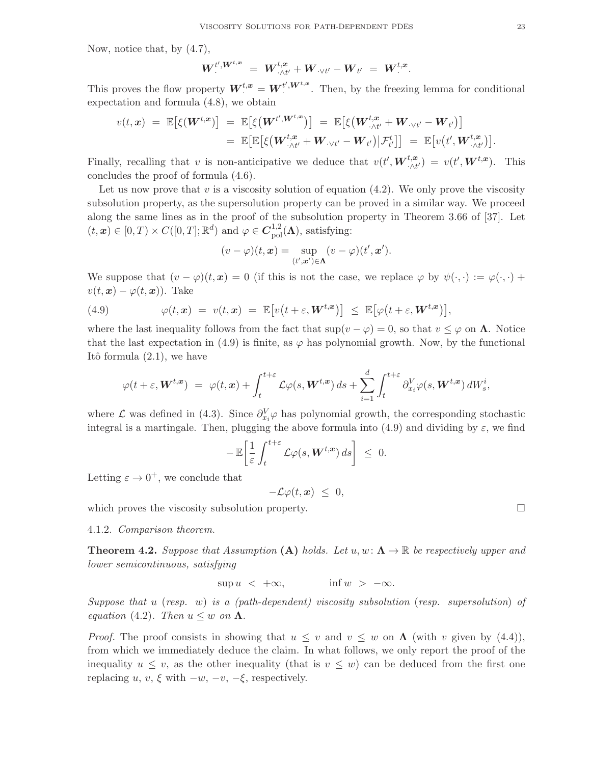Now, notice that, by (4.7),

$$
W^{t', W^{t,x}} \ = \ W^{t,x}_{\cdot \wedge t'} + W_{\cdot \vee t'} - W_{t'} \ = \ W^{t,x}.
$$

This proves the flow property  $W^{t,x} = W^{t',W^{t,x}}$ . Then, by the freezing lemma for conditional expectation and formula (4.8), we obtain

$$
v(t,\boldsymbol{x}) = \mathbb{E}\big[\xi(\boldsymbol{W}^{t,\boldsymbol{x}})\big] = \mathbb{E}\big[\xi(\boldsymbol{W}^{t',\boldsymbol{W}^{t,\boldsymbol{x}}})\big] = \mathbb{E}\big[\xi(\boldsymbol{W}^{t,\boldsymbol{x}}_{\cdot\wedge t'} + \boldsymbol{W}_{\cdot\vee t'} - \boldsymbol{W}_{t'})\big] \\ = \mathbb{E}\big[\mathbb{E}\big[\xi(\boldsymbol{W}^{t,\boldsymbol{x}}_{\cdot\wedge t'} + \boldsymbol{W}_{\cdot\vee t'} - \boldsymbol{W}_{t'})\big|\mathcal{F}^{t}_{t'}\big]\big] = \mathbb{E}\big[v(t',\boldsymbol{W}^{t,\boldsymbol{x}}_{\cdot\wedge t'})\big].
$$

Finally, recalling that v is non-anticipative we deduce that  $v(t', \boldsymbol{W}_{\cdot \wedge t'}^{t,\boldsymbol{x}}) = v(t', \boldsymbol{W}^{t,\boldsymbol{x}})$ . This concludes the proof of formula (4.6).

Let us now prove that  $v$  is a viscosity solution of equation  $(4.2)$ . We only prove the viscosity subsolution property, as the supersolution property can be proved in a similar way. We proceed along the same lines as in the proof of the subsolution property in Theorem 3.66 of [37]. Let  $(t, \mathbf{x}) \in [0, T) \times C([0, T]; \mathbb{R}^d)$  and  $\varphi \in C^{1, 2}_{pol}(\Lambda)$ , satisfying:

$$
(v - \varphi)(t, \mathbf{x}) = \sup_{(t', \mathbf{x}') \in \Lambda} (v - \varphi)(t', \mathbf{x}').
$$

We suppose that  $(v - \varphi)(t, x) = 0$  (if this is not the case, we replace  $\varphi$  by  $\psi(\cdot, \cdot) := \varphi(\cdot, \cdot) +$  $v(t, \boldsymbol{x}) - \varphi(t, \boldsymbol{x})$ . Take

(4.9) 
$$
\varphi(t,\mathbf{x}) = v(t,\mathbf{x}) = \mathbb{E}\big[v\big(t+\varepsilon,\mathbf{W}^{t,\mathbf{x}}\big)\big] \leq \mathbb{E}\big[\varphi\big(t+\varepsilon,\mathbf{W}^{t,\mathbf{x}}\big)\big],
$$

where the last inequality follows from the fact that  $\sup(v - \varphi) = 0$ , so that  $v \leq \varphi$  on  $\Lambda$ . Notice that the last expectation in (4.9) is finite, as  $\varphi$  has polynomial growth. Now, by the functional Itô formula  $(2.1)$ , we have

$$
\varphi(t+\varepsilon, \mathbf{W}^{t,\mathbf{x}}) \; = \; \varphi(t,\mathbf{x}) + \int_{t}^{t+\varepsilon} \mathcal{L}\varphi(s, \mathbf{W}^{t,\mathbf{x}}) \, ds + \sum_{i=1}^{d} \int_{t}^{t+\varepsilon} \partial_{x_i}^{V} \varphi(s, \mathbf{W}^{t,\mathbf{x}}) \, dW_s^i,
$$

where  $\mathcal L$  was defined in (4.3). Since  $\partial_{x_i}^V \varphi$  has polynomial growth, the corresponding stochastic integral is a martingale. Then, plugging the above formula into (4.9) and dividing by  $\varepsilon$ , we find

$$
-\mathbb{E}\bigg[\frac{1}{\varepsilon}\int_t^{t+\varepsilon}\mathcal{L}\varphi(s,\boldsymbol{W}^{t,\boldsymbol{x}})\,ds\bigg]\;\leq\;0.
$$

Letting  $\varepsilon \to 0^+$ , we conclude that

 $-\mathcal{L}\varphi(t,\bm{x}) \leq 0,$ which proves the viscosity subsolution property.  $\Box$ 

4.1.2. *Comparison theorem.*

**Theorem 4.2.** Suppose that Assumption (A) holds. Let  $u, w: \Lambda \to \mathbb{R}$  be respectively upper and *lower semicontinuous, satisfying*

$$
\sup u < +\infty, \qquad \qquad \inf w > -\infty.
$$

*Suppose that* u (*resp.* w) *is a (path-dependent) viscosity subsolution* (*resp. supersolution*) *of equation* (4.2)*. Then*  $u \leq w$  *on*  $\Lambda$ *.* 

*Proof.* The proof consists in showing that  $u \leq v$  and  $v \leq w$  on  $\Lambda$  (with v given by (4.4)), from which we immediately deduce the claim. In what follows, we only report the proof of the inequality  $u \leq v$ , as the other inequality (that is  $v \leq w$ ) can be deduced from the first one replacing u, v,  $\xi$  with  $-w$ ,  $-v$ ,  $-\xi$ , respectively.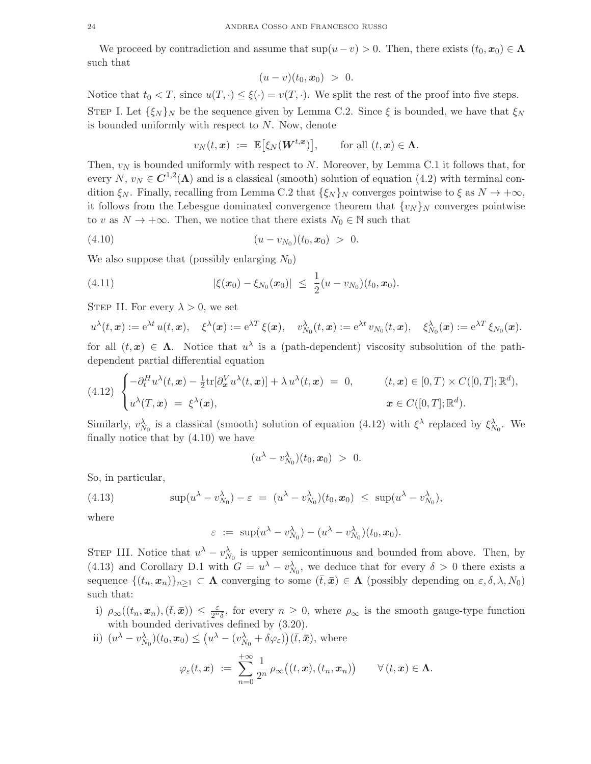We proceed by contradiction and assume that  $\sup(u - v) > 0$ . Then, there exists  $(t_0, x_0) \in \Lambda$ such that

$$
(u-v)(t_0, x_0) > 0.
$$

Notice that  $t_0 < T$ , since  $u(T, \cdot) \leq \xi(\cdot) = v(T, \cdot)$ . We split the rest of the proof into five steps. STEP I. Let  $\{\xi_N\}_N$  be the sequence given by Lemma C.2. Since  $\xi$  is bounded, we have that  $\xi_N$ is bounded uniformly with respect to  $N$ . Now, denote

$$
v_N(t, x) := \mathbb{E}[\xi_N(\boldsymbol{W}^{t, x})], \quad \text{for all } (t, x) \in \Lambda.
$$

Then,  $v_N$  is bounded uniformly with respect to N. Moreover, by Lemma C.1 it follows that, for every  $N, v_N \in \mathbb{C}^{1,2}(\Lambda)$  and is a classical (smooth) solution of equation (4.2) with terminal condition  $\xi_N$ . Finally, recalling from Lemma C.2 that  $\{\xi_N\}_N$  converges pointwise to  $\xi$  as  $N \to +\infty$ , it follows from the Lebesgue dominated convergence theorem that  $\{v_N\}_N$  converges pointwise to v as  $N \to +\infty$ . Then, we notice that there exists  $N_0 \in \mathbb{N}$  such that

$$
(4.10) \t\t\t (u - v_{N_0})(t_0, x_0) > 0.
$$

We also suppose that (possibly enlarging  $N_0$ )

(4.11) 
$$
|\xi(\boldsymbol{x}_0) - \xi_{N_0}(\boldsymbol{x}_0)| \leq \frac{1}{2}(u - v_{N_0})(t_0, \boldsymbol{x}_0).
$$

STEP II. For every  $\lambda > 0$ , we set

$$
u^{\lambda}(t,\boldsymbol{x}):=\mathrm{e}^{\lambda t}\,u(t,\boldsymbol{x}),\quad\xi^{\lambda}(\boldsymbol{x}):=\mathrm{e}^{\lambda T}\,\xi(\boldsymbol{x}),\quad v^{\lambda}_{N_0}(t,\boldsymbol{x}):=\mathrm{e}^{\lambda t}\,v_{N_0}(t,\boldsymbol{x}),\quad\xi^{\lambda}_{N_0}(\boldsymbol{x}):=\mathrm{e}^{\lambda T}\,\xi_{N_0}(\boldsymbol{x}).
$$

for all  $(t, x) \in \Lambda$ . Notice that  $u^{\lambda}$  is a (path-dependent) viscosity subsolution of the pathdependent partial differential equation

$$
(4.12) \begin{cases} -\partial_t^H u^\lambda(t, \mathbf{x}) - \frac{1}{2} \text{tr}[\partial_{\mathbf{x}}^V u^\lambda(t, \mathbf{x})] + \lambda u^\lambda(t, \mathbf{x}) = 0, & (t, \mathbf{x}) \in [0, T) \times C([0, T]; \mathbb{R}^d), \\ u^\lambda(T, \mathbf{x}) = \xi^\lambda(\mathbf{x}), & \mathbf{x} \in C([0, T]; \mathbb{R}^d). \end{cases}
$$

Similarly,  $v_{N_0}^{\lambda}$  is a classical (smooth) solution of equation (4.12) with  $\xi^{\lambda}$  replaced by  $\xi_{N_0}^{\lambda}$ . We finally notice that by (4.10) we have

$$
(u^{\lambda}-v_{N_0}^{\lambda})(t_0,\boldsymbol{x}_0) > 0.
$$

So, in particular,

(4.13) 
$$
\sup(u^{\lambda} - v_{N_0}^{\lambda}) - \varepsilon = (u^{\lambda} - v_{N_0}^{\lambda})(t_0, x_0) \leq \sup(u^{\lambda} - v_{N_0}^{\lambda}),
$$

where

$$
\varepsilon := \sup(u^{\lambda} - v_{N_0}^{\lambda}) - (u^{\lambda} - v_{N_0}^{\lambda})(t_0, \mathbf{x}_0).
$$

STEP III. Notice that  $u^{\lambda} - v_{N_0}^{\lambda}$  is upper semicontinuous and bounded from above. Then, by (4.13) and Corollary D.1 with  $G = u^{\lambda} - v_{N_0}^{\lambda}$ , we deduce that for every  $\delta > 0$  there exists a sequence  $\{(t_n, x_n)\}_{n\geq 1} \subset \Lambda$  converging to some  $(\bar{t}, \bar{x}) \in \Lambda$  (possibly depending on  $\varepsilon, \delta, \lambda, N_0$ ) such that:

i)  $\rho_\infty((t_n, x_n), (\bar{t}, \bar{x})) \leq \frac{\varepsilon}{2^n \delta}$ , for every  $n \geq 0$ , where  $\rho_\infty$  is the smooth gauge-type function with bounded derivatives defined by (3.20).

ii) 
$$
(u^{\lambda} - v_{N_0}^{\lambda})(t_0, x_0) \leq (u^{\lambda} - (v_{N_0}^{\lambda} + \delta \varphi_{\varepsilon}))(\bar{t}, \bar{x}),
$$
 where

$$
\varphi_\varepsilon(t,\boldsymbol{x})\ :=\ \sum_{n=0}^{+\infty}\frac{1}{2^n}\,\rho_\infty\big((t,\boldsymbol{x}),(t_n,\boldsymbol{x}_n)\big)\qquad\forall\,(t,\boldsymbol{x})\in\boldsymbol{\Lambda}.
$$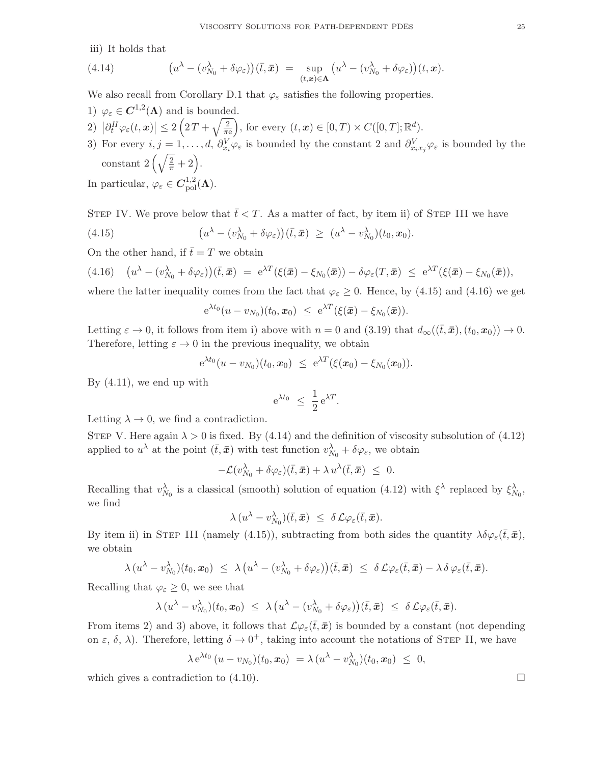iii) It holds that

(4.14) 
$$
\left(u^{\lambda}-(v_{N_0}^{\lambda}+\delta\varphi_{\varepsilon})\right)(\bar{t},\bar{x}) = \sup_{(t,\bar{x})\in\Lambda}\left(u^{\lambda}-(v_{N_0}^{\lambda}+\delta\varphi_{\varepsilon})\right)(t,\bar{x}).
$$

We also recall from Corollary D.1 that  $\varphi_{\varepsilon}$  satisfies the following properties.

- 1)  $\varphi_{\varepsilon} \in C^{1,2}(\Lambda)$  and is bounded.
- 2)  $\left|\partial_t^H\varphi_\varepsilon(t,\bm{x})\right|\leq 2\left(2\,T+\sqrt{\frac{2}{\pi\epsilon}}\right)$  $\frac{2}{\pi e}$ , for every  $(t, x) \in [0, T) \times C([0, T]; \mathbb{R}^d)$ .
- 3) For every  $i, j = 1, \ldots, d$ ,  $\partial_{x_i}^V \varphi_{\varepsilon}$  is bounded by the constant 2 and  $\partial_{x_i x_j}^V \varphi_{\varepsilon}$  is bounded by the constant  $2\left(\sqrt{\frac{2}{\pi}}+2\right)$ .

In particular,  $\varphi_{\varepsilon} \in C^{1,2}_{pol}(\Lambda)$ .

STEP IV. We prove below that 
$$
\bar{t} < T
$$
. As a matter of fact, by item ii) of STEP III we have

(4.15) 
$$
\left(u^{\lambda}-(v_{N_0}^{\lambda}+\delta\varphi_{\varepsilon})\right)(\bar{t},\bar{x}) \geq (u^{\lambda}-v_{N_0}^{\lambda})(t_0,x_0).
$$

On the other hand, if  $\bar{t}=T$  we obtain

$$
(4.16) \quad (u^{\lambda} - (v_{N_0}^{\lambda} + \delta \varphi_{\varepsilon}))(\bar{t}, \bar{\mathbf{x}}) = e^{\lambda T}(\xi(\bar{\mathbf{x}}) - \xi_{N_0}(\bar{\mathbf{x}})) - \delta \varphi_{\varepsilon}(T, \bar{\mathbf{x}}) \leq e^{\lambda T}(\xi(\bar{\mathbf{x}}) - \xi_{N_0}(\bar{\mathbf{x}})),
$$

where the latter inequality comes from the fact that  $\varphi_{\varepsilon} \geq 0$ . Hence, by (4.15) and (4.16) we get

$$
e^{\lambda t_0}(u - v_{N_0})(t_0, x_0) \leq e^{\lambda T}(\xi(\bar{x}) - \xi_{N_0}(\bar{x})).
$$

Letting  $\varepsilon \to 0$ , it follows from item i) above with  $n = 0$  and  $(3.19)$  that  $d_{\infty}((\bar{t}, \bar{x}), (t_0, x_0)) \to 0$ . Therefore, letting  $\varepsilon \to 0$  in the previous inequality, we obtain

$$
e^{\lambda t_0}(u-v_{N_0})(t_0,\boldsymbol{x}_0) \leq e^{\lambda T}(\xi(\boldsymbol{x}_0)-\xi_{N_0}(\boldsymbol{x}_0)).
$$

By  $(4.11)$ , we end up with

$$
e^{\lambda t_0} \leq \frac{1}{2} e^{\lambda T}.
$$

Letting  $\lambda \to 0$ , we find a contradiction.

STEP V. Here again  $\lambda > 0$  is fixed. By (4.14) and the definition of viscosity subsolution of (4.12) applied to  $u^{\lambda}$  at the point  $(\bar{t}, \bar{x})$  with test function  $v_{N_0}^{\lambda} + \delta \varphi_{\varepsilon}$ , we obtain

$$
-\mathcal{L}(v_{N_0}^{\lambda}+\delta\varphi_{\varepsilon})(\bar{t},\bar{x})+\lambda\,u^{\lambda}(\bar{t},\bar{x})\,\,\leq\,\,0.
$$

Recalling that  $v_{N_0}^{\lambda}$  is a classical (smooth) solution of equation (4.12) with  $\xi^{\lambda}$  replaced by  $\xi_{N_0}^{\lambda}$ , we find

$$
\lambda (u^{\lambda} - v_{N_0}^{\lambda})(\bar{t}, \bar{x}) \leq \delta \mathcal{L} \varphi_{\varepsilon}(\bar{t}, \bar{x}).
$$

By item ii) in STEP III (namely (4.15)), subtracting from both sides the quantity  $\lambda \delta \varphi_{\varepsilon}(\bar{t},\bar{x})$ , we obtain

$$
\lambda (u^{\lambda} - v_{N_0}^{\lambda})(t_0, x_0) \leq \lambda (u^{\lambda} - (v_{N_0}^{\lambda} + \delta \varphi_{\varepsilon}))(\bar{t}, \bar{x}) \leq \delta \mathcal{L} \varphi_{\varepsilon}(\bar{t}, \bar{x}) - \lambda \delta \varphi_{\varepsilon}(\bar{t}, \bar{x}).
$$

Recalling that  $\varphi_{\varepsilon} \geq 0$ , we see that

$$
\lambda (u^{\lambda} - v^{\lambda}_{N_0})(t_0, \mathbf{x}_0) \leq \lambda (u^{\lambda} - (v^{\lambda}_{N_0} + \delta \varphi_{\varepsilon}))(\bar{t}, \bar{\mathbf{x}}) \leq \delta \mathcal{L} \varphi_{\varepsilon}(\bar{t}, \bar{\mathbf{x}}).
$$

From items 2) and 3) above, it follows that  $\mathcal{L}\varphi_{\varepsilon}(\bar{t},\bar{x})$  is bounded by a constant (not depending on  $\varepsilon$ ,  $\delta$ ,  $\lambda$ ). Therefore, letting  $\delta \to 0^+$ , taking into account the notations of STEP II, we have

$$
\lambda e^{\lambda t_0} (u - v_{N_0})(t_0, x_0) = \lambda (u^{\lambda} - v_{N_0}^{\lambda})(t_0, x_0) \leq 0,
$$

which gives a contradiction to  $(4.10)$ .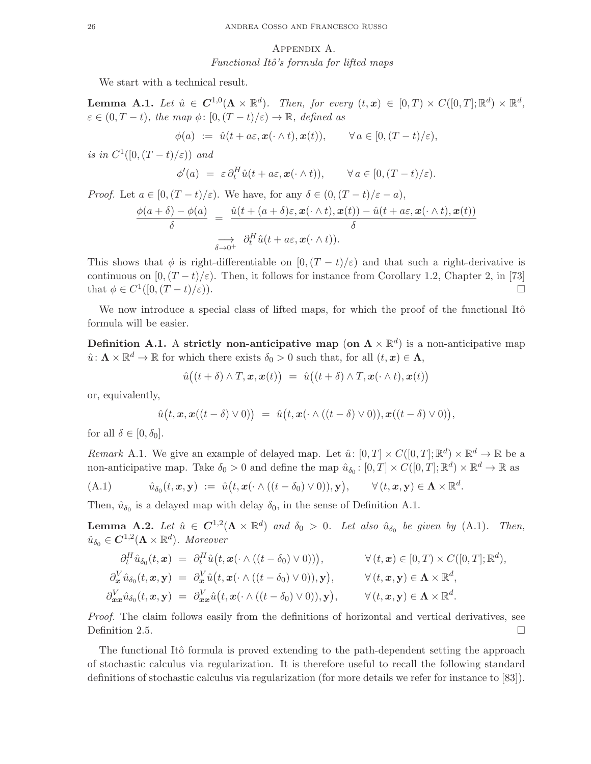# Appendix A. *Functional Itˆo's formula for lifted maps*

We start with a technical result.

Lemma A.1. Let  $\hat{u} \in C^{1,0}(\Lambda \times \mathbb{R}^d)$ . Then, for every  $(t,x) \in [0,T] \times C([0,T]; \mathbb{R}^d) \times \mathbb{R}^d$ ,  $\varepsilon \in (0, T - t)$ *, the map*  $\phi: [0, (T - t)/\varepsilon) \to \mathbb{R}$ *, defined as* 

$$
\phi(a) := \hat{u}(t + a\varepsilon, \mathbf{x}(\cdot \wedge t), \mathbf{x}(t)), \qquad \forall a \in [0, (T - t)/\varepsilon),
$$

*is in*  $C^1([0, (T-t)/\varepsilon))$  *and* 

$$
\phi'(a) = \varepsilon \, \partial_t^H \hat{u}(t + a\varepsilon, \mathbf{x}(\cdot \wedge t)), \qquad \forall \, a \in [0, (T - t)/\varepsilon).
$$

*Proof.* Let  $a \in [0, (T - t)/\varepsilon)$ . We have, for any  $\delta \in (0, (T - t)/\varepsilon - a)$ ,

$$
\frac{\phi(a+\delta)-\phi(a)}{\delta} = \frac{\hat{u}(t+(a+\delta)\varepsilon,\mathbf{x}(\cdot\wedge t),\mathbf{x}(t)) - \hat{u}(t+a\varepsilon,\mathbf{x}(\cdot\wedge t),\mathbf{x}(t))}{\delta}
$$

$$
\frac{\partial}{\delta\to 0^+}\partial_t^H\hat{u}(t+a\varepsilon,\mathbf{x}(\cdot\wedge t)).
$$

This shows that  $\phi$  is right-differentiable on  $[0,(T-t)/\varepsilon)$  and that such a right-derivative is continuous on  $[0,(T-t)/\varepsilon)$ . Then, it follows for instance from Corollary 1.2, Chapter 2, in [73] that  $\phi \in C^1([0, (T-t)/\varepsilon)).$ 

We now introduce a special class of lifted maps, for which the proof of the functional Itô formula will be easier.

Definition A.1. A strictly non-anticipative map (on  $\Lambda \times \mathbb{R}^d$ ) is a non-anticipative map  $\hat{u}: \Lambda \times \mathbb{R}^d \to \mathbb{R}$  for which there exists  $\delta_0 > 0$  such that, for all  $(t, x) \in \Lambda$ ,

$$
\hat{u}((t+\delta)\wedge T,\boldsymbol{x},\boldsymbol{x}(t)) = \hat{u}((t+\delta)\wedge T,\boldsymbol{x}(\cdot\wedge t),\boldsymbol{x}(t))
$$

or, equivalently,

$$
\hat{u}(t, \boldsymbol{x}, \boldsymbol{x}((t-\delta) \vee 0)) = \hat{u}(t, \boldsymbol{x}(\cdot \wedge ((t-\delta) \vee 0)), \boldsymbol{x}((t-\delta) \vee 0)),
$$

for all  $\delta \in [0, \delta_0]$ .

*Remark* A.1. We give an example of delayed map. Let  $\hat{u}$ :  $[0,T] \times C([0,T]; \mathbb{R}^d) \times \mathbb{R}^d \to \mathbb{R}$  be a non-anticipative map. Take  $\delta_0 > 0$  and define the map  $\hat{u}_{\delta_0}$ :  $[0, T] \times C([0, T]; \mathbb{R}^d) \times \mathbb{R}^d \to \mathbb{R}$  as

(A.1) 
$$
\hat{u}_{\delta_0}(t,\boldsymbol{x},\mathbf{y}) := \hat{u}(t,\boldsymbol{x}(\cdot \wedge ((t-\delta_0) \vee 0)),\mathbf{y}), \qquad \forall (t,\boldsymbol{x},\mathbf{y}) \in \Lambda \times \mathbb{R}^d.
$$

Then,  $\hat{u}_{\delta_0}$  is a delayed map with delay  $\delta_0$ , in the sense of Definition A.1.

**Lemma A.2.** Let  $\hat{u} \in C^{1,2}(\Lambda \times \mathbb{R}^d)$  and  $\delta_0 > 0$ . Let also  $\hat{u}_{\delta_0}$  be given by (A.1). Then,  $\hat{u}_{\delta_0} \in \mathbf{C}^{1,2}(\mathbf{\Lambda}\times \mathbb{R}^d)$ . Moreover

$$
\partial_t^H \hat{u}_{\delta_0}(t, \mathbf{x}) = \partial_t^H \hat{u}(t, \mathbf{x}(\cdot \wedge ((t - \delta_0) \vee 0))), \qquad \forall (t, \mathbf{x}) \in [0, T) \times C([0, T]; \mathbb{R}^d),
$$
  
\n
$$
\partial_{\mathbf{x}}^V \hat{u}_{\delta_0}(t, \mathbf{x}, \mathbf{y}) = \partial_{\mathbf{x}}^V \hat{u}(t, \mathbf{x}(\cdot \wedge ((t - \delta_0) \vee 0)), \mathbf{y}), \qquad \forall (t, \mathbf{x}, \mathbf{y}) \in \Lambda \times \mathbb{R}^d,
$$
  
\n
$$
\partial_{\mathbf{x}}^V \hat{u}_{\delta_0}(t, \mathbf{x}, \mathbf{y}) = \partial_{\mathbf{x}}^V \hat{u}(t, \mathbf{x}(\cdot \wedge ((t - \delta_0) \vee 0)), \mathbf{y}), \qquad \forall (t, \mathbf{x}, \mathbf{y}) \in \Lambda \times \mathbb{R}^d.
$$

*Proof.* The claim follows easily from the definitions of horizontal and vertical derivatives, see Definition 2.5.

The functional Itô formula is proved extending to the path-dependent setting the approach of stochastic calculus via regularization. It is therefore useful to recall the following standard definitions of stochastic calculus via regularization (for more details we refer for instance to [83]).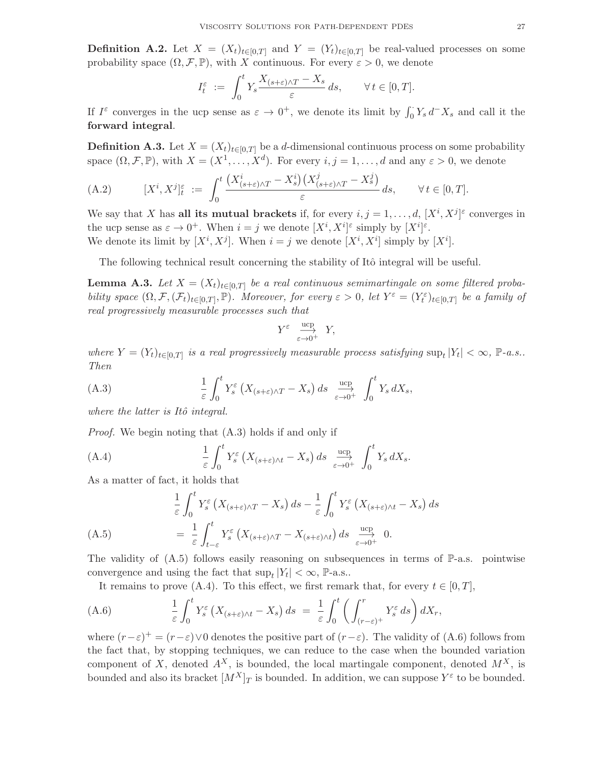**Definition A.2.** Let  $X = (X_t)_{t \in [0,T]}$  and  $Y = (Y_t)_{t \in [0,T]}$  be real-valued processes on some probability space  $(\Omega, \mathcal{F}, \mathbb{P})$ , with X continuous. For every  $\varepsilon > 0$ , we denote

$$
I_t^{\varepsilon} := \int_0^t Y_s \frac{X_{(s+\varepsilon)\wedge T} - X_s}{\varepsilon} ds, \qquad \forall t \in [0, T].
$$

If  $I^{\varepsilon}$  converges in the ucp sense as  $\varepsilon \to 0^+$ , we denote its limit by  $\int_0^{\cdot} Y_s d^- X_s$  and call it the forward integral.

**Definition A.3.** Let  $X = (X_t)_{t \in [0,T]}$  be a d-dimensional continuous process on some probability space  $(\Omega, \mathcal{F}, \mathbb{P})$ , with  $X = (X^1, \ldots, X^d)$ . For every  $i, j = 1, \ldots, d$  and any  $\varepsilon > 0$ , we denote

(A.2) 
$$
[X^{i}, X^{j}]_{t}^{\varepsilon} := \int_{0}^{t} \frac{\left(X_{(s+\varepsilon)\wedge T}^{i} - X_{s}^{i}\right)\left(X_{(s+\varepsilon)\wedge T}^{j} - X_{s}^{j}\right)}{\varepsilon} ds, \qquad \forall t \in [0, T].
$$

We say that X has all its mutual brackets if, for every  $i, j = 1, \ldots, d, [X^i, X^j]^{\varepsilon}$  converges in the ucp sense as  $\varepsilon \to 0^+$ . When  $i = j$  we denote  $[X^i, X^i]^\varepsilon$  simply by  $[X^i]^\varepsilon$ . We denote its limit by  $[X^i, X^j]$ . When  $i = j$  we denote  $[X^i, X^i]$  simply by  $[X^i]$ .

The following technical result concerning the stability of Itô integral will be useful.

**Lemma A.3.** Let  $X = (X_t)_{t \in [0,T]}$  be a real continuous semimartingale on some filtered proba*bility space*  $(\Omega, \mathcal{F}, (\mathcal{F}_t)_{t \in [0,T]}, \mathbb{P})$ *. Moreover, for every*  $\varepsilon > 0$ *, let*  $Y^{\varepsilon} = (Y_t^{\varepsilon})_{t \in [0,T]}$  *be a family of real progressively measurable processes such that*

$$
Y^{\varepsilon} \xrightarrow[\varepsilon \to 0^+]{\text{ucp}} Y,
$$

 $where Y = (Y_t)_{t \in [0,T]}$  is a real progressively measurable process satisfying  $\sup_t |Y_t| < \infty$ ,  $\mathbb{P}\text{-}a.s.$ . *Then*

(A.3) 
$$
\frac{1}{\varepsilon} \int_0^t Y_s^{\varepsilon} \left( X_{(s+\varepsilon)\wedge T} - X_s \right) ds \xrightarrow[\varepsilon \to 0^+]{} \int_0^t Y_s dX_s,
$$

*where the latter is Itô integral.* 

*Proof.* We begin noting that  $(A.3)$  holds if and only if

(A.4) 
$$
\frac{1}{\varepsilon} \int_0^t Y_s^{\varepsilon} \left( X_{(s+\varepsilon)\wedge t} - X_s \right) ds \xrightarrow[\varepsilon \to 0^+]{} \int_0^t Y_s dX_s.
$$

As a matter of fact, it holds that

$$
\frac{1}{\varepsilon} \int_0^t Y_s^\varepsilon \left( X_{(s+\varepsilon)\wedge T} - X_s \right) ds - \frac{1}{\varepsilon} \int_0^t Y_s^\varepsilon \left( X_{(s+\varepsilon)\wedge t} - X_s \right) ds
$$
\n
$$
= \frac{1}{\varepsilon} \int_{t-\varepsilon}^t Y_s^\varepsilon \left( X_{(s+\varepsilon)\wedge T} - X_{(s+\varepsilon)\wedge t} \right) ds \xrightarrow[\varepsilon \to 0^+]{ucp} 0.
$$
\n(A.5)

The validity of  $(A.5)$  follows easily reasoning on subsequences in terms of  $\mathbb{P}\text{-a.s.}$  pointwise convergence and using the fact that  $\sup_t |Y_t| < \infty$ , P-a.s..

It remains to prove (A.4). To this effect, we first remark that, for every  $t \in [0, T]$ ,

(A.6) 
$$
\frac{1}{\varepsilon} \int_0^t Y_s^{\varepsilon} \left( X_{(s+\varepsilon)\wedge t} - X_s \right) ds = \frac{1}{\varepsilon} \int_0^t \left( \int_{(r-\varepsilon)^+}^r Y_s^{\varepsilon} ds \right) dX_r,
$$

where  $(r-\varepsilon)^{+} = (r-\varepsilon) \vee 0$  denotes the positive part of  $(r-\varepsilon)$ . The validity of (A.6) follows from the fact that, by stopping techniques, we can reduce to the case when the bounded variation component of X, denoted  $A^X$ , is bounded, the local martingale component, denoted  $M^X$ , is bounded and also its bracket  $[M^X]_T$  is bounded. In addition, we can suppose  $Y^{\varepsilon}$  to be bounded.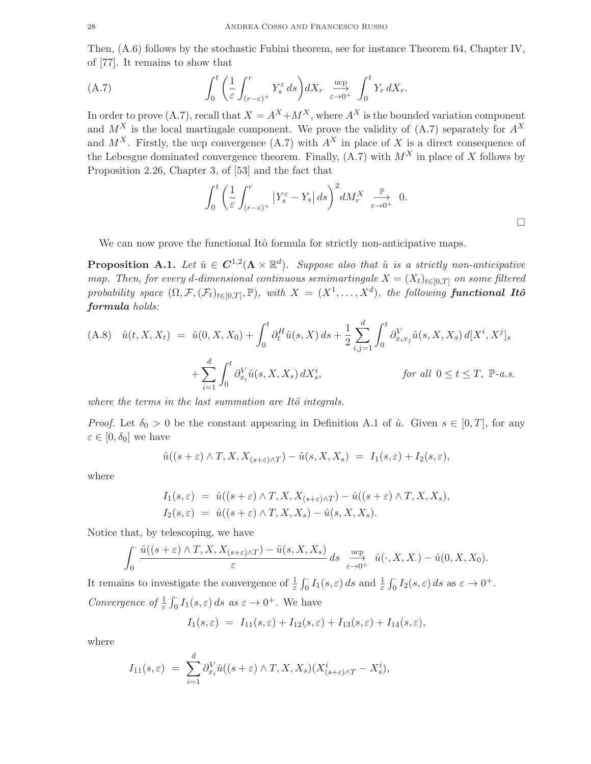Then, (A.6) follows by the stochastic Fubini theorem, see for instance Theorem 64, Chapter IV, of [77]. It remains to show that

(A.7) 
$$
\int_0^t \left( \frac{1}{\varepsilon} \int_{(r-\varepsilon)^+}^r Y_s^{\varepsilon} ds \right) dX_r \xrightarrow[\varepsilon \to 0^+]{} \int_0^t Y_r dX_r.
$$

In order to prove (A.7), recall that  $X = A^X + M^X$ , where  $A^X$  is the bounded variation component and  $M^X$  is the local martingale component. We prove the validity of (A.7) separately for  $A^X$ and  $M^X$ . Firstly, the ucp convergence  $(A.7)$  with  $A^X$  in place of X is a direct consequence of the Lebesgue dominated convergence theorem. Finally,  $(A.7)$  with  $M<sup>X</sup>$  in place of X follows by Proposition 2.26, Chapter 3, of [53] and the fact that

$$
\int_0^t \left( \frac{1}{\varepsilon} \int_{(r-\varepsilon)^+}^r \left| Y_s^{\varepsilon} - Y_s \right| ds \right)^2 dM_r^X \xrightarrow[\varepsilon \to 0^+]{} 0.
$$

We can now prove the functional Itô formula for strictly non-anticipative maps.

**Proposition A.1.** Let  $\hat{u} \in C^{1,2}(\Lambda \times \mathbb{R}^d)$ . Suppose also that  $\hat{u}$  is a strictly non-anticipative *map. Then, for every d-dimensional continuous semimartingale*  $X = (X_t)_{t \in [0,T]}$  *on some filtered probability space*  $(\Omega, \mathcal{F}, (\mathcal{F}_t)_{t \in [0,T]}, \mathbb{P})$ *, with*  $X = (X^1, \ldots, X^d)$ *, the following* functional Itô formula *holds:*

$$
(A.8) \quad \hat{u}(t, X, X_t) = \hat{u}(0, X, X_0) + \int_0^t \partial_t^H \hat{u}(s, X) \, ds + \frac{1}{2} \sum_{i,j=1}^d \int_0^t \partial_{x_i x_j}^V \hat{u}(s, X, X_s) \, d[X^i, X^j]_s
$$

$$
+ \sum_{i=1}^d \int_0^t \partial_{x_i}^V \hat{u}(s, X, X_s) \, dX_s^i, \qquad \text{for all } 0 \le t \le T, \ \mathbb{P}\text{-}a.s.
$$

*where the terms in the last summation are Itô integrals.* 

*Proof.* Let  $\delta_0 > 0$  be the constant appearing in Definition A.1 of  $\hat{u}$ . Given  $s \in [0, T]$ , for any  $\varepsilon \in [0, \delta_0]$  we have

$$
\hat{u}((s+\varepsilon)\wedge T, X, X_{(s+\varepsilon)\wedge T}) - \hat{u}(s, X, X_s) = I_1(s,\varepsilon) + I_2(s,\varepsilon),
$$

where

$$
I_1(s,\varepsilon) = \hat{u}((s+\varepsilon) \wedge T, X, X_{(s+\varepsilon)\wedge T}) - \hat{u}((s+\varepsilon) \wedge T, X, X_s),
$$
  
\n
$$
I_2(s,\varepsilon) = \hat{u}((s+\varepsilon) \wedge T, X, X_s) - \hat{u}(s, X, X_s).
$$

Notice that, by telescoping, we have

$$
\int_0^{\cdot} \frac{\hat{u}((s+\varepsilon) \wedge T, X, X_{(s+\varepsilon)\wedge T}) - \hat{u}(s, X, X_s)}{\varepsilon} ds \xrightarrow[\varepsilon \to 0^+]{} \hat{u}(\cdot, X, X) - \hat{u}(0, X, X_0).
$$

It remains to investigate the convergence of  $\frac{1}{\varepsilon} \int_0^{\cdot} I_1(s,\varepsilon) ds$  and  $\frac{1}{\varepsilon} \int_0^{\cdot} I_2(s,\varepsilon) ds$  as  $\varepsilon \to 0^+$ . *Convergence of*  $\frac{1}{\varepsilon} \int_0^{\cdot} I_1(s, \varepsilon) ds$  *as*  $\varepsilon \to 0^+$ . We have

$$
I_1(s,\varepsilon) = I_{11}(s,\varepsilon) + I_{12}(s,\varepsilon) + I_{13}(s,\varepsilon) + I_{14}(s,\varepsilon),
$$

where

$$
I_{11}(s,\varepsilon) = \sum_{i=1}^d \partial_{x_i}^V \hat{u}((s+\varepsilon) \wedge T, X, X_s)(X^i_{(s+\varepsilon)\wedge T} - X^i_s),
$$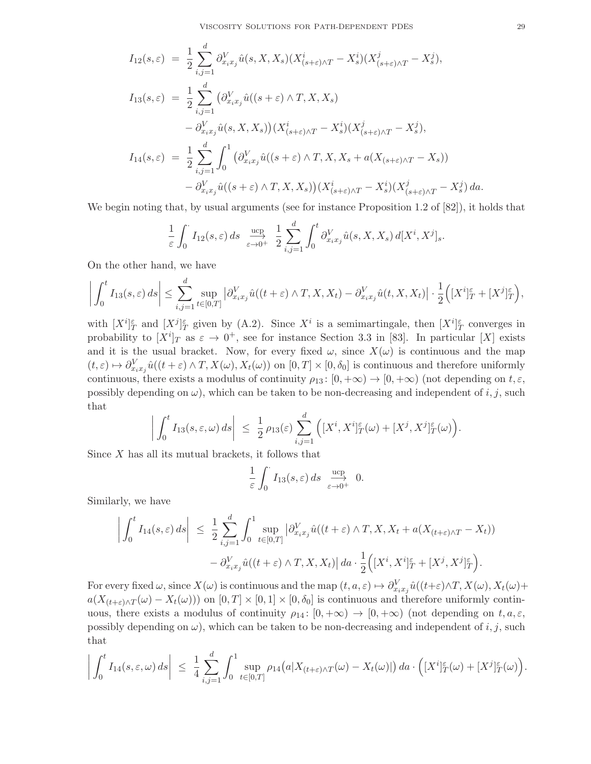$$
I_{12}(s,\varepsilon) = \frac{1}{2} \sum_{i,j=1}^{d} \partial_{x_i x_j}^{V} \hat{u}(s, X, X_s) (X_{(s+\varepsilon)\wedge T}^i - X_s^i) (X_{(s+\varepsilon)\wedge T}^j - X_s^j),
$$
  
\n
$$
I_{13}(s,\varepsilon) = \frac{1}{2} \sum_{i,j=1}^{d} (\partial_{x_i x_j}^{V} \hat{u}((s+\varepsilon)\wedge T, X, X_s) - \partial_{x_i x_j}^{V} \hat{u}(s, X, X_s)) (X_{(s+\varepsilon)\wedge T}^i - X_s^i) (X_{(s+\varepsilon)\wedge T}^j - X_s^j),
$$
  
\n
$$
I_{14}(s,\varepsilon) = \frac{1}{2} \sum_{i,j=1}^{d} \int_0^1 (\partial_{x_i x_j}^{V} \hat{u}((s+\varepsilon)\wedge T, X, X_s + a(X_{(s+\varepsilon)\wedge T} - X_s)) - \partial_{x_i x_j}^{V} \hat{u}((s+\varepsilon)\wedge T, X, X_s)) (X_{(s+\varepsilon)\wedge T}^i - X_s^i) (X_{(s+\varepsilon)\wedge T}^j - X_s^j) da.
$$

We begin noting that, by usual arguments (see for instance Proposition 1.2 of  $[82]$ ), it holds that

$$
\frac{1}{\varepsilon} \int_0^{\cdot} I_{12}(s,\varepsilon) \, ds \; \xrightarrow[\varepsilon \to 0^+]{} \frac{1}{2} \sum_{i,j=1}^d \int_0^t \partial_{x_i x_j}^V \hat{u}(s,X,X_s) \, d[X^i,X^j]_s.
$$

On the other hand, we have

$$
\left| \int_0^t I_{13}(s,\varepsilon) \, ds \right| \leq \sum_{i,j=1}^d \sup_{t \in [0,T]} \left| \partial_{x_i x_j}^V \hat{u}((t+\varepsilon) \wedge T, X, X_t) - \partial_{x_i x_j}^V \hat{u}(t, X, X_t) \right| \cdot \frac{1}{2} \Big( [X^i]_T^{\varepsilon} + [X^j]_T^{\varepsilon} \Big),
$$

with  $[X^i]_T^{\varepsilon}$  and  $[X^j]_T^{\varepsilon}$  given by (A.2). Since  $X^i$  is a semimartingale, then  $[X^i]_T^{\varepsilon}$  converges in probability to  $[X^i]_T$  as  $\varepsilon \to 0^+$ , see for instance Section 3.3 in [83]. In particular [X] exists and it is the usual bracket. Now, for every fixed  $\omega$ , since  $X(\omega)$  is continuous and the map  $(t,\varepsilon) \mapsto \partial_{x_ix_j}^V \hat{u}((t+\varepsilon) \wedge T, X(\omega), X_t(\omega))$  on  $[0,T] \times [0,\delta_0]$  is continuous and therefore uniformly continuous, there exists a modulus of continuity  $\rho_{13} : [0, +\infty) \to [0, +\infty)$  (not depending on  $t, \varepsilon$ , possibly depending on  $\omega$ ), which can be taken to be non-decreasing and independent of i, j, such that

$$
\left| \int_0^t I_{13}(s,\varepsilon,\omega) \, ds \right| \leq \frac{1}{2} \rho_{13}(\varepsilon) \sum_{i,j=1}^d \left( [X^i, X^i]_T^{\varepsilon}(\omega) + [X^j, X^j]_T^{\varepsilon}(\omega) \right)
$$

Since X has all its mutual brackets, it follows that

$$
\frac{1}{\varepsilon} \int_0^{\cdot} I_{13}(s, \varepsilon) ds \xrightarrow[\varepsilon \to 0^+]{} 0.
$$

Similarly, we have

$$
\left| \int_0^t I_{14}(s,\varepsilon) \, ds \right| \leq \frac{1}{2} \sum_{i,j=1}^d \int_0^1 \sup_{t \in [0,T]} \left| \partial_{x_i x_j}^V \hat{u}((t+\varepsilon) \wedge T, X, X_t + a(X_{(t+\varepsilon) \wedge T} - X_t)) \right| - \partial_{x_i x_j}^V \hat{u}((t+\varepsilon) \wedge T, X, X_t) \right| da \cdot \frac{1}{2} \Big( [X^i, X^i]_T^{\varepsilon} + [X^j, X^j]_T^{\varepsilon} \Big).
$$

For every fixed  $\omega$ , since  $X(\omega)$  is continuous and the map  $(t, a, \varepsilon) \mapsto \partial_{x_i x_j}^V \hat{u}((t+\varepsilon) \wedge T, X(\omega), X_t(\omega) +$  $a(X_{(t+\varepsilon)\wedge T}(\omega) - X_t(\omega))$  on  $[0,T] \times [0,1] \times [0,\delta_0]$  is continuous and therefore uniformly continuous, there exists a modulus of continuity  $\rho_{14} : [0, +\infty) \to [0, +\infty)$  (not depending on  $t, a, \varepsilon$ , possibly depending on  $\omega$ ), which can be taken to be non-decreasing and independent of i, j, such that

$$
\left| \int_0^t I_{14}(s,\varepsilon,\omega) \, ds \right| \; \leq \; \frac{1}{4} \sum_{i,j=1}^d \int_0^1 \sup_{t \in [0,T]} \rho_{14}\big(a|X_{(t+\varepsilon)\wedge T}(\omega) - X_t(\omega)|\big) \, da \cdot \Big( [X^i]_T^{\varepsilon}(\omega) + [X^j]_T^{\varepsilon}(\omega) \Big).
$$

.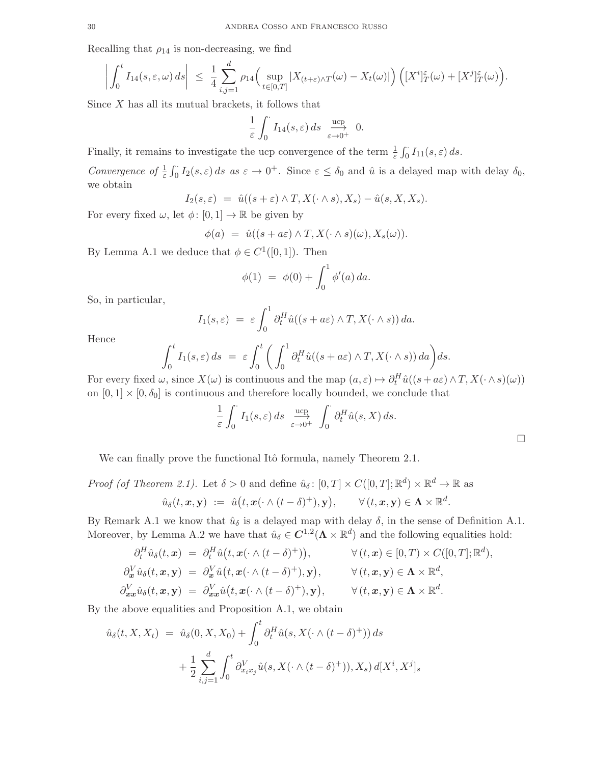Recalling that  $\rho_{14}$  is non-decreasing, we find

$$
\left| \int_0^t I_{14}(s,\varepsilon,\omega) \, ds \right| \leq \frac{1}{4} \sum_{i,j=1}^d \rho_{14} \Big( \sup_{t \in [0,T]} |X_{(t+\varepsilon)\wedge T}(\omega) - X_t(\omega)| \Big) \Big( [X^i]_T^{\varepsilon}(\omega) + [X^j]_T^{\varepsilon}(\omega) \Big).
$$

Since  $X$  has all its mutual brackets, it follows that

$$
\frac{1}{\varepsilon}\int_0^\cdot I_{14}(s,\varepsilon)\,ds\;\;\mathop{\longrightarrow}\limits_{\varepsilon\to0^+}\;\;0.
$$

Finally, it remains to investigate the ucp convergence of the term  $\frac{1}{\varepsilon} \int_0^{\cdot} I_{11}(s, \varepsilon) ds$ .

*Convergence of*  $\frac{1}{\varepsilon} \int_0^{\cdot} I_2(s, \varepsilon) ds$  *as*  $\varepsilon \to 0^+$ . Since  $\varepsilon \leq \delta_0$  and  $\hat{u}$  is a delayed map with delay  $\delta_0$ , we obtain

$$
I_2(s,\varepsilon) = \hat{u}((s+\varepsilon) \wedge T, X(\cdot \wedge s), X_s) - \hat{u}(s, X, X_s).
$$

For every fixed  $\omega$ , let  $\phi: [0,1] \to \mathbb{R}$  be given by

$$
\phi(a) = \hat{u}((s + a\varepsilon) \wedge T, X(\cdot \wedge s)(\omega), X_s(\omega)).
$$

By Lemma A.1 we deduce that  $\phi \in C^1([0,1])$ . Then

$$
\phi(1) = \phi(0) + \int_0^1 \phi'(a) \, da.
$$

So, in particular,

$$
I_1(s,\varepsilon) = \varepsilon \int_0^1 \partial_t^H \hat{u}((s+a\varepsilon) \wedge T, X(\cdot \wedge s)) \, da.
$$

Hence

$$
\int_0^t I_1(s,\varepsilon) ds = \varepsilon \int_0^t \bigg( \int_0^1 \partial_t^H \hat{u}((s+a\varepsilon) \wedge T, X(\cdot \wedge s)) da \bigg) ds.
$$

For every fixed  $\omega$ , since  $X(\omega)$  is continuous and the map  $(a,\varepsilon) \mapsto \partial_t^H \hat{u}((s+a\varepsilon) \wedge T, X(\cdot \wedge s)(\omega))$ on  $[0, 1] \times [0, \delta_0]$  is continuous and therefore locally bounded, we conclude that

$$
\frac{1}{\varepsilon} \int_0^{\cdot} I_1(s, \varepsilon) ds \xrightarrow[\varepsilon \to 0^+]{} \int_0^{\cdot} \partial_t^H \hat{u}(s, X) ds.
$$

We can finally prove the functional Itô formula, namely Theorem 2.1.

Proof (of Theorem 2.1). Let 
$$
\delta > 0
$$
 and define  $\hat{u}_{\delta} : [0, T] \times C([0, T]; \mathbb{R}^d) \times \mathbb{R}^d \to \mathbb{R}$  as  

$$
\hat{u}_{\delta}(t, x, y) := \hat{u}(t, x(\cdot \wedge (t - \delta)^+), y), \qquad \forall (t, x, y) \in \Lambda \times \mathbb{R}^d.
$$

By Remark A.1 we know that  $\hat{u}_{\delta}$  is a delayed map with delay  $\delta$ , in the sense of Definition A.1. Moreover, by Lemma A.2 we have that  $\hat{u}_{\delta} \in C^{1,2}(\Lambda \times \mathbb{R}^d)$  and the following equalities hold:

$$
\partial_t^H \hat{u}_{\delta}(t, \mathbf{x}) = \partial_t^H \hat{u}(t, \mathbf{x}(\cdot \wedge (t - \delta)^+)), \qquad \forall (t, \mathbf{x}) \in [0, T) \times C([0, T]; \mathbb{R}^d),
$$
  
\n
$$
\partial_{\mathbf{x}}^V \hat{u}_{\delta}(t, \mathbf{x}, \mathbf{y}) = \partial_{\mathbf{x}}^V \hat{u}(t, \mathbf{x}(\cdot \wedge (t - \delta)^+), \mathbf{y}), \qquad \forall (t, \mathbf{x}, \mathbf{y}) \in \Lambda \times \mathbb{R}^d,
$$
  
\n
$$
\partial_{\mathbf{x}}^V \hat{u}_{\delta}(t, \mathbf{x}, \mathbf{y}) = \partial_{\mathbf{x}}^V \hat{u}(t, \mathbf{x}(\cdot \wedge (t - \delta)^+), \mathbf{y}), \qquad \forall (t, \mathbf{x}, \mathbf{y}) \in \Lambda \times \mathbb{R}^d.
$$

By the above equalities and Proposition A.1, we obtain

$$
\hat{u}_{\delta}(t, X, X_t) = \hat{u}_{\delta}(0, X, X_0) + \int_0^t \partial_t^H \hat{u}(s, X(\cdot \wedge (t - \delta)^+)) ds
$$

$$
+ \frac{1}{2} \sum_{i,j=1}^d \int_0^t \partial_{x_i x_j}^V \hat{u}(s, X(\cdot \wedge (t - \delta)^+)), X_s) d[X^i, X^j]_s
$$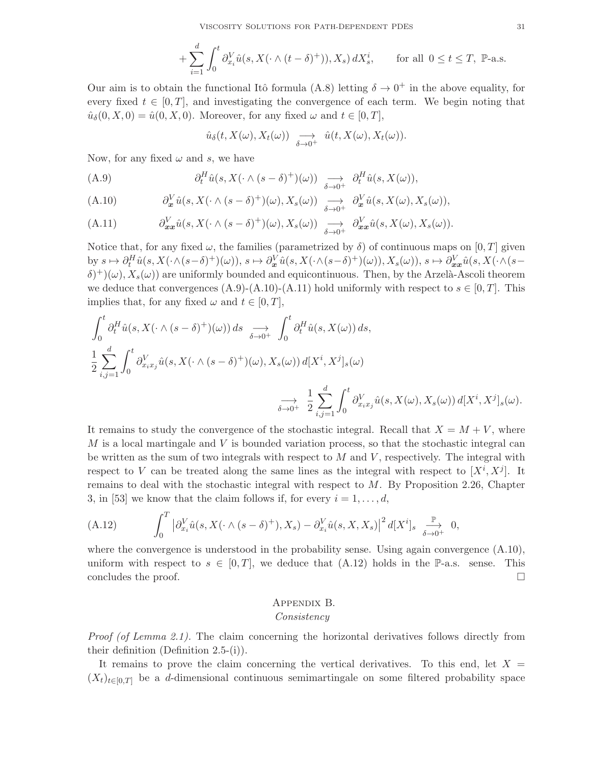$$
+\sum_{i=1}^d \int_0^t \partial_{x_i}^V \hat{u}(s, X(\cdot \wedge (t-\delta)^+)), X_s) dX_s^i, \quad \text{for all } 0 \le t \le T, \text{ P-a.s.}
$$

Our aim is to obtain the functional Itô formula (A.8) letting  $\delta \to 0^+$  in the above equality, for every fixed  $t \in [0, T]$ , and investigating the convergence of each term. We begin noting that  $\hat{u}_{\delta}(0, X, 0) = \hat{u}(0, X, 0)$ . Moreover, for any fixed  $\omega$  and  $t \in [0, T]$ ,

$$
\hat{u}_{\delta}(t, X(\omega), X_{t}(\omega)) \longrightarrow \hat{u}(t, X(\omega), X_{t}(\omega)).
$$

Now, for any fixed  $\omega$  and s, we have

(A.9) 
$$
\partial_t^H \hat{u}(s, X(\cdot \wedge (s - \delta)^+) (\omega)) \longrightarrow \partial_t^H \hat{u}(s, X(\omega)),
$$

(A.10) 
$$
\partial_{\mathbf{x}}^V \hat{u}(s, X(\cdot \wedge (s - \delta)^+) (\omega), X_s(\omega)) \longrightarrow \partial_{\mathbf{x}}^V \hat{u}(s, X(\omega), X_s(\omega)),
$$

(A.11) 
$$
\partial_{\bm{x}\bm{x}}^V \hat{u}(s,X(\cdot \wedge (s-\delta)^+)(\omega),X_s(\omega)) \underset{\delta \to 0^+}{\longrightarrow} \partial_{\bm{x}\bm{x}}^V \hat{u}(s,X(\omega),X_s(\omega)).
$$

Notice that, for any fixed  $\omega$ , the families (parametrized by  $\delta$ ) of continuous maps on [0, T] given by  $s \mapsto \partial_t^H \hat{u}(s, X(\cdot \wedge (s-\delta)^+)(\omega)), s \mapsto \partial_x^V \hat{u}(s, X(\cdot \wedge (s-\delta)^+)(\omega)), X_s(\omega)), s \mapsto \partial_{xx}^V \hat{u}(s, X(\cdot \wedge (s-\delta)^+)(\omega)), s \mapsto \partial_{xx}^V \hat{u}(s, X(\cdot \wedge (s-\delta)^+)(\omega))$  $(\delta)^+$  $(\omega)$ ,  $X_s(\omega)$  are uniformly bounded and equicontinuous. Then, by the Arzelà-Ascoli theorem we deduce that convergences  $(A.9)-(A.10)-(A.11)$  hold uniformly with respect to  $s \in [0, T]$ . This implies that, for any fixed  $\omega$  and  $t \in [0, T]$ ,

$$
\int_0^t \partial_t^H \hat{u}(s, X(\cdot \wedge (s - \delta)^+)(\omega)) ds \underset{\delta \to 0^+}{\longrightarrow} \int_0^t \partial_t^H \hat{u}(s, X(\omega)) ds,
$$
  

$$
\frac{1}{2} \sum_{i,j=1}^d \int_0^t \partial_{x_i x_j}^V \hat{u}(s, X(\cdot \wedge (s - \delta)^+)(\omega), X_s(\omega)) d[X^i, X^j]_s(\omega)
$$
  

$$
\underset{\delta \to 0^+}{\longrightarrow} \frac{1}{2} \sum_{i,j=1}^d \int_0^t \partial_{x_i x_j}^V \hat{u}(s, X(\omega), X_s(\omega)) d[X^i, X^j]_s(\omega).
$$

It remains to study the convergence of the stochastic integral. Recall that  $X = M + V$ , where  $M$  is a local martingale and  $V$  is bounded variation process, so that the stochastic integral can be written as the sum of two integrals with respect to  $M$  and  $V$ , respectively. The integral with respect to V can be treated along the same lines as the integral with respect to  $[X^i, X^j]$ . It remains to deal with the stochastic integral with respect to M. By Proposition 2.26, Chapter 3, in [53] we know that the claim follows if, for every  $i = 1, \ldots, d$ ,

(A.12) 
$$
\int_0^T \left| \partial_{x_i}^V \hat{u}(s, X(\cdot \wedge (s - \delta)^+), X_s) - \partial_{x_i}^V \hat{u}(s, X, X_s) \right|^2 d[X^i]_s \xrightarrow[\delta \to 0^+]{} 0,
$$

where the convergence is understood in the probability sense. Using again convergence  $(A.10)$ , uniform with respect to  $s \in [0,T]$ , we deduce that  $(A.12)$  holds in the P-a.s. sense. This concludes the proof.

## Appendix B. *Consistency*

*Proof (of Lemma 2.1).* The claim concerning the horizontal derivatives follows directly from their definition (Definition 2.5-(i)).

It remains to prove the claim concerning the vertical derivatives. To this end, let  $X =$  $(X_t)_{t\in[0,T]}$  be a d-dimensional continuous semimartingale on some filtered probability space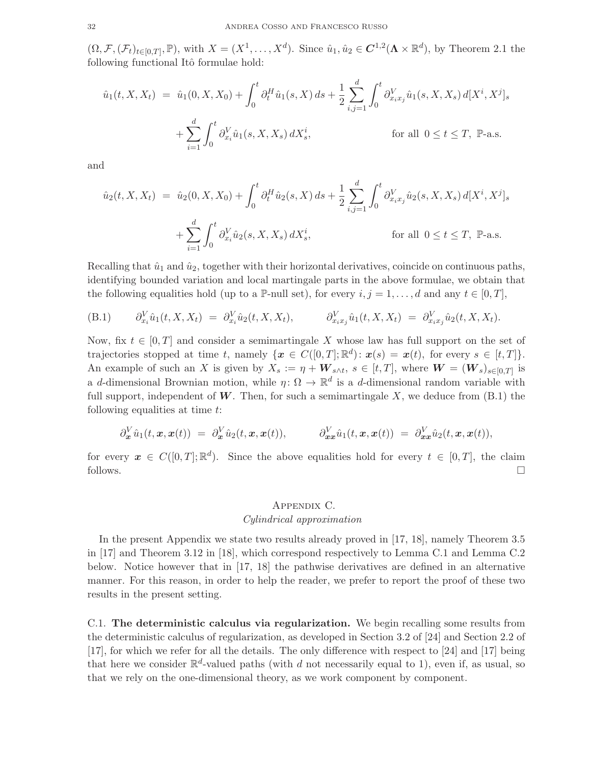$(\Omega, \mathcal{F}, (\mathcal{F}_t)_{t\in[0,T]}, \mathbb{P})$ , with  $X = (X^1, \ldots, X^d)$ . Since  $\hat{u}_1, \hat{u}_2 \in \mathbb{C}^{1,2}(\Lambda \times \mathbb{R}^d)$ , by Theorem 2.1 the following functional Itô formulae hold:

$$
\hat{u}_1(t, X, X_t) = \hat{u}_1(0, X, X_0) + \int_0^t \partial_t^H \hat{u}_1(s, X) ds + \frac{1}{2} \sum_{i,j=1}^d \int_0^t \partial_{x_i x_j}^V \hat{u}_1(s, X, X_s) d[X^i, X^j]_s
$$

$$
+ \sum_{i=1}^d \int_0^t \partial_{x_i}^V \hat{u}_1(s, X, X_s) dX_s^i, \qquad \text{for all } 0 \le t \le T, \ \mathbb{P}\text{-a.s.}
$$

and

$$
\hat{u}_2(t, X, X_t) = \hat{u}_2(0, X, X_0) + \int_0^t \partial_t^H \hat{u}_2(s, X) ds + \frac{1}{2} \sum_{i,j=1}^d \int_0^t \partial_{x_i x_j}^V \hat{u}_2(s, X, X_s) d[X^i, X^j]_s
$$

$$
+ \sum_{i=1}^d \int_0^t \partial_{x_i}^V \hat{u}_2(s, X, X_s) dX_s^i, \qquad \text{for all } 0 \le t \le T, \ \mathbb{P}\text{-a.s.}
$$

Recalling that  $\hat{u}_1$  and  $\hat{u}_2$ , together with their horizontal derivatives, coincide on continuous paths, identifying bounded variation and local martingale parts in the above formulae, we obtain that the following equalities hold (up to a P-null set), for every  $i, j = 1, \ldots, d$  and any  $t \in [0, T]$ ,

(B.1) 
$$
\partial_{x_i}^V \hat{u}_1(t, X, X_t) = \partial_{x_i}^V \hat{u}_2(t, X, X_t), \qquad \partial_{x_i x_j}^V \hat{u}_1(t, X, X_t) = \partial_{x_i x_j}^V \hat{u}_2(t, X, X_t).
$$

Now, fix  $t \in [0, T]$  and consider a semimartingale X whose law has full support on the set of trajectories stopped at time t, namely  $\{\boldsymbol{x} \in C([0,T]; \mathbb{R}^d) : \boldsymbol{x}(s) = \boldsymbol{x}(t)$ , for every  $s \in [t, T] \}$ . An example of such an X is given by  $X_s := \eta + \boldsymbol{W}_{s \wedge t}$ ,  $s \in [t, T]$ , where  $\boldsymbol{W} = (\boldsymbol{W}_s)_{s \in [0, T]}$  is a d-dimensional Brownian motion, while  $\eta: \Omega \to \mathbb{R}^d$  is a d-dimensional random variable with full support, independent of  $W$ . Then, for such a semimartingale X, we deduce from  $(B.1)$  the following equalities at time t:

$$
\partial_{\boldsymbol{x}}^V \hat{u}_1(t, \boldsymbol{x}, \boldsymbol{x}(t)) = \partial_{\boldsymbol{x}}^V \hat{u}_2(t, \boldsymbol{x}, \boldsymbol{x}(t)), \qquad \partial_{\boldsymbol{x}\boldsymbol{x}}^V \hat{u}_1(t, \boldsymbol{x}, \boldsymbol{x}(t)) = \partial_{\boldsymbol{x}\boldsymbol{x}}^V \hat{u}_2(t, \boldsymbol{x}, \boldsymbol{x}(t)),
$$

for every  $x \in C([0,T]; \mathbb{R}^d)$ . Since the above equalities hold for every  $t \in [0,T]$ , the claim follows.  $\Box$ 

# Appendix C. *Cylindrical approximation*

In the present Appendix we state two results already proved in [17, 18], namely Theorem 3.5 in [17] and Theorem 3.12 in [18], which correspond respectively to Lemma C.1 and Lemma C.2 below. Notice however that in [17, 18] the pathwise derivatives are defined in an alternative manner. For this reason, in order to help the reader, we prefer to report the proof of these two results in the present setting.

C.1. The deterministic calculus via regularization. We begin recalling some results from the deterministic calculus of regularization, as developed in Section 3.2 of [24] and Section 2.2 of [17], for which we refer for all the details. The only difference with respect to [24] and [17] being that here we consider  $\mathbb{R}^d$ -valued paths (with d not necessarily equal to 1), even if, as usual, so that we rely on the one-dimensional theory, as we work component by component.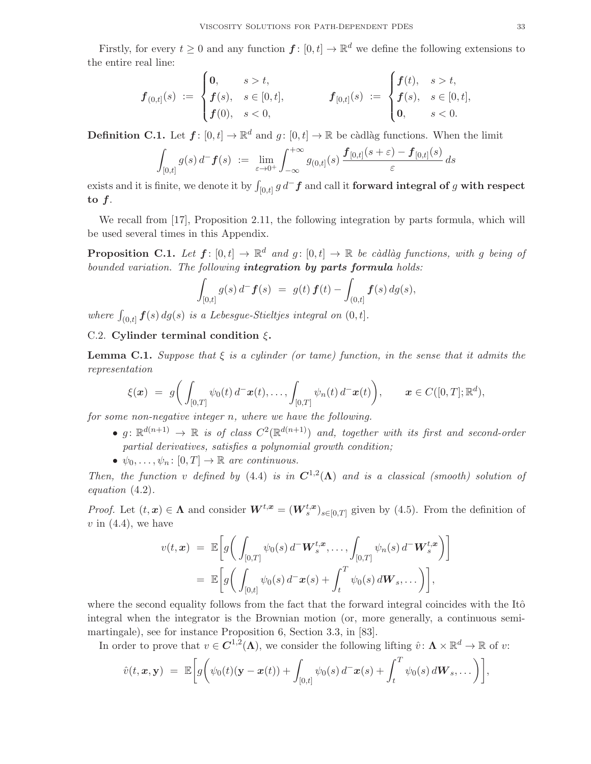Firstly, for every  $t \geq 0$  and any function  $f: [0, t] \to \mathbb{R}^d$  we define the following extensions to the entire real line:

$$
\boldsymbol{f}_{(0,t]}(s) := \begin{cases} \n0, & s > t, \\ \n\boldsymbol{f}(s), & s \in [0,t], \\ \n\boldsymbol{f}(0), & s < 0, \n\end{cases} \qquad \boldsymbol{f}_{[0,t]}(s) := \begin{cases} \n\boldsymbol{f}(t), & s > t, \\ \n\boldsymbol{f}(s), & s \in [0,t], \\ \n0, & s < 0. \n\end{cases}
$$

**Definition C.1.** Let  $f: [0, t] \to \mathbb{R}^d$  and  $g: [0, t] \to \mathbb{R}$  be càdlàg functions. When the limit

$$
\int_{[0,t]} g(s) d^- \mathbf{f}(s) := \lim_{\varepsilon \to 0^+} \int_{-\infty}^{+\infty} g_{(0,t]}(s) \frac{\mathbf{f}_{[0,t]}(s+\varepsilon) - \mathbf{f}_{[0,t]}(s)}{\varepsilon} ds
$$

exists and it is finite, we denote it by  $\int_{[0,t]} g \, d^- \bm{f}$  and call it **forward integral of**  $g$  **with respect** to f.

We recall from [17], Proposition 2.11, the following integration by parts formula, which will be used several times in this Appendix.

**Proposition C.1.** Let  $f: [0, t] \to \mathbb{R}^d$  and  $g: [0, t] \to \mathbb{R}$  be càdlàg functions, with g being of *bounded variation. The following* integration by parts formula *holds:*

$$
\int_{[0,t]} g(s) d^- \mathbf{f}(s) = g(t) \mathbf{f}(t) - \int_{(0,t]} \mathbf{f}(s) dg(s),
$$

where  $\int_{(0,t]} f(s) dg(s)$  *is a Lebesgue-Stieltjes integral on*  $(0,t]$ *.* 

## C.2. Cylinder terminal condition  $\xi$ .

**Lemma C.1.** *Suppose that*  $\xi$  *is a cylinder (or tame) function, in the sense that it admits the representation*

$$
\xi(\boldsymbol{x}) = g\bigg(\int_{[0,T]} \psi_0(t) d^-\boldsymbol{x}(t), \ldots, \int_{[0,T]} \psi_n(t) d^-\boldsymbol{x}(t)\bigg), \qquad \boldsymbol{x} \in C([0,T]; \mathbb{R}^d),
$$

*for some non-negative integer* n*, where we have the following.*

- $g: \mathbb{R}^{d(n+1)} \to \mathbb{R}$  is of class  $C^2(\mathbb{R}^{d(n+1)})$  and, together with its first and second-order *partial derivatives, satisfies a polynomial growth condition;*
- $\psi_0, \ldots, \psi_n \colon [0, T] \to \mathbb{R}$  are continuous.

*Then, the function* v defined by (4.4) *is in*  $C^{1,2}(\Lambda)$  *and is a classical (smooth) solution of equation* (4.2)*.*

*Proof.* Let  $(t, x) \in \Lambda$  and consider  $W^{t,x} = (W_s^{t,x})_{s \in [0,T]}$  given by (4.5). From the definition of  $v$  in  $(4.4)$ , we have

$$
v(t, \mathbf{x}) = \mathbb{E}\bigg[g\bigg(\int_{[0,T]} \psi_0(s) d^- \mathbf{W}_s^{t, \mathbf{x}}, \dots, \int_{[0,T]} \psi_n(s) d^- \mathbf{W}_s^{t, \mathbf{x}}\bigg)\bigg]
$$
  
= 
$$
\mathbb{E}\bigg[g\bigg(\int_{[0,t]} \psi_0(s) d^- \mathbf{x}(s) + \int_t^T \psi_0(s) d\mathbf{W}_s, \dots\bigg)\bigg],
$$

where the second equality follows from the fact that the forward integral coincides with the Itô integral when the integrator is the Brownian motion (or, more generally, a continuous semimartingale), see for instance Proposition 6, Section 3.3, in [83].

In order to prove that  $v \in C^{1,2}(\Lambda)$ , we consider the following lifting  $\hat{v} \colon \Lambda \times \mathbb{R}^d \to \mathbb{R}$  of  $v$ :

$$
\hat{v}(t,\boldsymbol{x},\mathbf{y}) = \mathbb{E}\bigg[g\bigg(\psi_0(t)(\mathbf{y}-\boldsymbol{x}(t))+\int_{[0,t]} \psi_0(s)\,d^-\boldsymbol{x}(s)+\int_t^T \psi_0(s)\,d\boldsymbol{W}_s,\dots\bigg)\bigg],
$$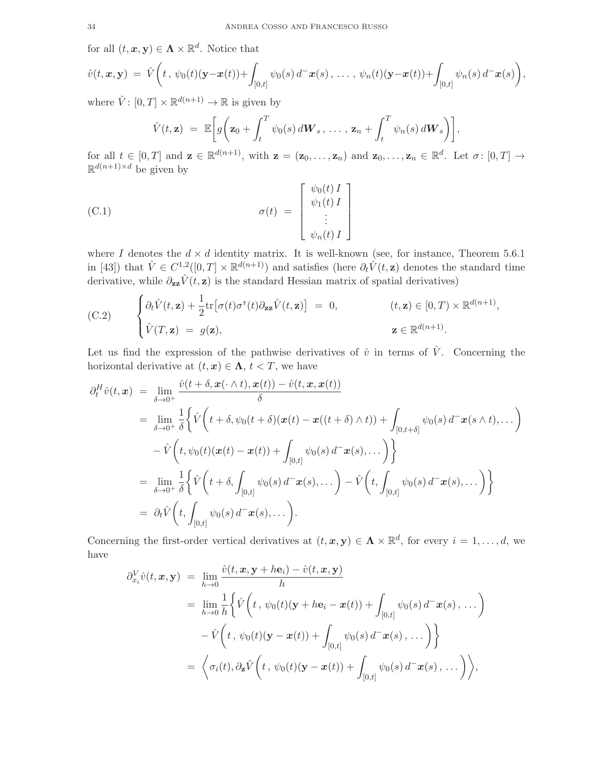for all  $(t, x, y) \in \Lambda \times \mathbb{R}^d$ . Notice that

$$
\hat{v}(t, \bm{x}, \mathbf{y}) = \hat{V}\bigg(t, \psi_0(t)(\mathbf{y}-\bm{x}(t)) + \int_{[0,t]} \psi_0(s) d^-\bm{x}(s), \ldots, \psi_n(t)(\mathbf{y}-\bm{x}(t)) + \int_{[0,t]} \psi_n(s) d^-\bm{x}(s)\bigg),
$$

where  $\hat{V} \colon [0, T] \times \mathbb{R}^{d(n+1)} \to \mathbb{R}$  is given by

$$
\hat{V}(t, \mathbf{z}) = \mathbb{E}\bigg[g\bigg(\mathbf{z}_0 + \int_t^T \psi_0(s) d\mathbf{W}_s, \ldots, \mathbf{z}_n + \int_t^T \psi_n(s) d\mathbf{W}_s\bigg)\bigg],
$$

for all  $t \in [0,T]$  and  $\mathbf{z} \in \mathbb{R}^{d(n+1)}$ , with  $\mathbf{z} = (\mathbf{z}_0,\ldots,\mathbf{z}_n)$  and  $\mathbf{z}_0,\ldots,\mathbf{z}_n \in \mathbb{R}^d$ . Let  $\sigma: [0,T] \to$  $\mathbb{R}^{d(n+1)\times d}$  be given by

(C.1) 
$$
\sigma(t) = \begin{bmatrix} \psi_0(t) I \\ \psi_1(t) I \\ \vdots \\ \psi_n(t) I \end{bmatrix}
$$

where I denotes the  $d \times d$  identity matrix. It is well-known (see, for instance, Theorem 5.6.1) in [43]) that  $\hat{V} \in C^{1,2}([0,T] \times \mathbb{R}^{d(n+1)})$  and satisfies (here  $\partial_t \hat{V}(t, \mathbf{z})$  denotes the standard time derivative, while  $\partial_{zz}\hat{V}(t, z)$  is the standard Hessian matrix of spatial derivatives)

(C.2) 
$$
\begin{cases} \partial_t \hat{V}(t, \mathbf{z}) + \frac{1}{2} \text{tr} \big[ \sigma(t) \sigma^{\mathsf{T}}(t) \partial_{\mathbf{z} \mathbf{z}} \hat{V}(t, \mathbf{z}) \big] = 0, & (t, \mathbf{z}) \in [0, T) \times \mathbb{R}^{d(n+1)}, \\ \hat{V}(T, \mathbf{z}) = g(\mathbf{z}), & \mathbf{z} \in \mathbb{R}^{d(n+1)}. \end{cases}
$$

Let us find the expression of the pathwise derivatives of  $\hat{v}$  in terms of  $\hat{V}$ . Concerning the horizontal derivative at  $(t, x) \in \Lambda$ ,  $t < T$ , we have

$$
\partial_t^H \hat{v}(t, \mathbf{x}) = \lim_{\delta \to 0^+} \frac{\hat{v}(t + \delta, \mathbf{x}(\cdot \wedge t), \mathbf{x}(t)) - \hat{v}(t, \mathbf{x}, \mathbf{x}(t))}{\delta}
$$
\n
$$
= \lim_{\delta \to 0^+} \frac{1}{\delta} \Biggl\{ \hat{V} \biggl( t + \delta, \psi_0(t + \delta) (\mathbf{x}(t) - \mathbf{x}((t + \delta) \wedge t)) + \int_{[0, t + \delta]} \psi_0(s) d^- \mathbf{x}(s \wedge t), \dots \biggr) - \hat{V} \biggl( t, \psi_0(t) (\mathbf{x}(t) - \mathbf{x}(t)) + \int_{[0, t]} \psi_0(s) d^- \mathbf{x}(s), \dots \biggr) \Biggr\}
$$
\n
$$
= \lim_{\delta \to 0^+} \frac{1}{\delta} \Biggl\{ \hat{V} \biggl( t + \delta, \int_{[0, t]} \psi_0(s) d^- \mathbf{x}(s), \dots \biggr) - \hat{V} \biggl( t, \int_{[0, t]} \psi_0(s) d^- \mathbf{x}(s), \dots \biggr) \Biggr\}
$$
\n
$$
= \partial_t \hat{V} \biggl( t, \int_{[0, t]} \psi_0(s) d^- \mathbf{x}(s), \dots \biggr).
$$

Concerning the first-order vertical derivatives at  $(t, x, y) \in \Lambda \times \mathbb{R}^d$ , for every  $i = 1, ..., d$ , we have

$$
\partial_{x_i}^V \hat{v}(t, \mathbf{x}, \mathbf{y}) = \lim_{h \to 0} \frac{\hat{v}(t, \mathbf{x}, \mathbf{y} + h\mathbf{e}_i) - \hat{v}(t, \mathbf{x}, \mathbf{y})}{h}
$$
\n
$$
= \lim_{h \to 0} \frac{1}{h} \Big\{ \hat{V}\Big(t, \psi_0(t)(\mathbf{y} + h\mathbf{e}_i - \mathbf{x}(t)) + \int_{[0,t]} \psi_0(s) d^{-} \mathbf{x}(s), \dots \Big)
$$
\n
$$
- \hat{V}\Big(t, \psi_0(t)(\mathbf{y} - \mathbf{x}(t)) + \int_{[0,t]} \psi_0(s) d^{-} \mathbf{x}(s), \dots \Big) \Big\}
$$
\n
$$
= \Big\langle \sigma_i(t), \partial_{\mathbf{z}} \hat{V}\Big(t, \psi_0(t)(\mathbf{y} - \mathbf{x}(t)) + \int_{[0,t]} \psi_0(s) d^{-} \mathbf{x}(s), \dots \Big) \Big\rangle,
$$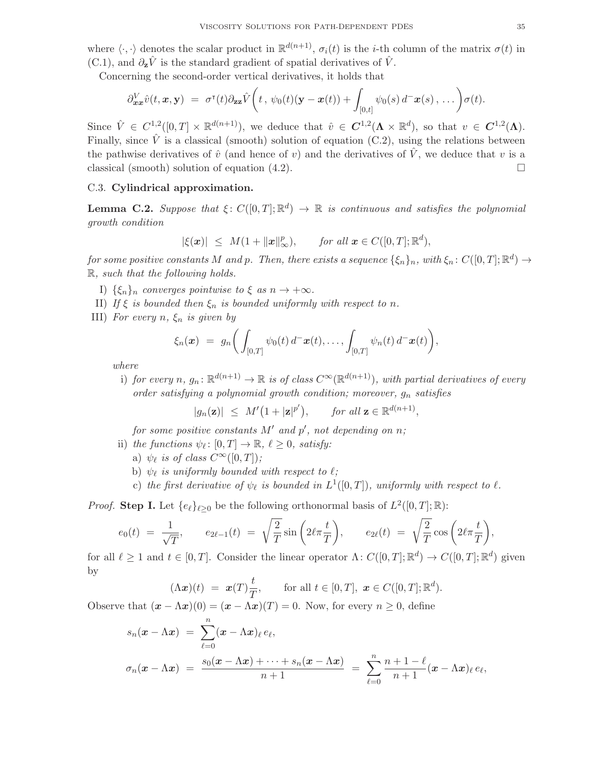where  $\langle \cdot, \cdot \rangle$  denotes the scalar product in  $\mathbb{R}^{d(n+1)}$ ,  $\sigma_i(t)$  is the *i*-th column of the matrix  $\sigma(t)$  in (C.1), and  $\partial_{\mathbf{z}}\hat{V}$  is the standard gradient of spatial derivatives of  $\hat{V}$ .

Concerning the second-order vertical derivatives, it holds that

$$
\partial_{\boldsymbol{x}\boldsymbol{x}}^V \hat{v}(t,\boldsymbol{x},\mathbf{y}) = \sigma^{\mathsf{T}}(t) \partial_{\boldsymbol{z}\boldsymbol{z}} \hat{V}\bigg(t,\psi_0(t)(\mathbf{y}-\boldsymbol{x}(t)) + \int_{[0,t]} \psi_0(s) d^{-}\boldsymbol{x}(s),\ldots\bigg) \sigma(t).
$$

Since  $\hat{V} \in C^{1,2}([0,T] \times \mathbb{R}^{d(n+1)})$ , we deduce that  $\hat{v} \in C^{1,2}(\Lambda \times \mathbb{R}^d)$ , so that  $v \in C^{1,2}(\Lambda)$ . Finally, since  $\hat{V}$  is a classical (smooth) solution of equation (C.2), using the relations between the pathwise derivatives of  $\hat{v}$  (and hence of v) and the derivatives of  $\hat{V}$ , we deduce that v is a classical (smooth) solution of equation  $(4.2)$ .

#### C.3. Cylindrical approximation.

**Lemma C.2.** Suppose that  $\xi: C([0,T]; \mathbb{R}^d) \to \mathbb{R}$  is continuous and satisfies the polynomial *growth condition*

$$
|\xi(\boldsymbol{x})| \leq M(1 + \|\boldsymbol{x}\|_{\infty}^p), \quad \text{for all } \boldsymbol{x} \in C([0, T]; \mathbb{R}^d),
$$

 $for\ some\ positive\ constants\ M\ and\ p.\ Then,\ there\ exists\ a\ sequence\ {\xi_n\}_n,\ with\ \xi_n\colon C([0,T];{\mathbb R}^d)\to {\mathcal C}$ R*, such that the following holds.*

- I)  $\{\xi_n\}_n$  *converges pointwise to*  $\xi$  *as*  $n \to +\infty$ *.*
- II) *If*  $\xi$  *is bounded then*  $\xi_n$  *is bounded uniformly with respect to n.*
- III) *For every*  $n, \xi_n$  *is given by*

$$
\xi_n(\boldsymbol{x}) = g_n\bigg(\int_{[0,T]} \psi_0(t) d^-\boldsymbol{x}(t), \ldots, \int_{[0,T]} \psi_n(t) d^-\boldsymbol{x}(t)\bigg),
$$

*where*

i) *for every*  $n, g_n : \mathbb{R}^{d(n+1)} \to \mathbb{R}$  *is of class*  $C^{\infty}(\mathbb{R}^{d(n+1)})$ *, with partial derivatives of every order satisfying a polynomial growth condition; moreover,*  $g_n$  *satisfies* 

 $|g_n(\mathbf{z})| \leq M'(1+|\mathbf{z}|^{p'}), \quad \text{for all } \mathbf{z} \in \mathbb{R}^{d(n+1)},$ 

for some positive constants  $M'$  and  $p'$ , not depending on  $n$ ;

- ii) *the functions*  $\psi_{\ell} \colon [0, T] \to \mathbb{R}, \ell \geq 0$ *, satisfy:* 
	- a)  $\psi_{\ell}$  *is of class*  $C^{\infty}([0,T])$ ;
	- b)  $\psi_{\ell}$  is uniformly bounded with respect to  $\ell$ ;
	- c) the first derivative of  $\psi_{\ell}$  is bounded in  $L^{1}([0,T])$ , uniformly with respect to  $\ell$ .

*Proof.* Step I. Let  $\{e_{\ell}\}_{\ell \geq 0}$  be the following orthonormal basis of  $L^2([0,T];\mathbb{R})$ :

$$
e_0(t) = \frac{1}{\sqrt{T}}, \qquad e_{2\ell-1}(t) = \sqrt{\frac{2}{T}} \sin\left(2\ell\pi \frac{t}{T}\right), \qquad e_{2\ell}(t) = \sqrt{\frac{2}{T}} \cos\left(2\ell\pi \frac{t}{T}\right),
$$

for all  $\ell \geq 1$  and  $t \in [0, T]$ . Consider the linear operator  $\Lambda: C([0, T]; \mathbb{R}^d) \to C([0, T]; \mathbb{R}^d)$  given by

$$
(\Lambda \boldsymbol{x})(t) = \boldsymbol{x}(T) \frac{t}{T}, \quad \text{for all } t \in [0, T], \ \boldsymbol{x} \in C([0, T]; \mathbb{R}^d).
$$

Observe that  $(\mathbf{x} - \Lambda \mathbf{x})(0) = (\mathbf{x} - \Lambda \mathbf{x})(T) = 0$ . Now, for every  $n \geq 0$ , define

$$
s_n(\mathbf{x} - \Lambda \mathbf{x}) = \sum_{\ell=0}^n (\mathbf{x} - \Lambda \mathbf{x})_\ell e_\ell,
$$
  

$$
\sigma_n(\mathbf{x} - \Lambda \mathbf{x}) = \frac{s_0(\mathbf{x} - \Lambda \mathbf{x}) + \dots + s_n(\mathbf{x} - \Lambda \mathbf{x})}{n+1} = \sum_{\ell=0}^n \frac{n+1-\ell}{n+1} (\mathbf{x} - \Lambda \mathbf{x})_\ell e_\ell,
$$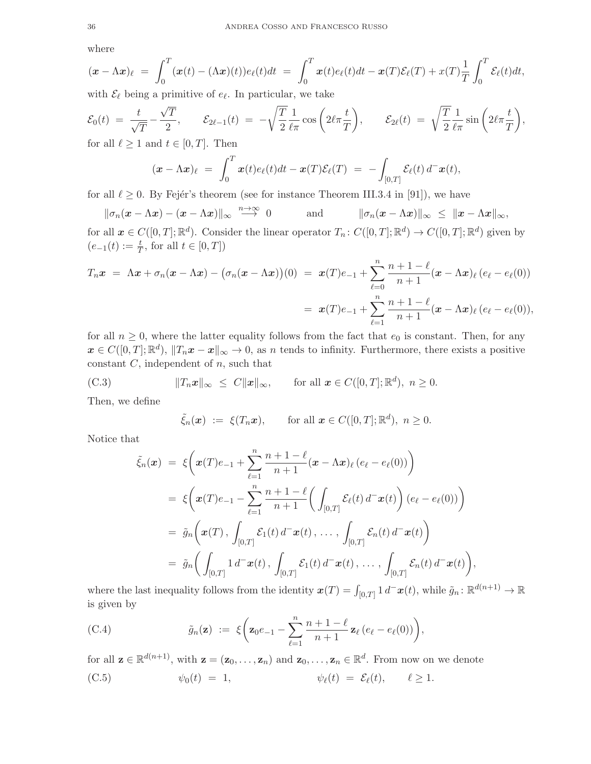where

$$
(\boldsymbol{x} - \Lambda \boldsymbol{x})_{\ell} = \int_0^T (\boldsymbol{x}(t) - (\Lambda \boldsymbol{x})(t)) e_{\ell}(t) dt = \int_0^T \boldsymbol{x}(t) e_{\ell}(t) dt - \boldsymbol{x}(T) \mathcal{E}_{\ell}(T) + \boldsymbol{x}(T) \frac{1}{T} \int_0^T \mathcal{E}_{\ell}(t) dt,
$$

with  $\mathcal{E}_{\ell}$  being a primitive of  $e_{\ell}$ . In particular, we take

$$
\mathcal{E}_0(t) = \frac{t}{\sqrt{T}} - \frac{\sqrt{T}}{2}, \qquad \mathcal{E}_{2\ell-1}(t) = -\sqrt{\frac{T}{2}} \frac{1}{\ell \pi} \cos\left(2\ell \pi \frac{t}{T}\right), \qquad \mathcal{E}_{2\ell}(t) = \sqrt{\frac{T}{2}} \frac{1}{\ell \pi} \sin\left(2\ell \pi \frac{t}{T}\right),
$$
\n
$$
\text{for all } \ell > 1 \text{ and } t \in [0, T]. \text{ Then}
$$

for all  $\ell \geq 1$  and  $t \in [0, T]$ . Then

$$
(\boldsymbol{x} - \Lambda \boldsymbol{x})_{\ell} = \int_0^T \boldsymbol{x}(t) e_{\ell}(t) dt - \boldsymbol{x}(T) \mathcal{E}_{\ell}(T) = - \int_{[0,T]} \mathcal{E}_{\ell}(t) d^{-} \boldsymbol{x}(t),
$$

for all  $\ell \geq 0$ . By Fejér's theorem (see for instance Theorem III.3.4 in [91]), we have

$$
\|\sigma_n(\mathbf{x}-\Lambda\mathbf{x})-(\mathbf{x}-\Lambda\mathbf{x})\|_{\infty} \stackrel{n\to\infty}{\longrightarrow} 0 \quad \text{and} \quad \|\sigma_n(\mathbf{x}-\Lambda\mathbf{x})\|_{\infty} \leq \|\mathbf{x}-\Lambda\mathbf{x}\|_{\infty},
$$

for all  $x \in C([0,T]; \mathbb{R}^d)$ . Consider the linear operator  $T_n: C([0,T]; \mathbb{R}^d) \to C([0,T]; \mathbb{R}^d)$  given by  $(e_{-1}(t) := \frac{t}{T}, \text{ for all } t \in [0, T])$ 

$$
T_n \boldsymbol{x} = \Lambda \boldsymbol{x} + \sigma_n (\boldsymbol{x} - \Lambda \boldsymbol{x}) - (\sigma_n (\boldsymbol{x} - \Lambda \boldsymbol{x})) (0) = \boldsymbol{x} (T) e_{-1} + \sum_{\ell=0}^n \frac{n+1-\ell}{n+1} (\boldsymbol{x} - \Lambda \boldsymbol{x})_{\ell} (e_{\ell} - e_{\ell}(0))
$$
  

$$
= \boldsymbol{x} (T) e_{-1} + \sum_{\ell=1}^n \frac{n+1-\ell}{n+1} (\boldsymbol{x} - \Lambda \boldsymbol{x})_{\ell} (e_{\ell} - e_{\ell}(0)),
$$

for all  $n \geq 0$ , where the latter equality follows from the fact that  $e_0$  is constant. Then, for any  $\boldsymbol{x} \in C([0,T];\mathbb{R}^d)$ ,  $||T_n\boldsymbol{x} - \boldsymbol{x}||_{\infty} \to 0$ , as n tends to infinity. Furthermore, there exists a positive constant  $C$ , independent of  $n$ , such that

(C.3) 
$$
||T_n \boldsymbol{x}||_{\infty} \leq C ||\boldsymbol{x}||_{\infty}, \quad \text{for all } \boldsymbol{x} \in C([0,T]; \mathbb{R}^d), n \geq 0.
$$

Then, we define

$$
\tilde{\xi}_n(\boldsymbol{x}) := \xi(T_n\boldsymbol{x}), \quad \text{for all } \boldsymbol{x} \in C([0,T];\mathbb{R}^d), n \geq 0.
$$

Notice that

$$
\tilde{\xi}_n(\boldsymbol{x}) = \xi\bigg(\boldsymbol{x}(T)e_{-1} + \sum_{\ell=1}^n \frac{n+1-\ell}{n+1} (\boldsymbol{x} - \Lambda \boldsymbol{x})_{\ell} (e_{\ell} - e_{\ell}(0))\bigg) \n= \xi\bigg(\boldsymbol{x}(T)e_{-1} - \sum_{\ell=1}^n \frac{n+1-\ell}{n+1} \bigg(\int_{[0,T]} \mathcal{E}_{\ell}(t) d^{-} \boldsymbol{x}(t)\bigg) (e_{\ell} - e_{\ell}(0))\bigg) \n= \tilde{g}_n\bigg(\boldsymbol{x}(T), \int_{[0,T]} \mathcal{E}_1(t) d^{-} \boldsymbol{x}(t), \ldots, \int_{[0,T]} \mathcal{E}_n(t) d^{-} \boldsymbol{x}(t)\bigg) \n= \tilde{g}_n\bigg(\int_{[0,T]} 1 d^{-} \boldsymbol{x}(t), \int_{[0,T]} \mathcal{E}_1(t) d^{-} \boldsymbol{x}(t), \ldots, \int_{[0,T]} \mathcal{E}_n(t) d^{-} \boldsymbol{x}(t)\bigg),
$$

where the last inequality follows from the identity  $x(T) = \int_{[0,T]} 1 d^{-}x(t)$ , while  $\tilde{g}_n : \mathbb{R}^{d(n+1)} \to \mathbb{R}$ is given by

(C.4) 
$$
\tilde{g}_n(\mathbf{z}) := \xi \bigg( \mathbf{z}_0 e_{-1} - \sum_{\ell=1}^n \frac{n+1-\ell}{n+1} \mathbf{z}_\ell \left( e_\ell - e_\ell(0) \right) \bigg),
$$

for all  $\mathbf{z} \in \mathbb{R}^{d(n+1)}$ , with  $\mathbf{z} = (\mathbf{z}_0, \dots, \mathbf{z}_n)$  and  $\mathbf{z}_0, \dots, \mathbf{z}_n \in \mathbb{R}^d$ . From now on we denote

(C.5) 
$$
\psi_0(t) = 1, \qquad \psi_\ell(t) = \mathcal{E}_\ell(t), \qquad \ell \ge 1.
$$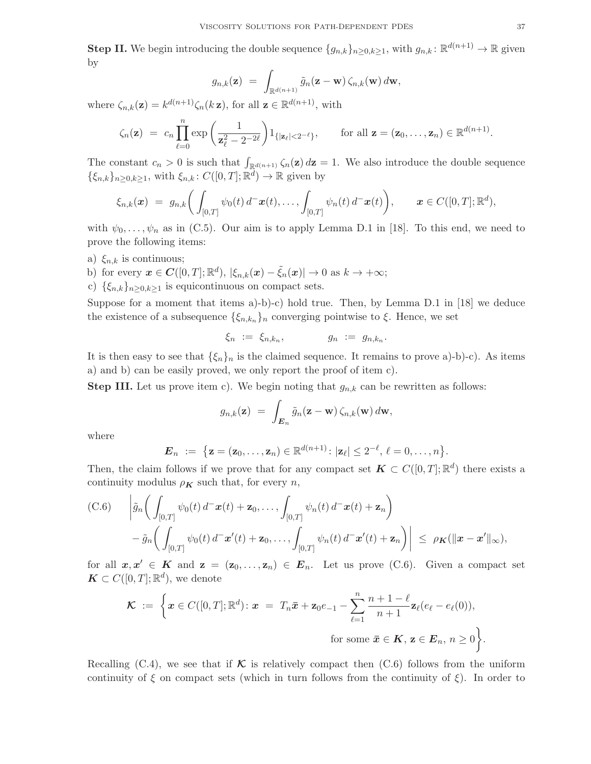**Step II.** We begin introducing the double sequence  $\{g_{n,k}\}_{n\geq 0,k\geq 1}$ , with  $g_{n,k} : \mathbb{R}^{d(n+1)} \to \mathbb{R}$  given by

$$
g_{n,k}(\mathbf{z}) = \int_{\mathbb{R}^{d(n+1)}} \tilde{g}_n(\mathbf{z}-\mathbf{w}) \, \zeta_{n,k}(\mathbf{w}) \, d\mathbf{w},
$$

where  $\zeta_{n,k}(\mathbf{z}) = k^{d(n+1)} \zeta_n(k\mathbf{z})$ , for all  $\mathbf{z} \in \mathbb{R}^{d(n+1)}$ , with

$$
\zeta_n(\mathbf{z}) = c_n \prod_{\ell=0}^n \exp\left(\frac{1}{\mathbf{z}_{\ell}^2 - 2^{-2\ell}}\right) 1_{\{|\mathbf{z}_{\ell}| < 2^{-\ell}\}}, \quad \text{for all } \mathbf{z} = (\mathbf{z}_0, \dots, \mathbf{z}_n) \in \mathbb{R}^{d(n+1)}.
$$

The constant  $c_n > 0$  is such that  $\int_{\mathbb{R}^{d(n+1)}} \zeta_n(\mathbf{z}) d\mathbf{z} = 1$ . We also introduce the double sequence  $\{\xi_{n,k}\}_{n\geq 0,k\geq 1}$ , with  $\xi_{n,k}: C([0,T]; \mathbb{R}^d) \to \mathbb{R}$  given by

$$
\xi_{n,k}(\boldsymbol{x}) = g_{n,k}\bigg(\int_{[0,T]} \psi_0(t) d^-\boldsymbol{x}(t), \ldots, \int_{[0,T]} \psi_n(t) d^-\boldsymbol{x}(t)\bigg), \qquad \boldsymbol{x} \in C([0,T]; \mathbb{R}^d),
$$

with  $\psi_0, \ldots, \psi_n$  as in (C.5). Our aim is to apply Lemma D.1 in [18]. To this end, we need to prove the following items:

a)  $\xi_{n,k}$  is continuous;

b) for every  $\boldsymbol{x} \in \boldsymbol{C}([0,T];\mathbb{R}^d)$ ,  $|\xi_{n,k}(\boldsymbol{x}) - \tilde{\xi}_n(\boldsymbol{x})| \to 0$  as  $k \to +\infty$ ;

c)  $\{\xi_{n,k}\}_{n\geq 0,k\geq 1}$  is equicontinuous on compact sets.

Suppose for a moment that items  $a$ )-b)-c) hold true. Then, by Lemma D.1 in [18] we deduce the existence of a subsequence  $\{\xi_{n,k_n}\}_n$  converging pointwise to  $\xi$ . Hence, we set

$$
\xi_n \; := \; \xi_{n,k_n}, \qquad \qquad g_n \; := \; g_{n,k_n}.
$$

It is then easy to see that  $\{\xi_n\}_n$  is the claimed sequence. It remains to prove a)-b)-c). As items a) and b) can be easily proved, we only report the proof of item c).

**Step III.** Let us prove item c). We begin noting that  $g_{n,k}$  can be rewritten as follows:

$$
g_{n,k}(\mathbf{z}) = \int_{\mathbf{E}_n} \tilde{g}_n(\mathbf{z}-\mathbf{w}) \, \zeta_{n,k}(\mathbf{w}) \, d\mathbf{w},
$$

where

$$
\mathbf{E}_n := \{ \mathbf{z} = (\mathbf{z}_0, \dots, \mathbf{z}_n) \in \mathbb{R}^{d(n+1)} : |\mathbf{z}_{\ell}| \leq 2^{-\ell}, \, \ell = 0, \dots, n \}.
$$

Then, the claim follows if we prove that for any compact set  $K \subset C([0,T];\mathbb{R}^d)$  there exists a continuity modulus  $\rho_K$  such that, for every *n*,

(C.6) 
$$
\left| \tilde{g}_n \left( \int_{[0,T]} \psi_0(t) d^- \mathbf{x}(t) + \mathbf{z}_0, \dots, \int_{[0,T]} \psi_n(t) d^- \mathbf{x}(t) + \mathbf{z}_n \right) - \tilde{g}_n \left( \int_{[0,T]} \psi_0(t) d^- \mathbf{x}'(t) + \mathbf{z}_0, \dots, \int_{[0,T]} \psi_n(t) d^- \mathbf{x}'(t) + \mathbf{z}_n \right) \right| \le \rho_K (\|\mathbf{x} - \mathbf{x}'\|_{\infty}),
$$

for all  $x, x' \in K$  and  $z = (z_0, \ldots, z_n) \in E_n$ . Let us prove (C.6). Given a compact set  $\mathbf{K} \subset C([0,T];\mathbb{R}^d)$ , we denote

$$
\mathcal{K} := \left\{ \boldsymbol{x} \in C([0,T];\mathbb{R}^d) : \boldsymbol{x} = T_n \bar{\boldsymbol{x}} + \mathbf{z}_0 e_{-1} - \sum_{\ell=1}^n \frac{n+1-\ell}{n+1} \mathbf{z}_{\ell}(e_{\ell} - e_{\ell}(0)), \right\}
$$
  
for some  $\bar{\boldsymbol{x}} \in \mathcal{K}, \, \mathbf{z} \in \mathcal{E}_n, \, n \ge 0 \right\}.$ 

Recalling (C.4), we see that if  $\mathcal K$  is relatively compact then (C.6) follows from the uniform continuity of  $\xi$  on compact sets (which in turn follows from the continuity of  $\xi$ ). In order to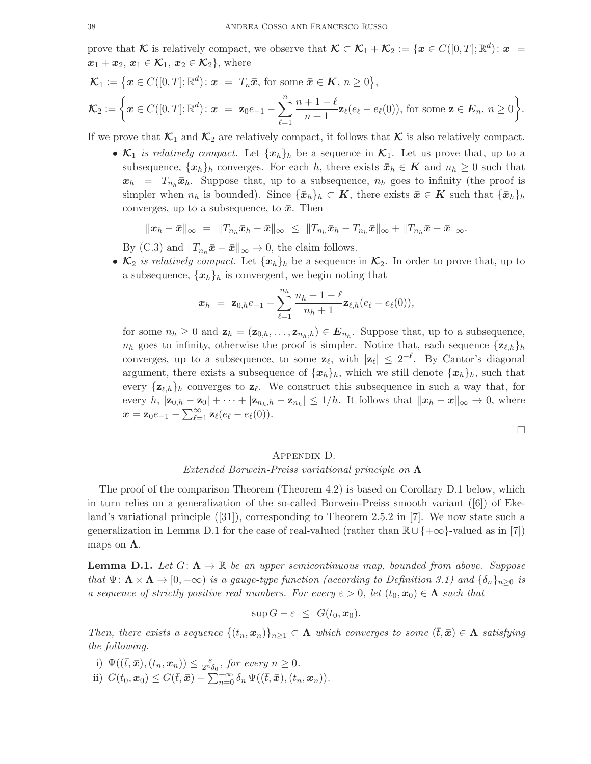prove that K is relatively compact, we observe that  $\mathcal{K} \subset \mathcal{K}_1 + \mathcal{K}_2 := \{ \boldsymbol{x} \in C([0,T]; \mathbb{R}^d) : \boldsymbol{x} =$  $\mathbf{x}_1 + \mathbf{x}_2, \mathbf{x}_1 \in \mathcal{K}_1, \mathbf{x}_2 \in \mathcal{K}_2$ , where

$$
\mathcal{K}_1 := \left\{ \boldsymbol{x} \in C([0,T];\mathbb{R}^d) : \boldsymbol{x} = T_n \bar{\boldsymbol{x}}, \text{ for some } \bar{\boldsymbol{x}} \in \mathbf{K}, n \geq 0 \right\},
$$
\n
$$
\mathcal{K}_2 := \left\{ \boldsymbol{x} \in C([0,T];\mathbb{R}^d) : \boldsymbol{x} = \mathbf{z}_0 e_{-1} - \sum_{\ell=1}^n \frac{n+1-\ell}{n+1} \mathbf{z}_\ell (e_\ell - e_\ell(0)), \text{ for some } \mathbf{z} \in \mathbf{E}_n, n \geq 0 \right\}.
$$

If we prove that  $\mathcal{K}_1$  and  $\mathcal{K}_2$  are relatively compact, it follows that  $\mathcal K$  is also relatively compact.

•  $\mathcal{K}_1$  *is relatively compact.* Let  $\{x_h\}_h$  be a sequence in  $\mathcal{K}_1$ . Let us prove that, up to a subsequence,  $\{x_h\}_h$  converges. For each h, there exists  $\bar{x}_h \in K$  and  $n_h \geq 0$  such that  $x_h = T_{n_h} \bar{x}_h$ . Suppose that, up to a subsequence,  $n_h$  goes to infinity (the proof is simpler when  $n_h$  is bounded). Since  $\{\bar{x}_h\}_h \subset K$ , there exists  $\bar{x} \in K$  such that  $\{\bar{x}_h\}_h$ converges, up to a subsequence, to  $\bar{x}$ . Then

$$
||x_h - \bar{x}||_{\infty} = ||T_{n_h}\bar{x}_h - \bar{x}||_{\infty} \leq ||T_{n_h}\bar{x}_h - T_{n_h}\bar{x}||_{\infty} + ||T_{n_h}\bar{x} - \bar{x}||_{\infty}.
$$

By (C.3) and  $||T_{n_h}\bar{x}-\bar{x}||_{\infty}\to 0$ , the claim follows.

•  $\mathcal{K}_2$  *is relatively compact.* Let  $\{x_h\}_h$  be a sequence in  $\mathcal{K}_2$ . In order to prove that, up to a subsequence,  $\{x_h\}_h$  is convergent, we begin noting that

$$
x_h = \mathbf{z}_{0,h}e_{-1} - \sum_{\ell=1}^{n_h} \frac{n_h+1-\ell}{n_h+1} \mathbf{z}_{\ell,h}(e_{\ell}-e_{\ell}(0)),
$$

for some  $n_h \geq 0$  and  $\mathbf{z}_h = (\mathbf{z}_{0,h}, \ldots, \mathbf{z}_{n_h,h}) \in \mathbf{E}_{n_h}$ . Suppose that, up to a subsequence,  $n_h$  goes to infinity, otherwise the proof is simpler. Notice that, each sequence  $\{z_{\ell,h}\}_h$ converges, up to a subsequence, to some  $z_\ell$ , with  $|z_\ell| \leq 2^{-\ell}$ . By Cantor's diagonal argument, there exists a subsequence of  $\{x_h\}_h$ , which we still denote  $\{x_h\}_h$ , such that every  $\{z_{\ell,h}\}_h$  converges to  $z_{\ell}$ . We construct this subsequence in such a way that, for every h,  $|\mathbf{z}_{0,h} - \mathbf{z}_0| + \cdots + |\mathbf{z}_{n_h,h} - \mathbf{z}_{n_h}| \leq 1/h$ . It follows that  $\|\mathbf{x}_h - \mathbf{x}\|_{\infty} \to 0$ , where  $x = z_0 e_{-1} - \sum_{\ell=1}^{\infty} z_{\ell} (e_{\ell} - e_{\ell}(0)).$ 

 $\Box$ 

### Appendix D.

## *Extended Borwein-Preiss variational principle on* Λ

The proof of the comparison Theorem (Theorem 4.2) is based on Corollary D.1 below, which in turn relies on a generalization of the so-called Borwein-Preiss smooth variant ([6]) of Ekeland's variational principle ([31]), corresponding to Theorem 2.5.2 in [7]. We now state such a generalization in Lemma D.1 for the case of real-valued (rather than  $\mathbb{R} \cup \{+\infty\}$ -valued as in [7]) maps on  $\Lambda$ .

**Lemma D.1.** Let  $G: \Lambda \to \mathbb{R}$  be an upper semicontinuous map, bounded from above. Suppose *that*  $\Psi: \Lambda \times \Lambda \to [0, +\infty)$  *is a gauge-type function (according to Definition 3.1) and*  $\{\delta_n\}_{n>0}$  *is a sequence of strictly positive real numbers. For every*  $\varepsilon > 0$ , let  $(t_0, x_0) \in \Lambda$  *such that* 

$$
\sup G - \varepsilon \ \leq \ G(t_0, x_0).
$$

*Then, there exists a sequence*  $\{(t_n, x_n)\}_{n\geq 1} \subset \Lambda$  *which converges to some*  $(\bar{t}, \bar{x}) \in \Lambda$  *satisfying the following.*

- i)  $\Psi((\bar{t}, \bar{x}), (t_n, x_n)) \leq \frac{\varepsilon}{2^n \delta_0},$  for every  $n \geq 0$ .
- ii)  $G(t_0, \mathbf{x}_0) \leq G(\bar{t}, \bar{\mathbf{x}}) \sum_{n=0}^{+\infty} \delta_n \Psi((\bar{t}, \bar{\mathbf{x}}), (t_n, \mathbf{x}_n)).$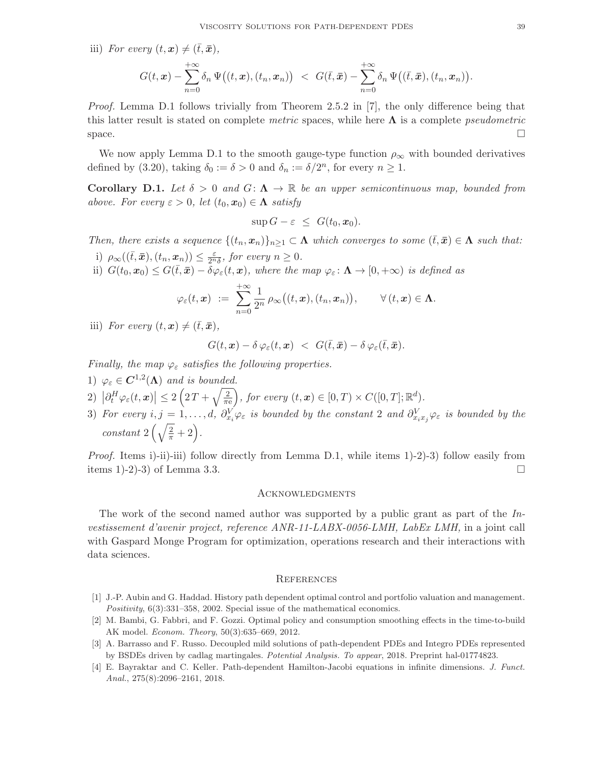iii) *For every*  $(t, x) \neq (\bar{t}, \bar{x})$ ,

$$
G(t,\boldsymbol{x})-\sum_{n=0}^{+\infty}\delta_n \Psi\big((t,\boldsymbol{x}),(t_n,\boldsymbol{x}_n)\big) ~<~ G(\bar{t},\bar{\boldsymbol{x}})-\sum_{n=0}^{+\infty}\delta_n \Psi\big((\bar{t},\bar{\boldsymbol{x}}),(t_n,\boldsymbol{x}_n)\big).
$$

*Proof.* Lemma D.1 follows trivially from Theorem 2.5.2 in [7], the only difference being that this latter result is stated on complete *metric* spaces, while here Λ is a complete *pseudometric* space.

We now apply Lemma D.1 to the smooth gauge-type function  $\rho_{\infty}$  with bounded derivatives defined by (3.20), taking  $\delta_0 := \delta > 0$  and  $\delta_n := \delta/2^n$ , for every  $n \ge 1$ .

Corollary D.1. Let  $\delta > 0$  and  $G: \Lambda \to \mathbb{R}$  be an upper semicontinuous map, bounded from *above. For every*  $\varepsilon > 0$ , *let*  $(t_0, x_0) \in \Lambda$  *satisfy* 

$$
\sup G - \varepsilon \ \leq \ G(t_0, \mathbf{x}_0).
$$

*Then, there exists a sequence*  $\{(t_n, x_n)\}_{n>1} \subset \Lambda$  *which converges to some*  $(\bar{t}, \bar{x}) \in \Lambda$  *such that:* 

- i)  $\rho_{\infty}((\bar{t}, \bar{x}), (t_n, x_n)) \leq \frac{\varepsilon}{2^n \delta}$ , for every  $n \geq 0$ .
- ii)  $G(t_0, x_0) \leq G(\bar{t}, \bar{x}) \bar{\delta} \varphi_{\varepsilon}(t, x)$ , where the map  $\varphi_{\varepsilon} \colon \mathbf{\Lambda} \to [0, +\infty)$  is defined as

$$
\varphi_\varepsilon(t,\boldsymbol{x}) \ := \ \sum_{n=0}^{+\infty} \frac{1}{2^n} \, \rho_\infty\big((t,\boldsymbol{x}), (t_n, \boldsymbol{x}_n)\big), \qquad \forall \, (t,\boldsymbol{x}) \in \boldsymbol{\Lambda}.
$$

iii) *For every*  $(t, x) \neq (\bar{t}, \bar{x})$ *,* 

$$
G(t,\boldsymbol{x})-\delta\,\varphi_{\varepsilon}(t,\boldsymbol{x})\ <\ G(\bar{t},\bar{\boldsymbol{x}})-\delta\,\varphi_{\varepsilon}(\bar{t},\bar{\boldsymbol{x}}).
$$

*Finally, the map*  $\varphi_{\varepsilon}$  *satisfies the following properties.* 

- 1)  $\varphi_{\varepsilon} \in C^{1,2}(\Lambda)$  and is bounded.
- 2)  $\left|\partial_t^H\varphi_\varepsilon(t,\bm{x})\right|\leq 2\left(2\,T+\sqrt{\frac{2}{\pi\epsilon}}\right)$  $\frac{2}{\pi e}$ , for every  $(t, x) \in [0, T) \times C([0, T]; \mathbb{R}^d)$ .
- 3) For every  $i, j = 1, \ldots, d$ ,  $\partial_{x_i}^V \varphi_{\varepsilon}$  is bounded by the constant 2 and  $\partial_{x_i x_j}^V \varphi_{\varepsilon}$  is bounded by the *constant*  $2\left(\sqrt{\frac{2}{\pi}}+2\right)$ .

*Proof.* Items i)-ii)-iii) follow directly from Lemma D.1, while items 1)-2)-3) follow easily from items 1)-2)-3) of Lemma 3.3.

#### **ACKNOWLEDGMENTS**

The work of the second named author was supported by a public grant as part of the *Investissement d'avenir project, reference ANR-11-LABX-0056-LMH, LabEx LMH,* in a joint call with Gaspard Monge Program for optimization, operations research and their interactions with data sciences.

#### **REFERENCES**

- [1] J.-P. Aubin and G. Haddad. History path dependent optimal control and portfolio valuation and management. Positivity, 6(3):331–358, 2002. Special issue of the mathematical economics.
- [2] M. Bambi, G. Fabbri, and F. Gozzi. Optimal policy and consumption smoothing effects in the time-to-build AK model. Econom. Theory, 50(3):635–669, 2012.
- [3] A. Barrasso and F. Russo. Decoupled mild solutions of path-dependent PDEs and Integro PDEs represented by BSDEs driven by cadlag martingales. Potential Analysis. To appear, 2018. Preprint hal-01774823.
- [4] E. Bayraktar and C. Keller. Path-dependent Hamilton-Jacobi equations in infinite dimensions. J. Funct. Anal., 275(8):2096–2161, 2018.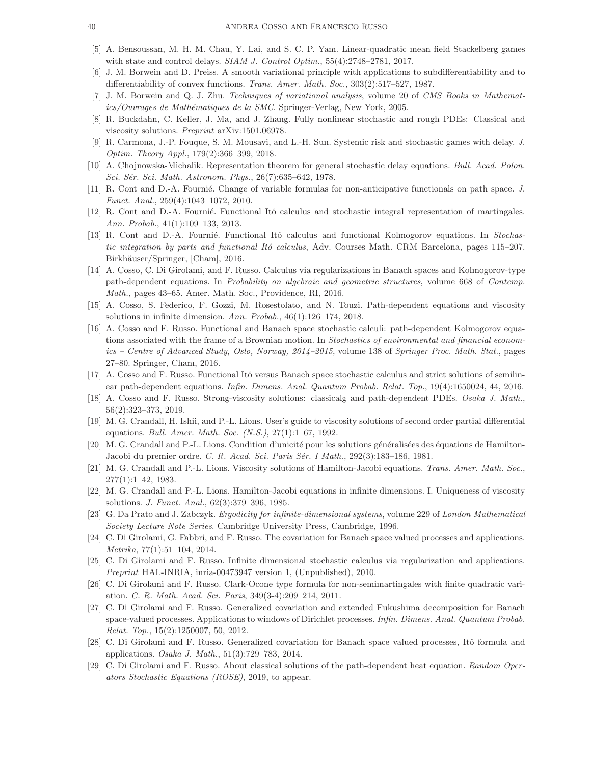- [5] A. Bensoussan, M. H. M. Chau, Y. Lai, and S. C. P. Yam. Linear-quadratic mean field Stackelberg games with state and control delays.  $SIAM$  J. Control Optim.,  $55(4):2748-2781$ ,  $2017$ .
- [6] J. M. Borwein and D. Preiss. A smooth variational principle with applications to subdifferentiability and to differentiability of convex functions. Trans. Amer. Math. Soc., 303(2):517–527, 1987.
- [7] J. M. Borwein and Q. J. Zhu. Techniques of variational analysis, volume 20 of CMS Books in Mathematics/Ouvrages de Mathématiques de la SMC. Springer-Verlag, New York, 2005.
- [8] R. Buckdahn, C. Keller, J. Ma, and J. Zhang. Fully nonlinear stochastic and rough PDEs: Classical and viscosity solutions. Preprint arXiv:1501.06978.
- [9] R. Carmona, J.-P. Fouque, S. M. Mousavi, and L.-H. Sun. Systemic risk and stochastic games with delay. J. Optim. Theory Appl., 179(2):366–399, 2018.
- [10] A. Chojnowska-Michalik. Representation theorem for general stochastic delay equations. Bull. Acad. Polon. Sci. Sér. Sci. Math. Astronom. Phys., 26(7):635–642, 1978.
- [11] R. Cont and D.-A. Fournie. Change of variable formulas for non-anticipative functionals on path space. J. Funct. Anal., 259(4):1043–1072, 2010.
- [12] R. Cont and D.-A. Fournié. Functional Itô calculus and stochastic integral representation of martingales. Ann. Probab., 41(1):109–133, 2013.
- [13] R. Cont and D.-A. Fournié. Functional Itô calculus and functional Kolmogorov equations. In Stochastic integration by parts and functional Itô calculus, Adv. Courses Math. CRM Barcelona, pages 115–207. Birkhäuser/Springer, [Cham], 2016.
- [14] A. Cosso, C. Di Girolami, and F. Russo. Calculus via regularizations in Banach spaces and Kolmogorov-type path-dependent equations. In Probability on algebraic and geometric structures, volume 668 of Contemp. Math., pages 43–65. Amer. Math. Soc., Providence, RI, 2016.
- [15] A. Cosso, S. Federico, F. Gozzi, M. Rosestolato, and N. Touzi. Path-dependent equations and viscosity solutions in infinite dimension. Ann. Probab., 46(1):126–174, 2018.
- [16] A. Cosso and F. Russo. Functional and Banach space stochastic calculi: path-dependent Kolmogorov equations associated with the frame of a Brownian motion. In Stochastics of environmental and financial economics – Centre of Advanced Study, Oslo, Norway, 2014–2015, volume 138 of Springer Proc. Math. Stat., pages 27–80. Springer, Cham, 2016.
- [17] A. Cosso and F. Russo. Functional Itô versus Banach space stochastic calculus and strict solutions of semilinear path-dependent equations. Infin. Dimens. Anal. Quantum Probab. Relat. Top., 19(4):1650024, 44, 2016.
- [18] A. Cosso and F. Russo. Strong-viscosity solutions: classicalg and path-dependent PDEs. Osaka J. Math., 56(2):323–373, 2019.
- [19] M. G. Crandall, H. Ishii, and P.-L. Lions. User's guide to viscosity solutions of second order partial differential equations. Bull. Amer. Math. Soc. (N.S.), 27(1):1–67, 1992.
- [20] M. G. Crandall and P.-L. Lions. Condition d'unicité pour les solutions généralisées des équations de Hamilton-Jacobi du premier ordre. C. R. Acad. Sci. Paris Sér. I Math., 292(3):183-186, 1981.
- [21] M. G. Crandall and P.-L. Lions. Viscosity solutions of Hamilton-Jacobi equations. Trans. Amer. Math. Soc., 277(1):1–42, 1983.
- [22] M. G. Crandall and P.-L. Lions. Hamilton-Jacobi equations in infinite dimensions. I. Uniqueness of viscosity solutions. J. Funct. Anal., 62(3):379–396, 1985.
- [23] G. Da Prato and J. Zabczyk. Ergodicity for infinite-dimensional systems, volume 229 of London Mathematical Society Lecture Note Series. Cambridge University Press, Cambridge, 1996.
- [24] C. Di Girolami, G. Fabbri, and F. Russo. The covariation for Banach space valued processes and applications. Metrika, 77(1):51–104, 2014.
- [25] C. Di Girolami and F. Russo. Infinite dimensional stochastic calculus via regularization and applications. Preprint HAL-INRIA, inria-00473947 version 1, (Unpublished), 2010.
- [26] C. Di Girolami and F. Russo. Clark-Ocone type formula for non-semimartingales with finite quadratic variation. C. R. Math. Acad. Sci. Paris, 349(3-4):209–214, 2011.
- [27] C. Di Girolami and F. Russo. Generalized covariation and extended Fukushima decomposition for Banach space-valued processes. Applications to windows of Dirichlet processes. Infin. Dimens. Anal. Quantum Probab. Relat. Top., 15(2):1250007, 50, 2012.
- [28] C. Di Girolami and F. Russo. Generalized covariation for Banach space valued processes, Itô formula and applications. Osaka J. Math., 51(3):729–783, 2014.
- [29] C. Di Girolami and F. Russo. About classical solutions of the path-dependent heat equation. Random Operators Stochastic Equations (ROSE), 2019, to appear.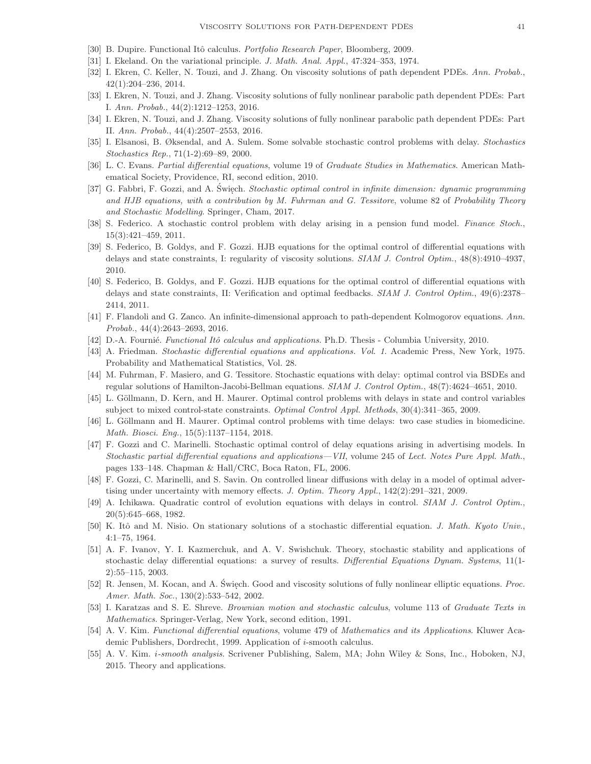- [30] B. Dupire. Functional Itô calculus. *Portfolio Research Paper*, Bloomberg, 2009.
- [31] I. Ekeland. On the variational principle. J. Math. Anal. Appl., 47:324–353, 1974.
- [32] I. Ekren, C. Keller, N. Touzi, and J. Zhang. On viscosity solutions of path dependent PDEs. Ann. Probab., 42(1):204–236, 2014.
- [33] I. Ekren, N. Touzi, and J. Zhang. Viscosity solutions of fully nonlinear parabolic path dependent PDEs: Part I. Ann. Probab., 44(2):1212–1253, 2016.
- [34] I. Ekren, N. Touzi, and J. Zhang. Viscosity solutions of fully nonlinear parabolic path dependent PDEs: Part II. Ann. Probab., 44(4):2507–2553, 2016.
- [35] I. Elsanosi, B. Øksendal, and A. Sulem. Some solvable stochastic control problems with delay. Stochastics Stochastics Rep., 71(1-2):69–89, 2000.
- [36] L. C. Evans. Partial differential equations, volume 19 of Graduate Studies in Mathematics. American Mathematical Society, Providence, RI, second edition, 2010.
- [37] G. Fabbri, F. Gozzi, and A. Święch. Stochastic optimal control in infinite dimension: dynamic programming and HJB equations, with a contribution by M. Fuhrman and G. Tessitore, volume 82 of Probability Theory and Stochastic Modelling. Springer, Cham, 2017.
- [38] S. Federico. A stochastic control problem with delay arising in a pension fund model. Finance Stoch., 15(3):421–459, 2011.
- [39] S. Federico, B. Goldys, and F. Gozzi. HJB equations for the optimal control of differential equations with delays and state constraints, I: regularity of viscosity solutions. SIAM J. Control Optim., 48(8):4910–4937, 2010.
- [40] S. Federico, B. Goldys, and F. Gozzi. HJB equations for the optimal control of differential equations with delays and state constraints, II: Verification and optimal feedbacks. SIAM J. Control Optim., 49(6):2378– 2414, 2011.
- [41] F. Flandoli and G. Zanco. An infinite-dimensional approach to path-dependent Kolmogorov equations. Ann. Probab., 44(4):2643–2693, 2016.
- [42] D.-A. Fournié. Functional Itô calculus and applications. Ph.D. Thesis Columbia University, 2010.
- [43] A. Friedman. Stochastic differential equations and applications. Vol. 1. Academic Press, New York, 1975. Probability and Mathematical Statistics, Vol. 28.
- [44] M. Fuhrman, F. Masiero, and G. Tessitore. Stochastic equations with delay: optimal control via BSDEs and regular solutions of Hamilton-Jacobi-Bellman equations. SIAM J. Control Optim., 48(7):4624–4651, 2010.
- [45] L. Göllmann, D. Kern, and H. Maurer. Optimal control problems with delays in state and control variables subject to mixed control-state constraints. Optimal Control Appl. Methods, 30(4):341–365, 2009.
- [46] L. Göllmann and H. Maurer. Optimal control problems with time delays: two case studies in biomedicine. Math. Biosci. Eng., 15(5):1137–1154, 2018.
- [47] F. Gozzi and C. Marinelli. Stochastic optimal control of delay equations arising in advertising models. In Stochastic partial differential equations and applications—VII, volume 245 of Lect. Notes Pure Appl. Math., pages 133–148. Chapman & Hall/CRC, Boca Raton, FL, 2006.
- [48] F. Gozzi, C. Marinelli, and S. Savin. On controlled linear diffusions with delay in a model of optimal advertising under uncertainty with memory effects. J. Optim. Theory Appl., 142(2):291–321, 2009.
- [49] A. Ichikawa. Quadratic control of evolution equations with delays in control. SIAM J. Control Optim., 20(5):645–668, 1982.
- [50] K. Itô and M. Nisio. On stationary solutions of a stochastic differential equation. J. Math. Kyoto Univ., 4:1–75, 1964.
- [51] A. F. Ivanov, Y. I. Kazmerchuk, and A. V. Swishchuk. Theory, stochastic stability and applications of stochastic delay differential equations: a survey of results. Differential Equations Dynam. Systems, 11(1-2):55–115, 2003.
- [52] R. Jensen, M. Kocan, and A. Święch. Good and viscosity solutions of fully nonlinear elliptic equations. Proc. Amer. Math. Soc., 130(2):533–542, 2002.
- [53] I. Karatzas and S. E. Shreve. Brownian motion and stochastic calculus, volume 113 of Graduate Texts in Mathematics. Springer-Verlag, New York, second edition, 1991.
- [54] A. V. Kim. Functional differential equations, volume 479 of Mathematics and its Applications. Kluwer Academic Publishers, Dordrecht, 1999. Application of i-smooth calculus.
- [55] A. V. Kim. i-smooth analysis. Scrivener Publishing, Salem, MA; John Wiley & Sons, Inc., Hoboken, NJ, 2015. Theory and applications.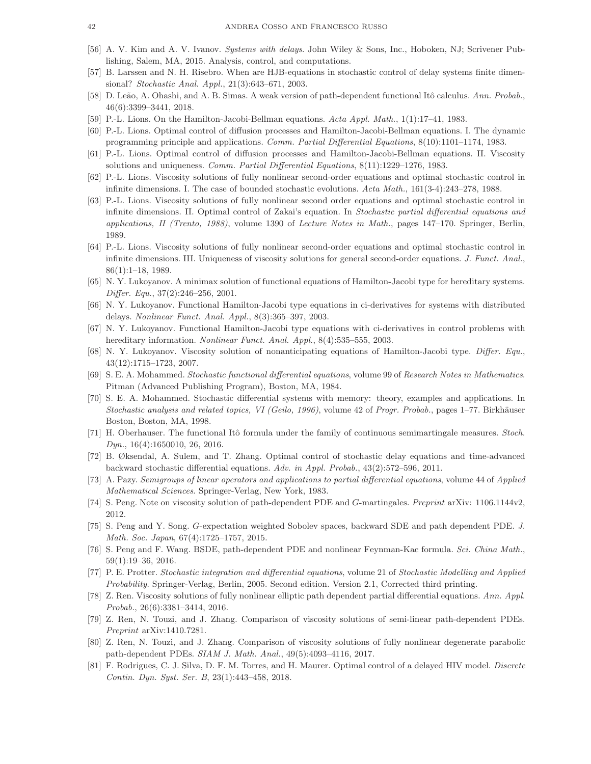- [56] A. V. Kim and A. V. Ivanov. Systems with delays. John Wiley & Sons, Inc., Hoboken, NJ; Scrivener Publishing, Salem, MA, 2015. Analysis, control, and computations.
- [57] B. Larssen and N. H. Risebro. When are HJB-equations in stochastic control of delay systems finite dimensional? Stochastic Anal. Appl., 21(3):643–671, 2003.
- [58] D. Leão, A. Ohashi, and A. B. Simas. A weak version of path-dependent functional Itô calculus. Ann. Probab., 46(6):3399–3441, 2018.
- [59] P.-L. Lions. On the Hamilton-Jacobi-Bellman equations. Acta Appl. Math., 1(1):17–41, 1983.
- [60] P.-L. Lions. Optimal control of diffusion processes and Hamilton-Jacobi-Bellman equations. I. The dynamic programming principle and applications. Comm. Partial Differential Equations, 8(10):1101–1174, 1983.
- [61] P.-L. Lions. Optimal control of diffusion processes and Hamilton-Jacobi-Bellman equations. II. Viscosity solutions and uniqueness. Comm. Partial Differential Equations, 8(11):1229–1276, 1983.
- [62] P.-L. Lions. Viscosity solutions of fully nonlinear second-order equations and optimal stochastic control in infinite dimensions. I. The case of bounded stochastic evolutions. Acta Math., 161(3-4):243–278, 1988.
- [63] P.-L. Lions. Viscosity solutions of fully nonlinear second order equations and optimal stochastic control in infinite dimensions. II. Optimal control of Zakai's equation. In Stochastic partial differential equations and applications, II (Trento, 1988), volume 1390 of Lecture Notes in Math., pages 147–170. Springer, Berlin, 1989.
- [64] P.-L. Lions. Viscosity solutions of fully nonlinear second-order equations and optimal stochastic control in infinite dimensions. III. Uniqueness of viscosity solutions for general second-order equations. J. Funct. Anal., 86(1):1–18, 1989.
- [65] N. Y. Lukoyanov. A minimax solution of functional equations of Hamilton-Jacobi type for hereditary systems. Differ. Equ., 37(2):246–256, 2001.
- [66] N. Y. Lukoyanov. Functional Hamilton-Jacobi type equations in ci-derivatives for systems with distributed delays. Nonlinear Funct. Anal. Appl., 8(3):365–397, 2003.
- [67] N. Y. Lukoyanov. Functional Hamilton-Jacobi type equations with ci-derivatives in control problems with hereditary information. Nonlinear Funct. Anal. Appl., 8(4):535-555, 2003.
- [68] N. Y. Lukoyanov. Viscosity solution of nonanticipating equations of Hamilton-Jacobi type. Differ. Equ., 43(12):1715–1723, 2007.
- [69] S. E. A. Mohammed. Stochastic functional differential equations, volume 99 of Research Notes in Mathematics. Pitman (Advanced Publishing Program), Boston, MA, 1984.
- [70] S. E. A. Mohammed. Stochastic differential systems with memory: theory, examples and applications. In Stochastic analysis and related topics, VI (Geilo, 1996), volume 42 of Progr. Probab., pages 1–77. Birkhäuser Boston, Boston, MA, 1998.
- [71] H. Oberhauser. The functional Itô formula under the family of continuous semimartingale measures. Stoch. Dyn., 16(4):1650010, 26, 2016.
- [72] B. Øksendal, A. Sulem, and T. Zhang. Optimal control of stochastic delay equations and time-advanced backward stochastic differential equations. Adv. in Appl. Probab., 43(2):572–596, 2011.
- [73] A. Pazy. Semigroups of linear operators and applications to partial differential equations, volume 44 of Applied Mathematical Sciences. Springer-Verlag, New York, 1983.
- [74] S. Peng. Note on viscosity solution of path-dependent PDE and G-martingales. Preprint arXiv: 1106.1144v2, 2012.
- [75] S. Peng and Y. Song. G-expectation weighted Sobolev spaces, backward SDE and path dependent PDE. J. Math. Soc. Japan, 67(4):1725–1757, 2015.
- [76] S. Peng and F. Wang. BSDE, path-dependent PDE and nonlinear Feynman-Kac formula. Sci. China Math., 59(1):19–36, 2016.
- [77] P. E. Protter. Stochastic integration and differential equations, volume 21 of Stochastic Modelling and Applied Probability. Springer-Verlag, Berlin, 2005. Second edition. Version 2.1, Corrected third printing.
- [78] Z. Ren. Viscosity solutions of fully nonlinear elliptic path dependent partial differential equations. Ann. Appl. Probab., 26(6):3381–3414, 2016.
- [79] Z. Ren, N. Touzi, and J. Zhang. Comparison of viscosity solutions of semi-linear path-dependent PDEs. Preprint arXiv:1410.7281.
- [80] Z. Ren, N. Touzi, and J. Zhang. Comparison of viscosity solutions of fully nonlinear degenerate parabolic path-dependent PDEs. SIAM J. Math. Anal., 49(5):4093–4116, 2017.
- [81] F. Rodrigues, C. J. Silva, D. F. M. Torres, and H. Maurer. Optimal control of a delayed HIV model. *Discrete* Contin. Dyn. Syst. Ser. B, 23(1):443–458, 2018.